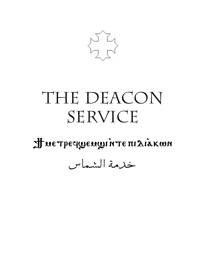

# THE DEACON SERVICE

Hue Tpeque nu Te HI LIAKWN

خدمة الشماس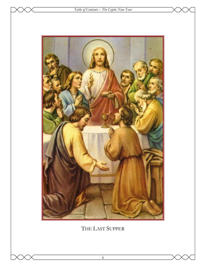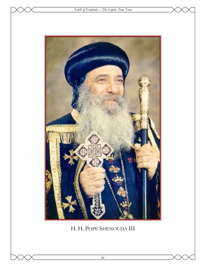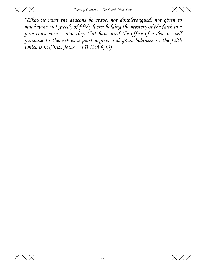*"Likewise must the deacons be grave, not doubletongued, not given to much wine, not greedy of filthy lucre; holding the mystery of the faith in a pure conscience ... For they that have used the office of a deacon well purchase to themselves a good degree, and great boldness in the faith which is in Christ Jesus." (1Ti 13:8-9,13)*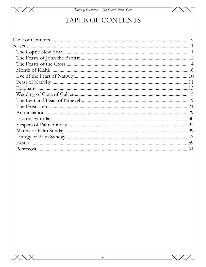# Table of Contents - The Coptic New Year

# TABLE OF CONTENTS

| Feasts |  |
|--------|--|
|        |  |
|        |  |
|        |  |
|        |  |
|        |  |
|        |  |
|        |  |
|        |  |
|        |  |
|        |  |
|        |  |
|        |  |
|        |  |
|        |  |
|        |  |
|        |  |
|        |  |
|        |  |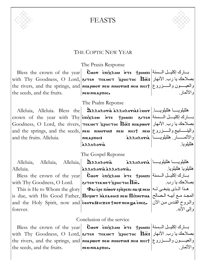

FEASTS



# THE COPTIC NEW YEAR

# The Praxis Response

the seeds, and the fruits.

بسارك إكليسل السسنة|Bless the crown of the year| Čωογ επιχλου א τε †poωπι  $\text{with} \;\; \text{Thy} \;\; \text{Goodness}, \; \text{O} \;\; \text{Lord}, \mid$ بصلاحك يا رب. الأنهار  $\text{Tr} \textbf{F}$ рнстос  $\; \text{I\!I\overline{\textbf{w}}}\textbf{F}$ the rivers, and the springs, and <mark>|ннароот нем ниотин нем н</mark>ісіт ||والعيسـون والـــــزروع NEM NIKAPTIOC.

والأثمار.

The Psalm Reponse

and the fruits. Alleluia.

Alleluia, Alleluia. Bless the వినను మనుగుంగాడు: هلليلويســا هلليلويـــــا crown of the year with Thy|επιχλου אדε †pouπι אות αιτεν المسنة Goodness,  $\rm O\,$  Lord, the rivers, $|$ тєкиєт хрнстос  $\overline{\rm H}$ न्द: ннарωо $\bm r\,$ نهار  $|$ نفهار and the springs, and the seeds, $\vert$ мє $\bm{u}$  миот $\bm{u}$ : мє $\bm{u}$  мє $\bm{u}$  мє $\bm{u}$  والينـــــــابيع والــــــــزروع والأثمــــــار فلليلويــــــا| äλλμλoνia فمالليلويــــــــا  $\lambda$ a $\lambda$ h $\lambda$ oria

The Gospel Reponse

|           |  | Alleluia, Alleluia, Alleluia, $\mathbf{\hat{a}}$ Annovia | هلليلويــــــــا هلليلويـــــــا ج.مي هم                                                                                                                                                                                                                                                                                                                                                                                     |
|-----------|--|----------------------------------------------------------|------------------------------------------------------------------------------------------------------------------------------------------------------------------------------------------------------------------------------------------------------------------------------------------------------------------------------------------------------------------------------------------------------------------------------|
| Alleluia. |  | azzuzoria azzuzoria.                                     | هلليلويا هلليلويا.                                                                                                                                                                                                                                                                                                                                                                                                           |
|           |  |                                                          | $\begin{array}{ccc} \text{I} & \text{I} & \text{I} & \text{I} & \text{I} & \text{I} & \text{I} & \text{I} & \text{I} & \text{I} & \text{I} & \text{I} & \text{I} & \text{I} & \text{I} & \text{I} & \text{I} & \text{I} & \text{I} & \text{I} & \text{I} & \text{I} & \text{I} & \text{I} & \text{I} & \text{I} & \text{I} & \text{I} & \text{I} & \text{I} & \text{I} & \text{I} & \text{I} & \text{I} & \text{I} & \text{$ |

Bless the crown of the year with Thy Goodness, O Lord.

This is He to Whom the glory forever.

# $\,$ is due, with  $\,$ His Good Father, $|{\bf \Pi}$ ечиот м̀аваос $\,$  нем $\,$ Піпнетиа $|$ طلحالح  $\,$ ما and the Holy Spirit, now and हेвотав:10xen thorneu ya enes. كوالمروح القدس من الآن  $|\texttt{current}$ текмет  $\chi$ рнстос  $\bar{\Pi} \overline{\texttt{oc}}$ . هـذا الْـذى ينبغــى لــه| Фа1 ере пю̀от ер̀препі насі

بسارك إكليسل السسنة|The trow πixλou אדά السنة انسمنة ا هلليلويا هلليلويا. بصلاحك يا رب. وإلى الأبد.

هلليلويا.

# Conclusion of the service

بسارك إكليسل السسنة|Bless the crown of the year| Čωογ επιχλου א τε †poωπι  $\text{with} \;\; \text{Thy} \;\; \text{Goodness}, \; \text{O} \;\; \text{Lord}, \mid$ بصلاحك يا رب. الأنهار  $\text{Tr} \textbf{F}$ рнстос  $\; \text{I\!I\overline{\textbf{w}}}\textbf{F}$ the rivers, and the springs, and <mark>|ннароот нем ниотин нем н</mark>ісіт ||والعيسـون والـــــزروع the seeds, and the fruits.  $\begin{array}{ccc} \n\text{new} & \text{new} \text{new} \n\end{array}$ والأثمار.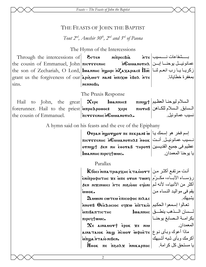Feasts - The Feasts of John the Baptist

# THE FEASTS OF JOHN THE BAPTIST

Tout  $2^{nd}$ , Amshir 30<sup>th</sup>,  $2^{nd}$  and  $3^{rd}$  of Paona

The Hymn of the Intercessions

Through the intercessions of EITEN MITTPECBIA the cousin of Emmanuel, John  $\pi$  *n*  $\pi$   $\pi$   $\pi$   $\pi$   $\pi$   $\pi$ the son of Zechariah, O Lord, lwannнс пунри N $Z$ ахарнас:  $\overline{\Pi}$ ल $\overline{\infty}$  مانا العما $\overline{\infty}$ grant us the forgiveness of our apieuot nant intxw eBoA NTE  $sins.$ пеммовь.

بسسشفاعات نسسبب | ع عمانوئيــل يوحنـــا إبــن| NGuuanorн $\chi$ n بمغفر ة خطابانا

The Praxis Response

Hail to John, the great  $\mathbf{x}_{\epsilon}$ السلام ليوحنــا العظـيم| πιnιωτ| وΙωannнc: المسابق المسلام للكلامن | forerunner. Hail to the priest | Mapo Apowoc: xepe πιογμβ نسبب عمانو ئبل TICTSSENHCNGUUANOTHA. the cousin of Emmanuel.

A hymn said on his feasts and the eve of the Epiphany

Отран протурот пе пекран ω [من اسمك يا] Μετραπ νημοτων πε نسيب عمانوئيـل. أنـت | пістууеннс нСмианотна: 160к عظيم في جميع القديسين|Э́ел ин соотав тнрот: عظيم في جميع القديسين  $|$ lwannhc $\pi$ ipeq $\dagger$ wuc.

Parallax

 ${\rm\,K}$ босі міла тріар ${\rm x}$ нс к таінотт $\,$  انت مر تفـع أكثـر مـن رؤساء الآباء، مكـرّم|рит иото эпи́ эх энтнфофитнс хе أكثر من الأنبياء، لأنه لم | mopa moisun are ne insisti iuok.

Дмони сотем еписофос пілас تعالوا إسمعوا الحكيم απτπία wxp3 θεόλοςιος εγχω **MEDITTLEM** πιρεςτων.

 $\mathbf{\hat{x}}$ е аінамот† ерок же нім ماذا أعوك وبأى نوع | ainataiok `naw `ncuor wibhète inadin oistrásuntis

يا مستحق كل كرامة. Увок пе поодх микарпос

يقم في مواليد النساء من ىشىيك لـــسان الــــذهب ينطــــق| lωaлинс بكرامــة الــصابغ يوحنــا| المعمدان.

با بو حنا المعمدان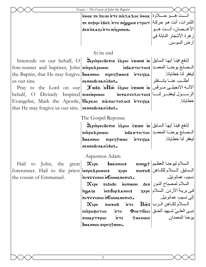|                                                    | Feasts - The Feasts of John the Baptist                                                                              |                          |
|----------------------------------------------------|----------------------------------------------------------------------------------------------------------------------|--------------------------|
|                                                    | أنست هسو حسلاوة  nook πε πκιμ ήτε nikλa λος nook                                                                     |                          |
|                                                    | الثمرات، أنت هو حركة  пе пюри ебо лте мю удни етрнт                                                                  |                          |
|                                                    | δεηπκαδιήτε ηιχριηοη.                                                                                                | الأغــصان، أنــت هــو    |
|                                                    |                                                                                                                      | ز هرة الأشجار النابتة في |
|                                                    |                                                                                                                      | أرض السوسن.              |
|                                                    | At its end                                                                                                           |                          |
|                                                    | Intercede on our behalf, O <i>DpinpecBevin esphi</i> exwns w إشفع فينا أيها السابق   Intercede on our behalf, O      |                          |
|                                                    | fore-runner and baptizer, John <b>πιπρολρομος</b> and interpries is a metal what is the position of the state of the |                          |
|                                                    | the Baptist, that He may forgive   lоаннис пречтомс: птечха   البغفر لذا خطايانا.                                    |                          |
| us our sins.                                       | nennoßinanèßo $\lambda$ .                                                                                            | أطلسب عنسا يانساظر       |
|                                                    | Pray to the Lord on our Juss into $\vec{s}$                                                                          |                          |
|                                                    | behalf, O Divinely Inspired пьестнос петаттельстно: الرسول ليغفــر لنسا                                              |                          |
|                                                    | Evangelist, Mark the Apostle, <i>Uapkoc πιαπος τολος</i> : <i>i</i> reqxa                                            | خطايانا                  |
| that He may forgive us our sins.   NENNOBINANEBOX. |                                                                                                                      |                          |
|                                                    | The Gospel Reponse                                                                                                   |                          |
|                                                    | إشفع فينا أيها السابق   w ritpecBerin esphi vexon w                                                                  |                          |
|                                                    | المعمـــد   пітро Дромос мвантістнє   سصابغ يوحنـــا المعمــد   пітро Дромос                                         |                          |
|                                                    | ليغفر لنا خطايانا. 10871 - Повлинс пресутомс итесуха                                                                 |                          |
|                                                    | nennoßinaneßo2.                                                                                                      |                          |
|                                                    | Aspasmos Adam                                                                                                        |                          |
| to John, the great<br>Hail                         | $\propto$ السلام ليوحنـا العظـيم  $\pm$ ريини) السلام ليوحنـا العظـيم                                                |                          |
|                                                    | forerunner. Hail to the priest <b>  мпродромос:</b> хере пютнв   سلام للكاهن                                         |                          |
| the cousin of Emmanuel.                            | increvention GALLANOTH2.                                                                                             | نسيب عمانوئيل            |
|                                                    | $\bm{\chi_{\epsilon}}$ السلام لمصباح النور   Херє пібнвс мотшин бем                                                  |                          |
|                                                    | في بريـة الأردن. السلام  myaqe        xepe ) مستقطى بريـة الأردن. الـسلام                                            |                          |
|                                                    | ncresenhenGuuanorha.                                                                                                 | إلى نسيب عمانوئيل        |
|                                                    | $\mathbf{x}_{\epsilon}$ (السلام لكاهن الرب   $\bar{\mathbf{u}}$ = пютнв пт $\epsilon$ = П $\bar{\mathbf{w}}$         |                          |
|                                                    | $\pi$ і́ндофитис йтє Фиєтбосі الحق                                                                                   |                          |
|                                                    | пімарттрос іттє тменини                                                                                              | بوحنا المعمدان.          |
|                                                    | lwannhe πιρεςτων.                                                                                                    |                          |
|                                                    |                                                                                                                      |                          |
|                                                    |                                                                                                                      |                          |
|                                                    |                                                                                                                      |                          |
|                                                    |                                                                                                                      |                          |
|                                                    | 3                                                                                                                    |                          |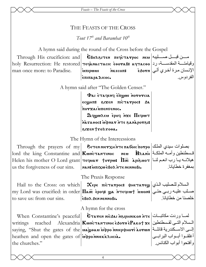# THE FEASTS OF THE CROSS

Tout 17<sup>th</sup> and Baramhat 10<sup>th</sup>

A hymn said during the round of the Cross before the Gospel

man once more: to Paradise.

Through His crucificion: and  $\mathbf{\hat{E}}$ Bo $\lambda$ 81 **Through His crucificion:** and  $\mathbf{\hat{E}}$ Bo $\lambda$ 81 **Through His crucificion:** and  $\mathbf{\hat{E}}$ holy Resurrection: He restored TeejanacTacic EOOTaB: aeTacoo ) رقيامته فالمقدسة، رد iunpwur الإنسان مرة أخرى ألى| eوsorn NKECON: <sup>|</sup>επιπαραΔιοος.

A hymn said after "The Golden Censer."

**Pai ETAGENG ETTE OF PATS** εσωμπ: ειχεη πισταγρος: δα *<u>ITOYXALIMENTENOC.</u>* Dequaren epoe nxe Πεεμωτ nsvoganas atn vandu :200avan SIXENT502500A.

The Hymn of the Intercessions

Through the prayers of my **| Энтемметхнителабою потро** ابصلوات سيدي الملك Iord the king Constantine and KWNCTANTINOC NEU HAANH LOTE Emery in the king  $\text{Helen his mother O Lord grant}$   $\text{train}$   $\text{regular}$   $\text{top}$   $\text{line}$   $\text{input}$   $\text{input}$   $\text{input}$ بمغفر ة خطابانا us the forgiveness of our sins. INAN: UTIXWEBOX NTE NENNOBI.

The Praxis Response

Hail to the Cross: on which my Lord was crucified: in order **Ilaoc** epoq: wa nteqcwt innon: صلب عليه ربي حتى to save us: from our sins.

 $\mathbf X$ ере пістатрос: фнетате $\mathbf g$  | السلام للصليب الذي **EBOA** BEN NENNOBI.

خلصنا من خطابانا

أغلقوا أبواب البرابي

و أفتحو ا أبو اب الكنائس.

الفر دو س

A hymn for the cross

When Constantine's peaceful|  $\text{E}_{\text{T}}$ فساوردت مكاتبــات| when Constantine's peaceful|  $\text{E}_{\text{T}}$ reached Alexandria KwncTanTINOC esorn e Pakot xe literalization direction writings saying, "Shut the gates of the **| பகழ்சகப் ப்ரேல வாடிச்சமா i dorwn** | المسكندرية قائلة heathen and open the gates of *in*ponnier is not the churches"

 $\overline{4}$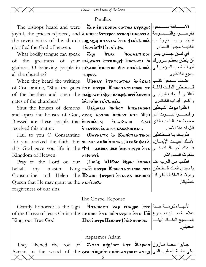# Parallax

glorified the God of heaven.

What bodily tongue can speak  $\log$ of all the churches?

gates of the churches."

Blessed are these people that worniary received this matter.

Kingdom of Heaven.

behalf  $mv$ master Constantine Queen that He may grant us the | NANEBOX. forgiveness of our sins

King, our True God.

The bishops heard and were  $\|\mathbf{\hat{x}}\|$  N METHER CONTER ATPAGN:  $\|\mathbf{\hat{y}}\|$ joyful, the priests rejoiced, and a ninpecBrTepoc ornoq innoveria a dia morte point the seven ranks of the church night are not are tekknicia (ابتهجـوا وسلبع رتـب tworu\$thre rote.

أي لسان جسدي يقدر | καινικος naac the greatness of your **| ма̀усахі є̀пєкміут моє́лна: ம் | فينطق بعظم سرورك | w** gladness O believing people in|πιλλος мπιστος δεη μιεκκληςιλ على الشعب المؤمن في тнрот.

When they heard the writings Ugnar ETATCOTEN ENICEALS of Constantine, "Shut the gates NTE norpo KWNCTANTINOC: XE of the heathen and open the *матроми про* потерфнот дотом αφρουνιεκκλησία.

Shut the houses of demons Uawoau ninor innaeuwn: and open the houses of God, orge is a result in  $\Phi$ : مغبوط هذا الشعب الذي | sas\$ inaisaoc etarxoc unalorazcazninac.

Hail to you O Constantine | WOTHATK W KWNCTANTINOC | طوباك يا فسطنطين for you revived the faith. For xe AKTANSO MINA&T: eoBe tai a Vien ly this God gave you life in the  $|\Phi|$  Tansok sen exerorpo  $n\tau\epsilon$ перноті.

Pray to the Lord on our JuBs inПоог ispн i rawns |اطلب من الرب عنا  $\text{King}$ يا سيدي الملك فسطنطين | King **| πаσ πονρο Κω**νισταντινος νεν and Helen the *HAANH* Jorpos NTEYXA NENNOBI LISTE LALL

# The Gospel Reponse

Greatly honored: is the sign drainor sap enage is  $x \in |i \rightarrow \infty$ of the Cross: of Jesus Christ: the линии ите пістатрос ите lнс | بالله علامة صدايب يدسوع  $|\mathbf{\Pi \bar{xc}}$ المـــسيح الملـــك إلـهنــــا $|\mathbf{\Pi \bar{xc}}\rangle$ ו and a more  $\mathbf{\Pi \bar{xc}}$ 

الحقيقي.

الكنبسة مجدوا السماء

فسطنطبن الملبك قائلية

أغلقوا أبواب البرابي

وافتحسسوا بيسسوت الله

فلسذلك أحبساك الله فسي

قبل له هذا الأمر

ملكوت السماوات

خطابانا

وأفتحوا أبواب الكنائس.

جميع الكنائس.

#### Aspasmos Adam

They likened the rod of  $\mathbf{D}$ ren  $\pi$ re  $\mathbf{D}$   $\pi$ re  $\mathbf{D}$   $\pi$   $\pi$   $\mathbf{D}$ to the wood of the **aixen nge MTE πισταγρος εταγες (Letter** to the wood of the aixen nge in terminary of Aaron: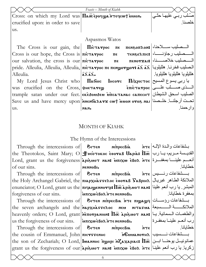|                                                                   | Feasts – Month of Kiahk |             |
|-------------------------------------------------------------------|-------------------------|-------------|
| Cross: on which my Lord was $\Pi$ a $\bar{x}$ epoqua interaction. |                         | - ربي علبها |
| crucified upon: in order to save                                  |                         |             |
| Ιus.                                                              |                         |             |

#### Aspasmos Watos

The Cross is our gain, the **Hictarpoc** Cross is our hope, the Cross is  $|\pi$ ic  $\pi\star\gamma$ poc our salvation, the cross is our  $\pi$ ic $\pi$ Alleulia.

My Lord Jesus Christ who was crucified on the Cross, SHETATEW us.

المصليب سلاحنا، | πενελοπλονι  $\pi \epsilon$ ـــصلبب رجاؤنـــــا، | темзеапис:  $\pi \epsilon$ TENOTXAIS  $\pi \epsilon$ pride. Alleulia, Alleulia, Alleulia, | πιεταγρος πε πενωρογωον: ماليلويا | جمّ جمّ جومو  $\overline{2} \overline{2} \overline{2} \overline{2}$ 

 $\Pi$ дбою  $\text{Incor}$  Піхрістос  $\text{min}$ المسنى صمسلب علمي | επιστανρος trample satan under our feet. | скеломлем ипсатанас сапеснт | الصليب اسحق الشيطان Save us and have mercy upon *nese arx* cot innon oros nai in the limit NAN.

#### **MONTH OF KIAHK**

The Hymn of the Intercessions

Through the intercessions of  $\theta$ ninpecBia the Theotokos, Saint Mary; О $|\textbf{H}$ ѐотокос є̀вотав  $\textbf{U}$ арі $\textbf{a}$ : Пос $|\textbf{u}|$ القديسة مــريم، يــا رب Lord, grant us the forgiveness appear nan: innxw εβολ irre simes of our sins. иєммові.

Through the intercessions of forgiveness of our sins.

the seven archangels and the  $nap$ x  $nap$ s  $r p$  or  $a$ us the forgiveness of our sins.

 $R<sub>1</sub>$ MITTPECBIA the Holy Archangel Gabriel, the пьрхнаттелос соотав  $\mathbf{S}$ авринд الملائكة الطاهر غبريال enunciator; O Lord, grant us the праго ранотар: Пот дредиот нан: المبشر إيا رب أنعم علينا άπιχω εβολήτε ηεηροβισία

Through the intercessions of |  $\cdot$  אוא ואדוי Through the intercessions of | אيא ואדוי **NITATUA** heavenly orders; О Lord, grant *neavenly states* in the appear on: Пос дрибиот мам: رالطغمات السمائية ب aldonnan a Th Aoda wxinu

Through the intercessions of  $\theta$ міпресвіа  $\mathbf{a}$ the cousin of Emmanuel, John  $\pi$  *n*  $\pi$   $\pi$   $\pi$   $\pi$   $\pi$   $\pi$ the son of Zechariah; O Lord, lозлинс понри и дахариас: Пос | ابسن ابه السكر عمانوئيسل يوحنسا ابسن grant us the forgiveness of our apisuoτ nan: inxw eßoλ nτε is the forgiveness of our

بشفاعات والمدة الإلسه | MTE خطابانا بسشفاعات رئسيس | MTE بمغفر ة خطابانا الملائكسة المسسبعة ر ب أنعـم علبنــا بمغفـر ة خطايانا inGuuanorH2

حىليب خلاصىنا،

هلليلويا هلليلويا هلليلويا

و ار حمنا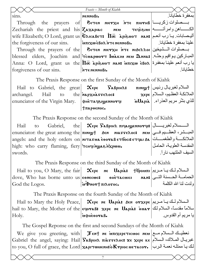|       | Feasts - Month of Kiahk                                                                                                                                           |                 |
|-------|-------------------------------------------------------------------------------------------------------------------------------------------------------------------|-----------------|
| sins. | пеммовь.                                                                                                                                                          | بمغفر ة خطابانا |
|       | Through the prayers of  Элтем метхн йте пютнв بــــملوات <code>itrough</code> the prayers of                                                                      |                 |
|       | الكـــــــاهن وامرأتــــــــه  Zechariah  the  priest  and  his Zaxapiac        neu        течезии                                                                |                 |
|       | $ \text{wife Elizabeth; O Lord, grant us   \mathbf{\hat{E}}$ أليـصابات يـا رب أنعـم wife Elizabeth; O Lord, grant us $ \mathbf{\hat{E}}$ مدة أ $\mathbf{\hat{E}}$ |                 |
|       |                                                                                                                                                                   |                 |
|       | Through the prayers of the   Эгтем метхн йте мьзеллог  بسصلوات السشيخين                                                                                           |                 |
|       | $ \mathrm{blessed}\>$ elders, $\;$ Joachim $\;$ and $ \mathrm{\dot{\tau}c}$ بعمومین ای هندا این هند این هند این هند این هند این می                                |                 |
|       | $ \rm{Anna:~O~Lord,~grant~us~the  \overline{I\I{\sigma c}}$ أيا رب أنعم علينـا بمغفرة $ \rm{a\,s}$ ف ant us $ $ he $ \overline{I\sigma c}$ معر $\rm{s}$           |                 |
|       |                                                                                                                                                                   | خطابانا         |

The Praxis Response on the first Sunday of the Month of Kiahk

|  |  |                                                     | Hail to Gabriel, the great $\mathbf{x}_{\epsilon}$ $\epsilon$ $\mathbf{x}_{\epsilon}$ $\epsilon$ $\mathbf{x}_{\epsilon}$ | السلام لغبريال رئيس   twnm           |  |
|--|--|-----------------------------------------------------|--------------------------------------------------------------------------------------------------------------------------|--------------------------------------|--|
|  |  | $ $ archangel. Hail to the $nap$ x $nap$ s $r p$    |                                                                                                                          | الملائكة العظيم، السلام  xepe        |  |
|  |  | enunciator of the Virgin Mary.   PHETAPPILISHONOTHI |                                                                                                                          | اللذي بشَّر مريم العذراء.   Julapia، |  |
|  |  | тлароемос.                                          |                                                                                                                          |                                      |  |

The Praxis Response on the second Sunday of the Month of Kiahk

Hail to Gabriel, the enunciator: the great among the **πinigt** Sen niasseλoc: nem  $\mathop{\rm angles:\,}$  angels: and the holy orders on $\big|$ мгаяиа ѐвотав етбосі: етчаі га $\big|$ а الملائكــــة والطغمــــات high: who carry flaming, fiery Tchquings anxposs. swords.  $\boldsymbol{\mathbf{\chi}}$ ере  $\boldsymbol{\mathrm{S}}$ аврін $\boldsymbol{\mathrm{\chi}}$  пічаі $\boldsymbol{\mathrm{g}}$ еммо $\boldsymbol{\mathrm{v}}$ чіз $\mid$ 

المبــشر، العظــيم فــي| neu المقدسة العلوبة، الحامل السيف الملتهب نارا.َ

The Praxis Response on the third Sunday of the Month of Kiahk

Hail to you, O Mary, the fair $\mid\,\,\mathbf{x}$ ере $\mid$  ме $\mid$   $\mathbf{U}$ арı $\mathbf{x}$ з ;  $\mid$  †бро $\mathbf{v}$ ли  $\mid$  مصريم dove, Who has borne unto us enecure: God the Logos. eonecwc: → والحمامـــة الحـــسنة التـــى  $|\mathbf{u}\Phi$ nor $\dagger$ ni $\lambda$ ovoc. ولدت لنا االله الكلمة

The Praxis Response on the fourth Sunday of the Month of Kiahk

 $\operatorname{H}$ السلام لك يـا مـريم  $\operatorname{H}$ ه المرويم (  $\mathbf x$ ере не  $\operatorname{U}$ арі $\mathbf x$ , бен от $\mathbf x$ ере المدلام لك يـا مـريم hail to Mary, the Mother of the eqo $\bm{\mathsf{v}}$ a $\bm{\mathsf{s}}$ ، سلاماً مقدساً، السلام لك Holy. indheeoraB. يا مريم أم القدوس.

The Gospel Reponse on the first and second Sundays of the Month of Kiahk

We give you greeting, with Ten; ne `mpixereticmoc nem نعطيѧѧѧѧك الѧѧѧѧسلام مѧѧѧѧع Gabriel the angel, saying: Hail $|\bf{S}$ аврия піаттєлос: хе хере ке $|\bf{A}|$ المها $\bf{A}$  $\,$ to you,  $\rm O\,$  full of grace, the  $\rm Lor$ d $\,$ xapı $\,$ wwen<code>н</code>: $\,$ o<code>K $\,$ rp</code>ıoc we $\,$ aco $\,$ r.  $\,$ متلـه نعمـة الرب $\,$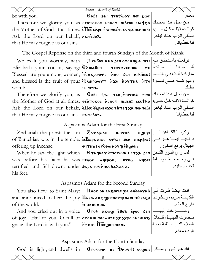|                                                                    | Feasts - Month of Kiahk                                                                                       |                       |
|--------------------------------------------------------------------|---------------------------------------------------------------------------------------------------------------|-----------------------|
| be with you.                                                       | Cobe par Tentwor ne: ewe                                                                                      | معك                   |
|                                                                    | من أجل هذا نمجدك   Therefore we glorify you, as   осотокос мснот мьем: من أجل هذا نمجدك                       |                       |
|                                                                    | the Mother of God at all times.   and nimes - محالك حين العدة الإله حين العديم العدة الإله كل حين ا           |                       |
| Ask the Lord on our behalf, ManeBox.                               |                                                                                                               | إسألي الرب عنا، ليغفر |
|                                                                    |                                                                                                               | لنا خطابانا           |
| that He may forgive us our sins.                                   |                                                                                                               |                       |
|                                                                    | The Gospel Reponse on the third and fourth Sundays of the Month of Kiahk                                      |                       |
|                                                                    | We exalt you worthily, with Jenoic inno sen orenings nen and the sealt                                        |                       |
|                                                                    | Elizabeth your cousin, saying: <b>  Елисавет</b> тестууенно: xe   اليستصابات نسسيبتك                          |                       |
|                                                                    | مباركة أنت في النساء معروم Blessed are you among women, วัตมลpworт поо ден мюрозна                            |                       |
|                                                                    | and blessed is the fruit of your gicuapwort nxe inortas ire and blessed is the fruit of your                  |                       |
| womb.                                                              | темехь.                                                                                                       | بطنك                  |
|                                                                    | Therefore we glorify you, as <b>COBE</b> was <b>TENTWOTIE:</b> 800c 30 A                                      |                       |
|                                                                    | the Mother of God at all times.   осотокос мснот мивем: موالدة الإله كل حين،   the Mother of God at all times |                       |
|                                                                    | إسألي الرب عنا، ليغفر   Аsk the Lord on our behalf, हे $\Pi$ ळ бेडेрнгехол итеч ха ненновг                    |                       |
| that He may forgive us our sins. $ $ NAN $\epsilon$ Bo $\lambda$ . |                                                                                                               | لنا خطايانا.          |
|                                                                    |                                                                                                               |                       |
|                                                                    | Aspasmos Adam for the First Sunday                                                                            |                       |
|                                                                    | Zechariah the priest: the son   Zaxapiac пютнв поунрі                                                         |                       |
|                                                                    | of Barachias: was in the temple:   Mapaxiac Erxн бен піерфеі: براخيسا فيمسا هـر فسي                           |                       |
|                                                                    | الهيكل يرفع البخور .                           وeqπaλεονceornovqremg up incense.                              |                       |
|                                                                    | When he saw the light: which <b>  G¬aqnaʏ є̀πιοʏωιн: є¬ҳн ؤور الكائن   When</b> he saw the light: which       |                       |
|                                                                    | was before his face: ha was <del>πε</del> qeo aqepeot oroe aqeer before his face: ha was reques               |                       |
| terrified and fell down: under Sapa Tor inney 6a2arx.              |                                                                                                               | تحت رجليه.            |
| his feet.                                                          |                                                                                                               |                       |

Aspasmos Adam for the Second Sunday

You also flew: to Saint Mary: and announced to her: the Joy $|{\bf U}$ apia ak $\bf s$ iwenno ${\bf v}$ qinac $\bf s$ ind $\bf v$ ayin of the world.  ${\tt M}$ әок он ак $\bf s$ ω $\bf\Omega$ з ць $\bf a$  әнѐвота ${\tt B}$  أنت أيضاً طرت إلى `mpikocmoc.

And you cried out in a voice of joy: "Hail to you, O full of **отселні моелна: же хере оненме** grace, the Lord is with you."

Oro $\delta$  akw $\omega$  ebol epoc  $\delta$ en  $\cdot$  and  $\overline{\rm vol}$   $\overline{\rm vol}$   $\overline{\rm vol}$   $\overline{\rm vol}$ 

القديسة مريم، وبشرتها

بــصوت التهليــل قــائلاً: السلام لك يا ممتلئة نعمѧة

وصѧѧѧѧѧѧѧѧѧرخت إليهѧѧѧѧѧѧѧѧѧا

بفرح العالم.

الر ب معك

Aspasmos Adam for the Fourth Sunday

God is light, and dwells in **Ororwini ne iphort:** eqgon  $|\psi\rangle$ الله هـو نـور وسـاكن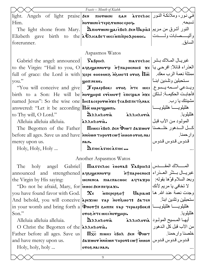|                                                                           | Feasts - Month of Kiahk                                                                                                                                                                                   |                           |  |
|---------------------------------------------------------------------------|-----------------------------------------------------------------------------------------------------------------------------------------------------------------------------------------------------------|---------------------------|--|
|                                                                           | في نور، وملائكة النور  light. Angels of light praise sen πιονωινι ελι λενελος                                                                                                                             |                           |  |
| Him.                                                                      | ·poqa sonuveqa Timuvron                                                                                                                                                                                   | تسبحه                     |  |
|                                                                           | The light shone from Mary. <b>  మπιονωικι ωριλέβολ δεκ Uapia:</b> النور أشرق من مريم                                                                                                                      |                           |  |
|                                                                           | وأليسهابات ولسدت   Elizbeth gave birth to the λ Ελιταβετ Microminpo Aponoc.                                                                                                                               |                           |  |
| forerunner.                                                               |                                                                                                                                                                                                           | السابق                    |  |
|                                                                           | Aspasmos Watos                                                                                                                                                                                            |                           |  |
|                                                                           | Gabriel the angel: announced   $\Gamma_{\lambda}$ $\Gamma_{\lambda}$ $\Gamma_{\lambda}$ $\Gamma_{\lambda}$ $\Gamma_{\lambda}$ $\Gamma_{\lambda}$ $\Gamma_{\lambda}$ $\Gamma_{\lambda}$ $\Gamma_{\lambda}$ |                           |  |
|                                                                           | to the Virgin: "Hail to you, O   Aelengennore in tπapoenoc: xe   يا المعذراء قائلاً: افرحي يا                                                                                                             |                           |  |
|                                                                           | full of grace: the Lord is with xере онеомег медиот: отов $\overline{\text{1}\pi}$   رب معك .   $\overline{\text{m}}$                                                                                     |                           |  |
| you."                                                                     | <b>WOTT NEME.</b>                                                                                                                                                                                         | سـتحبلين وتلـدين ابنـــًا |  |
|                                                                           | "You will conceive and give   Пераервокі отог інге місі   дерень суров йте                                                                                                                                |                           |  |
|                                                                           | birth to a Son: He will be norghpis erewort Eneepan nxe   فأجابت الحكيمة: لتكن                                                                                                                            |                           |  |
|                                                                           | named Jesus": So the wise one <b>Incraceporw</b> $n \times \mathbf{r}$ tex Be: $n \in \mathbb{R}$ and $\mathbf{r}$                                                                                        | مشيئتك يا رب.             |  |
| answered: "Let it be according $\Pi\bar{\mathbf{\in}}\mathbf{u}$ <b>u</b> |                                                                                                                                                                                                           |                           |  |
|                                                                           | to Thy will, O Lord." $ \mathbf{A}\rangle$ $\mathbf{A}\rangle$ $\mathbf{A}\rangle$                                                                                                                        | هلليلويا.                 |  |
| Alleluia alleluia alleluia. [aλληλονια.                                   |                                                                                                                                                                                                           | المولمود من الأب قبل      |  |
|                                                                           | The Begotten of the Father   $\prod_{\text{nuic} \text{ is } \beta$ 02 Jen Diwt Jaxwor   مصنا                                                                                                             |                           |  |
|                                                                           | before all ages. Save us and have niewn THPor: cwt muon orog nai                                                                                                                                          | وارحمنا. مستخدمات         |  |
| mercy upon us.                                                            | NAN.                                                                                                                                                                                                      | قدوس قدوس قدوس            |  |
| Holy, Holy, Holy                                                          | A FIOC A FIOC A FIOC                                                                                                                                                                                      |                           |  |
|                                                                           | Another Aspasmos Watos                                                                                                                                                                                    |                           |  |
|                                                                           | The holy angel Gabriel <b><math>\Pi</math><sub>IASSE</sub></b> $\delta$ $\delta$ $\delta$ $\sigma$ $\alpha$ $\beta$ $\sigma$ $\alpha$ $\beta$ $\sigma$ $\alpha$ $\beta$                                   |                           |  |
|                                                                           | announced and strengthened aqeigennory htmapoenoc: غبريال بسشَّر العضوراء                                                                                                                                 |                           |  |
|                                                                           | وبعد السلام قوَّها بقوله:   μενενια πικοπεινος κιτεχρο   بالملام قوَّها بقوله:   μενενια πικοπεινος κιτρίος                                                                                               |                           |  |
| "Do not be afraid, Mary, for innocent requiers.                           |                                                                                                                                                                                                           | لا تخافي يا مريم لأنك     |  |
|                                                                           | you have found favor with God. $\ \mathbf{x}_\epsilon - \hat{\mathbf{x}}_0\ $ وجدت نعمة عند الله. ها                                                                                                      |                           |  |
|                                                                           | And behold, you will conceive apeximi vap nore saten   استحبلين وتلدين ابنا                                                                                                                               |                           |  |
|                                                                           | in your womb and bring forth a Фмотт: зните тар тераервок: الملليلوييا هلليلوييا                                                                                                                          |                           |  |
| Son."                                                                     | oros NTE MICINOTOHHI.                                                                                                                                                                                     | هلليلو يا.                |  |
|                                                                           |                                                                                                                                                                                                           |                           |  |
| O Christ the Begotten of the $\lambda \lambda H \lambda o \textbf{via}.$  |                                                                                                                                                                                                           | من الآب قبل كل الدهور     |  |
|                                                                           | Father before all ages. Save us $ \overline{\mathbf{u}}\times\overline{\mathbf{u}}\times\overline{\mathbf{u}}\times\overline{\mathbf{u}}$                                                                 |                           |  |
|                                                                           | and have mercy upon us. $ \textbf{5a2}$ wor nniewn Thpor: cwt innon $ \textbf{2a2} \textbf{2a3} \$                                                                                                        |                           |  |
| Holy, holy, holy                                                          | .nanian soro                                                                                                                                                                                              |                           |  |
| 9                                                                         |                                                                                                                                                                                                           |                           |  |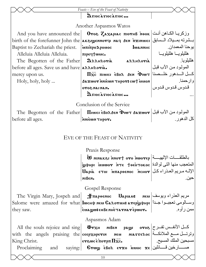|                                                                    | Feasts - Eve of the Feast of Nativity                                                             |                            |
|--------------------------------------------------------------------|---------------------------------------------------------------------------------------------------|----------------------------|
|                                                                    | A FIOCA FIOCA FIOC                                                                                |                            |
|                                                                    | Another Aspasmos Watos                                                                            |                            |
|                                                                    | And you have announced the   Отог Zахарьяс пютнв ноок  فركريا الكاهن أنت                          |                            |
|                                                                    | بسشرته بمسيلاد السسابق  birth of the forefunner John the கk3rgennory nay бен пашинс               |                            |
| Baptist to Zechariah the priest. $\lim_{\theta} \log \alpha$ power | lwannhc                                                                                           | يوحنا المعمدان.            |
| Alleluia Alleluia Alleluia.   πιρε φτων.                           |                                                                                                   | هلليلويا هلليلويا          |
| The Begotten of the Father                                         | Дляндотія аляндотія                                                                               | هلليلويا                   |
| before all ages. Save us and have <b>AAAHAOYIA.</b>                |                                                                                                   | المولود من الأب قبل        |
| mercy upon us.                                                     |                                                                                                   |                            |
| Holy, holy, holy                                                   | Aaxwor inniewn Thpors cwt innon                                                                   | وارحمنا                    |
|                                                                    | ·nanian soro                                                                                      | قدوس قدوس قدوس             |
|                                                                    | D FIOC À FIOC À FIOC                                                                              |                            |
|                                                                    | Conclusion of the Service                                                                         |                            |
|                                                                    | The Begotten of the Father   Пинсі сволден Фиит дахшот   Uje Calgotten of the Father              |                            |
| before all ages.                                                   | .voqut nwsinn                                                                                     | كل الدهو ر                 |
|                                                                    |                                                                                                   |                            |
|                                                                    | EVE OF THE FEAST OF NATIVITY                                                                      |                            |
|                                                                    | Praxis Response                                                                                   |                            |
|                                                                    | بالطلقات الإلهيسة   w ninak 81 nort oro roworep للجيسة                                            |                            |
|                                                                    | المتعجب منها التي لوالدة  ттє феотокос بمعسفة дуфнрг                                              |                            |
|                                                                    | $U$ дрія єтої млароєнос пснот $ U$ дрія прив при                                                  |                            |
|                                                                    | мівем.                                                                                            |                            |
|                                                                    | Gospel Response                                                                                   |                            |
|                                                                    |                                                                                                   |                            |
|                                                                    | Salome were amazed for what lwcнф нем Салотин: атеруфнрг  أجداً   Salome were amazed for what     |                            |
| they saw.                                                          |                                                                                                   |                            |
|                                                                    |                                                                                                   |                            |
|                                                                    | Aspasmos Adam                                                                                     |                            |
|                                                                    | All the souls rejoice and sing   $\Phi$ тхн мвем раши отов   الأنفس تفـرح                         |                            |
|                                                                    | وترتسل مسع الملائكــة  with the angels praising the ceepxoperin neu Masseroc                      |                            |
| King Christ.                                                       | $\epsilon$ γεως επογρπ $\Pi$ $\bar{\mathbf{x}}$ <sub>c</sub> .                                    | مسبحين الملك المسيح.     ا |
|                                                                    | Proclaiming and saying: <b>Crwy eBoA erxo innoc xe</b> and saying: <b>Crwy</b> eBoA erxo innoc xe |                            |
|                                                                    | 10                                                                                                |                            |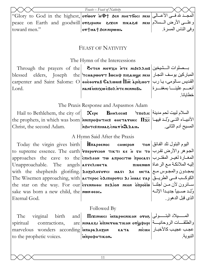|                                                | "Glory to God in the highest, отwот иФ† бен ннетбось нем راللمجـد لله فسى الأعــالى                                                             |                                                                    |
|------------------------------------------------|-------------------------------------------------------------------------------------------------------------------------------------------------|--------------------------------------------------------------------|
|                                                | реасе on Earth and goodwill  отзрнин захем пиказы мем   الأرض المسلام                                                                           |                                                                    |
| toward men."                                   | or†ua†Bennipwui <b>.</b>                                                                                                                        | [وفي الناس المسرة.                                                 |
|                                                |                                                                                                                                                 |                                                                    |
|                                                | <b>FEAST OF NATIVITY</b>                                                                                                                        |                                                                    |
|                                                |                                                                                                                                                 |                                                                    |
|                                                | The Hymn of the Intercessions                                                                                                                   |                                                                    |
|                                                | Through the prayers of the <b>BITEN NIETXH NTE NISEA AOIS</b>                                                                                   |                                                                    |
|                                                | blessed elders, Joseph the <i>T</i> cuapwor lwcн+ пюляцие неи                                                                                   |                                                                    |
|                                                | carpenter and Saint Salome: O   சாச்சாக கேகமயா $\overline{\textbf{In}}$ க் தம்பை பிடை பிட்டி                                                    |                                                                    |
| Lord.                                          | aldonnan a τη Λοθά ωχιπιά <b>ε</b> παν                                                                                                          | أنعسم علينسا بمغفسرة                                               |
|                                                |                                                                                                                                                 | خطايانا                                                            |
|                                                | The Praxis Response and Aspasmos Adam                                                                                                           |                                                                    |
|                                                | Hail to Bethlehem, the city of $\propto$ $\propto$ $\epsilon$ Pe $\sim$ $\frac{B_{H\Theta} \propto \epsilon}{T}$ $\propto$ $\frac{1}{T}$ $\sim$ |                                                                    |
|                                                | the prophets, in which was born   мипрофитнс: онетатиес $\prod_{x}$   الأنبياء التسى وُلِد فيها                                                 |                                                                    |
|                                                | Christ, the second Adam. MAHTC: וلمسيح آدم الثاني. السعيد المسيح آدم الثاني. المسيح                                                             |                                                                    |
|                                                | A Hymn Said After the Praxis                                                                                                                    |                                                                    |
|                                                | Today the virgin gives birth   Hπιρθενιος CHMEPON TON  اليوم البتول تلد الفائق                                                                  |                                                                    |
|                                                | to supreme essence. The earth <i>γπερογαιοη τικτι κε Η γι το</i>  رض تقرب                                                                       |                                                                    |
|                                                | approaches the cave to the cne care to the care $\frac{1}{\sqrt{2}}$                                                                            |                                                                    |
|                                                | إليه الملائكة مع الرعاة  Unapproachable.    The    angels اليه الملائكة مع الرعاة السلائكة مع الرعاة                                            |                                                                    |
|                                                | with the shepherds glorifing. AOZOROFOTCI MATI $\lambda \epsilon$ Meta معهدون والمجوس مع                                                        |                                                                    |
|                                                | The Wisemen approaching, with   acτερος δλιπορονει λι μυας γap   الكوكب في الطريبق                                                              |                                                                    |
|                                                | the star on the way. For our ενερημική πελίοη μερή διτροέω + 1                                                                                  |                                                                    |
| sake was born a new child, the non oco.        |                                                                                                                                                 | وُلِـد صـــبياً جديــداً الإلـــه <br>الذي قبل الدهور <sub>.</sub> |
| Eternal God.                                   |                                                                                                                                                 |                                                                    |
|                                                | Followed By                                                                                                                                     |                                                                    |
| The<br>birth<br>virginal<br>and                | المستولاد البتــــولى Отог илареєміком отог                                                                                                     |                                                                    |
| contractions,<br>spiritual                     | are   MINAK&I MINETUATIKON OYWOHPI  iq   4 JE ULLE                                                                                              |                                                                    |
| marvelous wonders according <b>unapa Sozon</b> |                                                                                                                                                 | مجب عجيب كالأخبار   ната ию́мн                                     |
| to the prophetic voices.                       | моитнфофий                                                                                                                                      | النبوية.                                                           |
|                                                |                                                                                                                                                 |                                                                    |
|                                                |                                                                                                                                                 |                                                                    |
|                                                | 11                                                                                                                                              |                                                                    |
|                                                |                                                                                                                                                 |                                                                    |
|                                                |                                                                                                                                                 |                                                                    |

Feasts - Feast of Nativity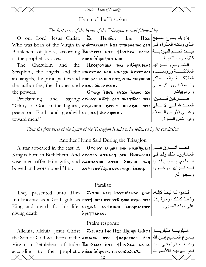#### Feasts – Feast of Nativity

#### Hymn of the Trisagion

#### The first verse of the hymn of the Trisagion is said followed by

O our Lord, Jesus Christ,  $\mathbf{\hat{a}}$  **I**lentic Who was born of the Virgin in SHETACUACY NIE TRAPOENOC SEN LED ULL Bethlehem of Judea, according BHOREEN NTE +lorAEA KATA 4 to the prophetic voices.

Cherubim and The the authorities, the thrones and **NUMET** forc NIXON. the powers.

Proclaiming

toward men."

**пісмнім трофитиком** 

the MixeporBin Nen Microsoftees (المسير افيم السلاوبيم والمسير افيم Seraphim, the angels and the MATTLOC NEU MAPXH ATTELOC: الملائكة بالاستاء archangels, the principalities and MICTPATIA NEU NIE ZOTCIA NiOPONOC | الملائكـــة. والعـــساكر

 $I<sub>HC</sub>$ 

Grwy eßon erzo unoc ze and saying: orwor in J+ бен инетбось нем | :مسارخين فسائلين "Glory to God in the highest, отврнин власи пикави мем المجد لله فسى الأعسالي (Glory to God in the highest, отврнин власи тикави peace on Earth and goodwill ortuat Sennipwui.

 $\overline{\text{IIzc}}$ يا ربنـا يسو ع المسيح كالأصوات النبوية والسلاطين والكر اسبى والربوبيات وعلمي الأرض المسلام وفي الناس المسرة

Then the first verse of the hymn of the Trisagion is said twice followed by its conclusion.

Another Hymn Said During the Trisagion

A star appeared in the east. A **Orcior aggai Sen Musingsi:**  $\frac{1}{2}$ King is born in Bethlehem. And ororpo aruacy sen BHOAEEN: المشارق، ملك ولد في wise men offer Him gifts, and **SANUATOC ATEN** 201000 nag was need than ·pouut Twwvoraing&s rotisra | bowed and worshipped Him.

لسه قسرابين، وخسروا وسجدوا له.

#### Parallax

They presented unto Him | Drini nay norriBanoc 2000 | (الله لبانيا كإليه / They presented unto Him frankincense as a God, gold as nort neu ornors swc orpo neu رذهبا كملك، ومراً يدل King and myrrh for his life- or was εqturing επερχινικον giving death. npeyTando.

على موته المحيي.

#### Psalm response

Alleluia, alleluia: Jesus Christ 3x3: Lic  $\Pi \overline{x}$ c  $\Pi \overline{x}$ c  $\Pi \overline{x}$ c  $\Pi \overline{x}$ c  $\Pi \overline{x}$ c  $\Pi \overline{x}$ c  $\Pi \overline{x}$ c  $\Pi \overline{x}$ c  $\Pi \overline{x}$ c  $\Pi \overline{x}$ c  $\Pi \overline{x}$ c  $\Pi \overline{x}$ c  $\Pi \overline{x}$ c  $\Pi \overline{x}$ c  $\Pi \overline{x}$ c  $\Pi \overline{x}$ c  $\P$ the Son of God was born of the acuacy γπε +παρθενιος δεν المسيح إبـن الله |the Son of God was born of the acuacy ولدتـه العـذراء فـي بيـت| Virgin in Bethlehem of Judea |Внөлєєм мтє †lorдєа ката لحم اليهودية كالأصبوات|  $\alpha$ ccording to the prophetic nicular inportements  $\alpha$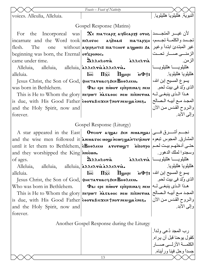|                                                                                       | Feasts - Feast of Nativity                                                                                                                                                                                                                                                                                                                                                                                                                                                                  |                                                                                         |  |
|---------------------------------------------------------------------------------------|---------------------------------------------------------------------------------------------------------------------------------------------------------------------------------------------------------------------------------------------------------------------------------------------------------------------------------------------------------------------------------------------------------------------------------------------------------------------------------------------|-----------------------------------------------------------------------------------------|--|
| voices. Alleulia, Alleluia.                                                           |                                                                                                                                                                                                                                                                                                                                                                                                                                                                                             | النبوية هلليلويا هلليلويا                                                               |  |
|                                                                                       | Gospel Response (Matins)                                                                                                                                                                                                                                                                                                                                                                                                                                                                    |                                                                                         |  |
| For                                                                                   |                                                                                                                                                                                                                                                                                                                                                                                                                                                                                             |                                                                                         |  |
|                                                                                       | incarnate and the Word took πιλογος aq>oan: пьлархн +                                                                                                                                                                                                                                                                                                                                                                                                                                       |                                                                                         |  |
| The<br>flesh.<br>one                                                                  | without   ачервнтс: піатснот ачуюпі ба   عير المبتدئ ابتدأ وغير                                                                                                                                                                                                                                                                                                                                                                                                                             |                                                                                         |  |
| beginning was born, the Eternal or xponoc.                                            |                                                                                                                                                                                                                                                                                                                                                                                                                                                                                             | الزمنسي صسار تحست                                                                       |  |
| <b>Contract Contract</b><br>came under time.                                          | DAAHAOTIA AAAEATIA                                                                                                                                                                                                                                                                                                                                                                                                                                                                          | الزمن.                                                                                  |  |
| Alleluia, alleluia, alleluia, <i>[λλλελνιλλελνιλ.</i>                                 |                                                                                                                                                                                                                                                                                                                                                                                                                                                                                             | هللبلويـــــــــا هللبلويــــــــا                                                      |  |
| alleluia.                                                                             | $\overline{\text{Inc}}$ $\overline{\text{IIxc}}$ $\overline{\text{II}}$ $\text{III}$ $\text{III}$ $\overline{\text{III}}$ $\overline{\text{III}}$ $\overline{\text{III}}$ $\overline{\text{III}}$ $\overline{\text{III}}$ $\overline{\text{III}}$ $\overline{\text{III}}$ $\overline{\text{III}}$ $\overline{\text{III}}$ $\overline{\text{III}}$ $\overline{\text{III}}$ $\overline{\text{III}}$ $\overline{\text{III}}$ $\overline{\text{III}}$ $\overline{\text{III}}$ $\overline{\text$ | هللبلويا هللبلويا                                                                       |  |
| Jesus Christ, the Son of God, фистатиасчен Внолеем.                                   |                                                                                                                                                                                                                                                                                                                                                                                                                                                                                             | يسوع المسيح إبن الله،                                                                   |  |
| was born in Bethlehem.                                                                | $ \Phi_{\lambda} \rangle$ (Pai epe niwor epnpninacy new                                                                                                                                                                                                                                                                                                                                                                                                                                     | الذي وُلِد في بيت لحم ِ                                                                 |  |
|                                                                                       |                                                                                                                                                                                                                                                                                                                                                                                                                                                                                             |                                                                                         |  |
| is due, with His Good Father Everalicxen tror neu wa ènee.                            |                                                                                                                                                                                                                                                                                                                                                                                                                                                                                             | المجـد مـع أبيــه الــصـالح                                                             |  |
| and the Holy Spirit, now and                                                          |                                                                                                                                                                                                                                                                                                                                                                                                                                                                                             | والروح القدس من الأن                                                                    |  |
| forever.                                                                              |                                                                                                                                                                                                                                                                                                                                                                                                                                                                                             | وإلى الأبد                                                                              |  |
|                                                                                       | Gospel Response (Liturgy)                                                                                                                                                                                                                                                                                                                                                                                                                                                                   |                                                                                         |  |
|                                                                                       | A star appeared in the East <b>Orcior aqual Sen muanual</b>                                                                                                                                                                                                                                                                                                                                                                                                                                 |                                                                                         |  |
|                                                                                       | and the wise men followed it anuasoc wow ncwe was reqenor are we was land                                                                                                                                                                                                                                                                                                                                                                                                                   |                                                                                         |  |
|                                                                                       | until it let them to Bethlehem, $\epsilon$ inorpo arorwy intersed a rorpo $\epsilon$                                                                                                                                                                                                                                                                                                                                                                                                        |                                                                                         |  |
| and they worshipped the King nieur.                                                   |                                                                                                                                                                                                                                                                                                                                                                                                                                                                                             | وسجدوا لملك الدهور .                                                                    |  |
| of ages.                                                                              | هلليلويــــــــا هلليلويـــــــا  āxxexria              assexienting and the set of the set of th                                                                                                                                                                                                                                                                                                                                                                                           |                                                                                         |  |
| Alleluia, alleluia, alleluia, anaenvia annenvia.                                      |                                                                                                                                                                                                                                                                                                                                                                                                                                                                                             | هلليلويا هلليلويا                                                                       |  |
| alleluia.                                                                             | $\Pi\bar{\rm xc}$ نيسوع المسيح إبن الله، $\Phi$ +: بيسوع المسيح إبن<br>I <sub>HC</sub>                                                                                                                                                                                                                                                                                                                                                                                                      | الذي وُلِد في بيت لحم ِ                                                                 |  |
| Jesus Christ, the Son of God, фистатиасчествие Внолеси.<br>Who was born in Bethlehem. | $\Phi$ هذا اللذى ينبغلى لله   Фат ере пю́от ерпрпилач мем                                                                                                                                                                                                                                                                                                                                                                                                                                   |                                                                                         |  |
|                                                                                       | This is He to Whom the glory <b>nequot MASAOOC NEM ninevila</b>   المجد مع أبيه الصالح                                                                                                                                                                                                                                                                                                                                                                                                      |                                                                                         |  |
|                                                                                       | is due, with His Good Father eoraBicxen tror neugaenes. [فالروح القدس من الآن                                                                                                                                                                                                                                                                                                                                                                                                               |                                                                                         |  |
| and the Holy Spirit, now and                                                          |                                                                                                                                                                                                                                                                                                                                                                                                                                                                                             | وإلى الأبد                                                                              |  |
| forever.                                                                              |                                                                                                                                                                                                                                                                                                                                                                                                                                                                                             |                                                                                         |  |
| Another Gospel Response during the Liturgy                                            |                                                                                                                                                                                                                                                                                                                                                                                                                                                                                             |                                                                                         |  |
|                                                                                       |                                                                                                                                                                                                                                                                                                                                                                                                                                                                                             |                                                                                         |  |
|                                                                                       |                                                                                                                                                                                                                                                                                                                                                                                                                                                                                             |                                                                                         |  |
|                                                                                       |                                                                                                                                                                                                                                                                                                                                                                                                                                                                                             | رب المجد دُعى ولداً. <br> كقول يوحنا قبل أن يراه. <br> الكلمــــة الأزلــــى صـــــــار |  |

جسداً وحل فينا ورأيناه.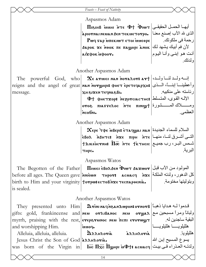# Aspasmos Adam

 $\Pi$ أيهـا الحمـل الحقيقـى $\ket{\tau}$ שו $\Phi$  أ $\tau$ » أيهـا الحقيقـى  $\lambda$ piovnai neman Ben tekmetovpo. Pwe Fap intekiwa etoi inneope لأن فم أبيك يشهد لك $\vert$  хок пе паднрі `алок  $\vert$ ك يشهد لك aixpok upoor. الذى لله الآب إصنع معنـا أنت هو إبني وأنـا اليوم

رحمة فى ملكوتك.

ولدتك.

Another Aspasmos Adam

|          | The powerful God, who $\alpha \in \mathbb{R}$ e arus nan noralor: art $ \cdots $  |                     |
|----------|-----------------------------------------------------------------------------------|---------------------|
|          | reigns and the angel of great ман мотунры фиет еретечархи: وأعطينا إبنساً، المسنى |                     |
| message. | <b>XH SIXEN TECINASBI.</b>                                                        | ر ئاسته على منكبيه. |
|          | $\Phi$ † фнетхор: пе $\chi$ отскастнс: الإله القوى، المتسلط                       |                     |
|          | ومسلاك المسشورة   oros πιαγγελος ντε πινιωτ                                       |                     |
|          | мообиь.                                                                           |                     |

Another Aspasmos Adam

 $\boldsymbol{\chi}$ ере `тфе ̀ивері: етаq $\boldsymbol{y}$ аі нан $\mid$  السلام للسماء الجديدة التــی أشــرق لنــا، منهــا| әвол منهمه منهمه منهمه مو  $\pm$ متشمس البر، رب جميـع  $\pm$  х،кѐостин:  $\mathrm{H}\mathrm{\overline{w}}$  ،  $\pm$ те  $\pm$ к̀ $\pm$ тисіс тирс. البرية.

# Aspasmos Watos

 $\text{The } \text{ Begotten of the Father} \big|$  -  $\text{II!}$ المولمود من الآب قبل كل الدهور، ولدته الملكة| before all ages. The Queen gave|אות тнрот: асиасч אره تم birth to Him and your virginity torpw: ec ToBnxe Tecnapoenia. is sealed. وبتوليتها مختومة.

# Another Aspasmos Watos

|                                      | ELEY presented unto Him avinnagnesan2wpon: arnorg                                                                                                                                                                                                                            |                                  |
|--------------------------------------|------------------------------------------------------------------------------------------------------------------------------------------------------------------------------------------------------------------------------------------------------------------------------|----------------------------------|
|                                      | $ \mathrm{gifts}\mathrm{:}\  \  \, \mathrm{gold},\  \  \, \mathrm{frankincense}\  \  \, \mathrm{and} \mathbf{new}\  \  \, \mathbf{or}$ می $\mathbf{v}$ ی هرا مسبحین مع $ \mathrm{gifts}\mathrm{:}\  \  \, \mathrm{gold},\  \  \, \mathrm{frankincense}\  \  \, \mathrm{and}$ |                                  |
|                                      | $\vert$ myrrh, praising with the rest, eveperunoc neu $\overline{\text{nc}}$ m everwy $\vert$                                                                                                                                                                                | البقية ساجدين له.                |
| and worshipping Him.                 | inoy.                                                                                                                                                                                                                                                                        | هلليلويـــــــــا هلليلويـــــــ |
| Alleluia, alleluia, alleluia.        | ${\bf \hat{\mathfrak{A}}}$ እእ ${\bf \hat{A}}$ กลัง<br>azzhzoria                                                                                                                                                                                                              |                                  |
| Jesus Christ the Son of God annovia. |                                                                                                                                                                                                                                                                              | يسوع المسيح إبن الله             |
|                                      | $\vert_{\rm was}$ born of the Virgin in lie $\overline{\rm Hz}$ c $\overline{\rm H}$ اولاتـه العـذر اء فـي بيـت $\vert_{\rm was}$ acuacq ولدتـه العـذر اء فـي بيـت                                                                                                           |                                  |
|                                      |                                                                                                                                                                                                                                                                              |                                  |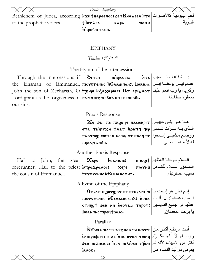|                                                                      | Feasts - Epiphany                                                                                                                                             |                         |
|----------------------------------------------------------------------|---------------------------------------------------------------------------------------------------------------------------------------------------------------|-------------------------|
|                                                                      | لحم اليهوديـة كالأصـوات  Bethlehem  of  Judea,  according אצε †πароєнос: قصر اليهوديـة كالأصـوات                                                              |                         |
| to the prophetic voices.                                             | NICMH<br><b>Hor</b> $\lambda$ ea<br>кара                                                                                                                      | النبو ية                |
|                                                                      | мпрофитком.                                                                                                                                                   |                         |
|                                                                      |                                                                                                                                                               |                         |
|                                                                      | <b>EPIPHANY</b>                                                                                                                                               |                         |
|                                                                      | Touba $11^{th}/12^{th}$                                                                                                                                       |                         |
|                                                                      | The Hymn of the Intercessions                                                                                                                                 |                         |
|                                                                      | Through the intercessions if $\theta$ ידות החדורה החדורה והחדורה והחדורה והחדורה והחדורה והחדורה והחדורה והחדורה וה                                           |                         |
| the                                                                  | kinsman of Emmanuel, листууенне немилнона lwanне  بابان   wannan af Emmanuel,                                                                                 |                         |
|                                                                      | John the son of Zechariah, O $ $ тоунри ल $Z$ ахариас: $\overline{\Pi}$ क ар $i$ و дуз ازب أنعم علينـا                                                        |                         |
| Lord grant us the forgiveness of <b>NAN UTILY WEBOX NTE NENNOBI.</b> |                                                                                                                                                               | بمغفر ة خطايانا         |
| our sins.                                                            |                                                                                                                                                               |                         |
|                                                                      | Praxis Response                                                                                                                                               |                         |
|                                                                      |                                                                                                                                                               |                         |
|                                                                      | $\mathbf X$ є фаі пе пашнрі паменріт $ $ مذا هو إبنـی حبیبـی                                                                                                  |                         |
|                                                                      | $\epsilon$ المذي بـه سُـرتَت نفـسي $\epsilon$ чер $\epsilon$ чер                                                                                              |                         |
|                                                                      | ووضع مشيئتي إسمعوا   πεονωω cωτευ ncωq xe nooq πε                                                                                                             | له لأنه هو المحبي       |
|                                                                      | пірестанбо.                                                                                                                                                   |                         |
|                                                                      | Another Praxis Response                                                                                                                                       |                         |
|                                                                      | Hail to John, the great $\propto$ $\epsilon$ $\log n$ $\log n$ $\frac{1}{\omega}$ $\frac{1}{\omega}$ $\frac{1}{\omega}$ $\frac{1}{\omega}$ $\frac{1}{\omega}$ |                         |
|                                                                      | المسابق المسلام للكلاما (πιονμβ متصور κερε πιονμβ) المسابق (forerunner. Hail to the priest                                                                    |                         |
| the cousin of Emmanuel.                                              | ncresenhenGuuanorh2.                                                                                                                                          | نسيب عمانو ئيل          |
|                                                                      | A hymn of the Epiphany                                                                                                                                        |                         |
|                                                                      | $0$ ראָ γווא (שיסשיסשים πε πεκρan (שו μειτρειν) ווא $\mathbf{p}$                                                                                              |                         |
|                                                                      | نسيب عمانوئيـل أنـت  пістууєннс иСмианотна: 100к                                                                                                              |                         |
|                                                                      | عظيم في جميع القديسين \$сотав тнрот дем мн соотав                                                                                                             |                         |
|                                                                      | lwannhe <i>nipe</i> qtwuc.                                                                                                                                    | يا يوحنا المعمدان.      |
|                                                                      | Parallax                                                                                                                                                      |                         |
|                                                                      | $\rm\,K$ босі ніпа тріархнс к таінот $\rm\,$ 1 де $\rm\,$ і $\sim$                                                                                            |                         |
|                                                                      | رؤساء الآباء، مكرّم рофитнс же ілте отол том                                                                                                                  |                         |
|                                                                      | أكثر من الأنبياء، لأنه لم   aen nixinuici этє про́из ворн                                                                                                     |                         |
|                                                                      | uuok.                                                                                                                                                         | يقم في مواليد النساء من |
|                                                                      | 15                                                                                                                                                            |                         |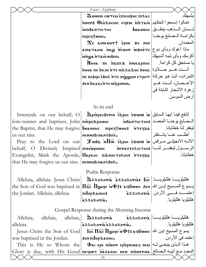|                                                                                                                                                                                                                                                                                                                        | Feasts - Epiphany                                                                                                                                                                                                                                                                                                                                     |                                     |
|------------------------------------------------------------------------------------------------------------------------------------------------------------------------------------------------------------------------------------------------------------------------------------------------------------------------|-------------------------------------------------------------------------------------------------------------------------------------------------------------------------------------------------------------------------------------------------------------------------------------------------------------------------------------------------------|-------------------------------------|
|                                                                                                                                                                                                                                                                                                                        | Дмони сотем еписофос пілас                                                                                                                                                                                                                                                                                                                            | يشبهك.                              |
|                                                                                                                                                                                                                                                                                                                        | تعالوا إسمعوا الحكيم   πτaio مiaττία (φοδιοσιος εqxw) و                                                                                                                                                                                                                                                                                               |                                     |
|                                                                                                                                                                                                                                                                                                                        | <b>MILIBANTICTHC</b>                                                                                                                                                                                                                                                                                                                                  | لـــسان الــــذهب ينطــــق  lωaлинс |
|                                                                                                                                                                                                                                                                                                                        | nipect conc.                                                                                                                                                                                                                                                                                                                                          | بكرامة المصابغ يوحنا                |
|                                                                                                                                                                                                                                                                                                                        | $\boldsymbol{\chi_{\epsilon}}$ ainauov† èpok $\boldsymbol{\kappa}$ e niu                                                                                                                                                                                                                                                                              | المعمدان ِ                          |
|                                                                                                                                                                                                                                                                                                                        | ماذا أعوك وبأى نوع Trándy vous raude watana                                                                                                                                                                                                                                                                                                           |                                     |
|                                                                                                                                                                                                                                                                                                                        | .nadin oiarní auniu                                                                                                                                                                                                                                                                                                                                   | أكر مك وبأى شبه أشبهك               |
|                                                                                                                                                                                                                                                                                                                        | يا مستحق كل كرامة. Μθοκ πε περολχ λικερπος                                                                                                                                                                                                                                                                                                            |                                     |
|                                                                                                                                                                                                                                                                                                                        | أنست هسو حسلاوة  voc x τε πκιμ ήτε nik λa λoc ήθοκ   ε                                                                                                                                                                                                                                                                                                |                                     |
|                                                                                                                                                                                                                                                                                                                        | الثمرات، أنت هو حركة  пе пюри ебо лте мю удни етрнт                                                                                                                                                                                                                                                                                                   |                                     |
|                                                                                                                                                                                                                                                                                                                        | onnyxin a Thisaxin nas                                                                                                                                                                                                                                                                                                                                | الأغسصان، أنست هسو                  |
|                                                                                                                                                                                                                                                                                                                        |                                                                                                                                                                                                                                                                                                                                                       | ز هر ة الأشجار النابتة في           |
|                                                                                                                                                                                                                                                                                                                        |                                                                                                                                                                                                                                                                                                                                                       | أر ض السو سن.                       |
|                                                                                                                                                                                                                                                                                                                        | At its end                                                                                                                                                                                                                                                                                                                                            |                                     |
|                                                                                                                                                                                                                                                                                                                        | Intercede on our behalf, O <i>DpinpecBevin esphi</i> exwn: أيها السابق  Intercede on our behalf, O                                                                                                                                                                                                                                                    |                                     |
|                                                                                                                                                                                                                                                                                                                        | fore-runner and baptizer, John <i>πίπρο</i> λρομος <b>islaπ</b> τις runner and baptizer, John <i>πίπρο</i> λρομος islam τις πιετριεί                                                                                                                                                                                                                  |                                     |
|                                                                                                                                                                                                                                                                                                                        | the Baptist, that He may forgive lwannuc πιρεςτωποιε πτες λειρίως     ιέλει τρε                                                                                                                                                                                                                                                                       |                                     |
| us our sins.                                                                                                                                                                                                                                                                                                           | nennoßinaneßo $\lambda$ .                                                                                                                                                                                                                                                                                                                             | أطلسب عنسا يانساظر                  |
|                                                                                                                                                                                                                                                                                                                        | Pray to the Lord on our <b>J</b> wBe $\overline{u}$ $\overline{10\pi}$ $\overline{10}$ $\overline{10}$ $\overline{10}$ $\overline{10}$ $\overline{10}$ $\overline{10}$ $\overline{10}$ $\overline{10}$ $\overline{10}$ $\overline{10}$ $\overline{10}$ $\overline{10}$ $\overline{10}$ $\overline{10}$ $\overline{10}$ $\overline{10}$ $\overline{10$ |                                     |
|                                                                                                                                                                                                                                                                                                                        | behalf, O Divinely Inspired пьешримос метаттельстнс: الرسول ليغفر لنا                                                                                                                                                                                                                                                                                 |                                     |
|                                                                                                                                                                                                                                                                                                                        | Evangelist, Mark the Apostle, Uapkoc πιλποστολος: Ντειχα                                                                                                                                                                                                                                                                                              | خطايانا                             |
| that He may forgive us our sins.   NENNOBINANEBOX.                                                                                                                                                                                                                                                                     |                                                                                                                                                                                                                                                                                                                                                       |                                     |
|                                                                                                                                                                                                                                                                                                                        | Psalm Response                                                                                                                                                                                                                                                                                                                                        |                                     |
|                                                                                                                                                                                                                                                                                                                        | $\mathbf{\hat{a}}$ айдарды халндотіз: $\mathbf{I}_{\text{HC}}$   далндотіз                                                                                                                                                                                                                                                                            |                                     |
| Alleluia, alleluia. Jesus Christ                                                                                                                                                                                                                                                                                       | the Son of God was baptized in $ \Pi \bar{ \mathrm{xc}}$ $\Pi \mathrm{gap}$ i w $\Phi$ t: aqoiwuc sen with the Son of God was baptized in $ \Pi \bar{ \mathrm{xc}} $ in we                                                                                                                                                                            |                                     |
|                                                                                                                                                                                                                                                                                                                        |                                                                                                                                                                                                                                                                                                                                                       |                                     |
| the Jordan. Alleluia, alleluia.                                                                                                                                                                                                                                                                                        |                                                                                                                                                                                                                                                                                                                                                       | هلليلو يا هلليلو يا.                |
|                                                                                                                                                                                                                                                                                                                        | azzhzoria.                                                                                                                                                                                                                                                                                                                                            |                                     |
|                                                                                                                                                                                                                                                                                                                        | Gospel Response during the Morning Incense                                                                                                                                                                                                                                                                                                            |                                     |
| Alleluia, alleluia, alleluia,                                                                                                                                                                                                                                                                                          | $\mathbf{\hat{a}}$ مُلليلويـــــا مَالليلويـــــا جَمهيه مسلمين هنا هاليلويــــــا م                                                                                                                                                                                                                                                                  |                                     |
| alleluia.                                                                                                                                                                                                                                                                                                              | άλλμλογιά άλλμλογιά.                                                                                                                                                                                                                                                                                                                                  |                                     |
| Jesus Christ the Son of God                                                                                                                                                                                                                                                                                            | $1$ يسو ع المسيح إبن الله $\pm$ يسو ع المسيح إبن الله $\pm$ ت                                                                                                                                                                                                                                                                                         |                                     |
| was baptized in the Jordan. $\beta \in \mathbb{R}$ $\mathbb{Z}$ $\mathbb{Z}$ $\mathbb{Z}$ $\mathbb{Z}$ $\mathbb{Z}$ $\mathbb{Z}$ $\mathbb{Z}$ $\mathbb{Z}$ $\mathbb{Z}$ $\mathbb{Z}$ $\mathbb{Z}$ $\mathbb{Z}$ $\mathbb{Z}$ $\mathbb{Z}$ $\mathbb{Z}$ $\mathbb{Z}$ $\mathbb{Z}$ $\mathbb{Z}$ $\mathbb{Z}$ $\mathbb{Z}$ |                                                                                                                                                                                                                                                                                                                                                       | إعتمد في الأر دن.                   |
|                                                                                                                                                                                                                                                                                                                        | This is He to Whom the   Φαι ερε πιωον ερπρπικας κεν   مذا الذي ينبغي له                                                                                                                                                                                                                                                                              |                                     |

16

ב مع أبيه الصالح Glory is due, with His Good πεγιωτ λλετλοσ κεν πιπκεννα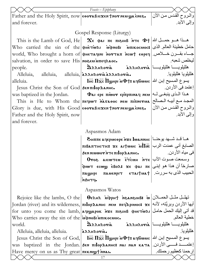|                                                                             | Feasts - Epiphany                                                                                                                           |                        |
|-----------------------------------------------------------------------------|---------------------------------------------------------------------------------------------------------------------------------------------|------------------------|
| Father and the Holy Spirit, now esporaBicxen fror new wa enes.              |                                                                                                                                             | والمروح القدس مـن الأن |
| and forever.                                                                |                                                                                                                                             | وإلى الأبد             |
|                                                                             | Gospel Response (Liturgy)                                                                                                                   |                        |
|                                                                             |                                                                                                                                             |                        |
|                                                                             | This is the Lamb of God, He $\alpha$ e $\alpha$ i ne $\alpha$ and $\alpha$ $\alpha$ $\alpha$ $\beta$ $\gamma$ and $\alpha$ $\alpha$ $\beta$ |                        |
|                                                                             | حامل خطيئة العالم. الذي   Who carried the sin of the  φнетωλι  ѝфнові мпикосмос:                                                            |                        |
|                                                                             | world, Who brought a horn of фистачин моттап мошт сореч   world, Who brought a horn of                                                      | ليخلص شعبه             |
| salvation, in order to save His noesew υπεγλεύο.                            | AAAHAOTIA aAAHAOTIA allyoogia                                                                                                               |                        |
| people.<br>Alleluia, alleluia, alleluia, aranzoria anarra.                  |                                                                                                                                             | هلليلويا هلليلويا.     |
| alleluia.                                                                   | $\overline{\text{Irr}}$ Гл $\overline{\text{sc}}$ Пунрт и $\Phi$ †: дертомс $ \psi\rangle$ إين الله                                         |                        |
| Jesus Christ the Son of God Sen Tilop Lanne.                                |                                                                                                                                             | إعتمد في الأر دن.      |
|                                                                             | was baptized in the Jordan. $\ \Phi_{\text{a}}\ $ epe $\pi$ iwor $\epsilon$ pitp $\pi$ inaq neu $ \Phi_{\text{a}} $                         |                        |
|                                                                             | This is He to Whom the <i>nequor</i> Maraooc new ninnerua   المجد مع أبيه الصالح                                                            |                        |
| Glory is due, with His Good $\epsilon$ espandic xent nor new $\alpha$ enes. |                                                                                                                                             | والروح القدس من الأن   |
| Father and the Holy Spirit, now                                             |                                                                                                                                             | وإلى الأبد.            |
| and forever.                                                                |                                                                                                                                             |                        |
|                                                                             |                                                                                                                                             |                        |
|                                                                             | Aspasmos Adam                                                                                                                               |                        |
|                                                                             | ها قد شديد بوحنا   Знипе ачерме ре ихе lwannнс                                                                                              |                        |
|                                                                             | $\texttt{minBATTHCTIC}$ 28 $\texttt{if}$ $\texttt{inB}$ $\texttt{inC}$ $\texttt{inC}$ $\texttt{inR}$ $\texttt{inC}$                         |                        |
|                                                                             | δεΝ ΝΙΜΜΟΥΝΤεπιορλανΗς.                                                                                                                     | في مياه الأردن.        |
|                                                                             | $0$ وسمعت صوت الآب   $\frac{1}{100}$ Hust's and $\frac{1}{100}$                                                                             |                        |
|                                                                             | حمارخاً أن هذا هو إبنى   Φιωτ εςωω εδολ: xε φλι πε                                                                                          |                        |
|                                                                             | $\pi$ الحبيب الذي به سررت.   $\tau$ ыть пашемрнт стаг $\tau$ ыть па                                                                         |                        |
|                                                                             | •ртн&и                                                                                                                                      |                        |
|                                                                             | Aspasmos Watos                                                                                                                              |                        |
|                                                                             | Rejoice like the lambs, O the <b>  Осана морнт полнателя и</b> $\omega$   اتّهلّل مثّل الحمــلان                                            |                        |
|                                                                             | أيها الأردن وبريَّته، لأنه  Jordan (river) and its wilderness, πιlορ ${\bf x}$ амнс иєм пє́ч ${\bf x}$ рιмос ${\bf x}$ لأنه عا              |                        |
|                                                                             | for unto you come the lamb, <mark>aque apok nxe πιειμβ φμετωλι</mark> محامل                                                                 |                        |
| Who carries away the sin of the <i>indrobi</i> introcuoc.                   |                                                                                                                                             | خطية العالم            |
| world.                                                                      | هالليلويـــــا هالليلويـــــا arantoria (مطليلويــــــا هاليلويـــــا                                                                       |                        |
| Alleluia, alleluia, alleluia.                                               | aλλHλoria.                                                                                                                                  | هلليلويا.              |
|                                                                             | Jesus Christ the Son of God,   Пнс Пхс Полнрг и Фт: добюмс  بسوع المسيح إبن الله ]                                                          |                        |
|                                                                             | was baptized in the Jordan.   бем пі lор даннс: маі мам ката   اعتمـــــــــــــــــــــــــــــــــ الأردن.                                |                        |
| Have mercy on us as Thy great πεκνιωτίνει.                                  |                                                                                                                                             | إرحمنا كعظيم رحمتك     |
|                                                                             | 17                                                                                                                                          |                        |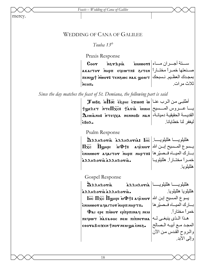*Feasts – Wedding of Cana of Galilee* 

mercy.

#### WEDDING OF CANA OF GALILEE

 *Touba 13th*

Praxis Response

Coor inerapia سمستة أجسران مساء||Coor صمنعتها خمـراً مختــاراً| akartoγ` м̀нрπ eqcωтπ: وakartoγ` بمجدك العظـيم. نـسبحك | пемют: темвос мак шоит  $\sim$ 

ثلاث مرات.

 *Since the day matches the feast of St. Demiana, the following part is said* 

 $\mathbf T$ ست الرب عنـا $\mathbf w$  أطلبـى مـن الـرب عنـا $\mathbf w$  ، ف $\mathbf m$  ، ف $\mathbf w$  $\pm$ يـــا عـــروس المـــسيح| $\max$ імин، عـــروس المـــسيح  $\bf \Delta$ וلقديسة الحقيقيـة دميانـة، $\bf |\bf x$ паня пови лан القديسة الحقيقيـة دميانـة، `ebol. ليغفر لنا خطايانا.

Psalm Response

هلليلويـــــا هلليلويـــــا | İnc larakaria مقاسيلويـــــا م  $\Pi$ يــسوع المــسيح إبــن الله $\mathbf{p}$ ن  $\mathbf{p}$ يــسوع المــسيح إبــن الله بسارك الميساه فــصيّر ها $\bm{\pi}$ янр $\bm{\pi}$  инрт $\bm{\pi}$  الميساه فــصيّر ها  $\lambda \lambda A A \lambda$ oria  $\lambda \lambda A A \lambda$ oria.

خمـر أ مختــار أ هلليلويــا هلليلويا.

Gospel Response

هلليلويـــــــا هلليلويـــــــا ārakaria مقاطيلويــــــا مشتمر  $\lambda \lambda \lambda H \lambda$ ori $\lambda \lambda \lambda H \lambda$ ori $\lambda$ .  $1$ يسو ع المسيح إبن الله $\mathbf r$ ه $\mathbf r$ و aqc $\mathbf v$ سيح إبن الله enimwor aqaitor nhpn nhptn.  $\Phi$ ai ερε πιωον ερπρπιηας nem песимт матаоос мем піпметиа عدا المذى ينبغى لـه esora da provincen en una conces-هلليلويا هلليلويا. بسارك الميساه فـصيّرها| خمراً مختارا.ً المجد مع أبيـه المصالح والمروح القدس من الآن وإلى الأبد.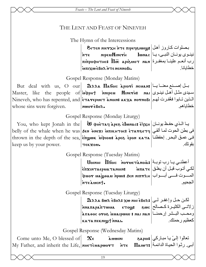*Feasts – The Lent and Feast of Nineveh* 

# THE LENT AND FEAST OF NINEVEH

The Hymn of the Intercessions

بصلوات کاروز أهل| $\mathbf{v}$ утел лие $\mathbf{v}$ те преч $\mathbf{s}$ نينـوى يونــان النبـى، يــا $\vert$  سان النبـي، يـان النبـي، ي  $\min$ رب أنعـم علينــا بمغفـرة $\max$  ممه $\overline{\rm ~m}$  ههر $\max$  بمغفـرة `mpixw `ebol `nte nennobi. خطايانا.

Gospel Response (Monday Matins)

 $\rm{But\;\; deal\;\; with\;\;us,\;\;O\;\;\; our\vert\;\;\; 3$ بـل إصــنـع معنــا يــا إ Master, like the people of $|$ ம்ர்pн $+$  ו́миреи  $\,$  Миет̀н $\,$  мат $\,$  مث $\,$ ا أه $\,$  فنينـوى $\,$ Nineveh, who has repented, and |हेनरु repueт तेnoin: الذين تـابوا فغُفرت لهم whose sins were forgiven. nworeBox. خطاياهم.

Gospel Response (Monday Liturgy)

 ${\rm You,\ who\ kept\ Jonathan\ in\ the\}$  يا الذي حفظ يونـان  ${\bf x}$ ه اله ${\bf x}$ ه ان  ${\bf y}$  بالذي حفـظ يونـان keep us by your power.

belly of the whale when he was 'en `qneji `mpikhtoc> `etau\etf فى بطن الحوت لمѧا ألقѧي thrown in the depth of the sea,  $\ket{\tilde{\mathfrak{e}}}$ йуюи: مهرق البحر. إحفظنـا $\ket{\mathfrak{so}}$  грол ката البحر. TEKXOU.

Gospel Response (Tuesday Matins)

 ${\bf U}$ о́ини  $~\overline {\bf H}$ бою мотиєта̀ло ${\bf i}$ з توبـة  $\bf i$ لكي أتوب قبل أن يغلق| imaraephatanoin: من توب قبل أن يغلق المسوت فسى أبسواب | μανα зон милтан المسوت فسى أبسواب  $\frac{1}{2}$ nte àssent.

الجحيم.

بقوتك.

Gospel Response (Tuesday Liturgy)

 $\max$ ه Bwa ẽBoa: لكن حـل وإغفـر لـى ز لاتــى الكثيـرة كــصـالح| swc وстора́лътиялара̀птwиа ето ومحــب البــشر إرحمنـــا| nan l nai اسمه بمعتمة همهمتم kata πεκniωt nnai.

آعظيم رحمتك.

Gospel Response (Wednesday Matins)

Come unto Me, O blessed of My Father, and inherit the Life,  $\boldsymbol{\chi}_{\mathfrak{e}}$  àuwini dapoi**:**  ${\bf n}$ нетсмаршотт `nte  ${\bf \Pi}$ аншт ${\bf s}$ تعالوا إلىّ يـا مبـاركي أبـي. رثـوا الحيـاة الدائمـة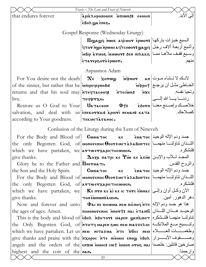Feasts - The Lent and Feast of Nineveh إلى الأبد that endures forever apik Ahponomin мионочная .eBoa wa ènes Gospel Response (Wednesday Liturgy) Thuyay nwik adcuor epwor: السبع خبزات باركها وأشبع أربعة ألاف رجل | gror ngo npww a qrciwor: يواشبع أربعة ألاف رجل e وسبع قفف ملأها مصا | aBip arwo i wwors den nisaka ETATEPSOTOEPWOT. Aspasmos Adam لانبك لا تبشاء مبوت | an For You desire not the death  $\boldsymbol{\chi}_{\mathfrak{e}}$  zorwy udwor الخــاطئ مثــل أن برجــع||pptj فقر<br>وتحيا نفسه<br>ردنـــــا بـــــا الله إلـــــى| of the sinner, but rather that he  $\lambda$   $\pi$  responses: returns and that his soul may **NTECTACOOLS** MTECWNS live. тесчетхн. خلاصـك وإصـنع معنـا | e3orn 中4 Restore us O God to Your **U**atacoon salvation, and deal with us *enekorzai* apiori neuan: Kata كصلاحك according to Your goodness. TEKMETAFAOOC.

Conlusion of the Liturey during the Lent of Nineveh

|                                                       | For the Body and Blood of CWUATOC KE EUATOC $ \psi $ جسد ودم الإله الوحيد                                   |                                                                                                       |
|-------------------------------------------------------|-------------------------------------------------------------------------------------------------------------|-------------------------------------------------------------------------------------------------------|
|                                                       | the only Begotten God, of ионотенно Осотемет хлавонтес   الله خان تناولنسا منهمسا                           |                                                                                                       |
| which we have partaken, we arTwerxapicTHCWMEN.        |                                                                                                             | فلنشكر م                                                                                              |
| give thanks.                                          | $\Delta$ ођа патрі ке 'Рі̀ш ке а̀тіш المجـد لــلأب والإبــن                                                 |                                                                                                       |
| Glory be to the Father and $\prod$ Nerua TI.          |                                                                                                             | والروح القدس                                                                                          |
|                                                       | the Son and the Holy Spirit. $\qquad$   Cwuatoc Ke $\qquad$ Euatoc  الإله الوحيد                            |                                                                                                       |
|                                                       | For the Body and Blood of word The Cortue TaxBortec   الله ذان تناولنسا منهمسا                              |                                                                                                       |
| the only Begotten God, of <b>атто етхаристноммен.</b> |                                                                                                             | فلنشكر م<br>the control of the control of                                                             |
|                                                       | which we have partaken, we <b>Kentraken الآن وكحل أوان وإلى ا</b>                                           |                                                                                                       |
| give thanks.                                          | MHUS INWNWS NOT                                                                                             | دهر الدهور أمين في المستخدم المستخدم المستخدم المستخدم المستخدم المستخدم المستخدم المستخدم المستخدم ا |
|                                                       | Now and forever and unto <b>Φai πε πιcωμα NER PHOTE</b> All Age exist and unto                              |                                                                                                       |
|                                                       | the ages of ages. Amen.   пиомотемнс имот+: мат етамбн   الوحيد هـذان اللـذان                               |                                                                                                       |
|                                                       | This is the body and blood of $\epsilon$ Bos MAHTOT: идрен фенелот   انخاولنسا منهما فلنشكره                |                                                                                                       |
|                                                       | the Only Begotten God, of <i>i</i> rory wapen swe new marre noc and the Only Begotten God, of <i>i</i> rory |                                                                                                       |
|                                                       | which we have partaken. Let us nee NITATEL NTE MOICI NEE PLATE                                              |                                                                                                       |
|                                                       | give thanks and praise with the <i>n</i> xopoc NTE MIDINE 100 and praise with the now to now the word of a  |                                                                                                       |
|                                                       | angels and the orders of the enxw innoc: cwt innon oros nai in all angels and the orders of the enxw        |                                                                                                       |
| highest and the coir of the $n_{\text{max}}$ .        |                                                                                                             | وإرحمنا                                                                                               |
|                                                       |                                                                                                             |                                                                                                       |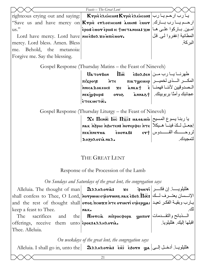|                                               | Feasts - The Great Lent                                                                                                     |                                       |
|-----------------------------------------------|-----------------------------------------------------------------------------------------------------------------------------|---------------------------------------|
|                                               | righteous crying out and saying:   Krpie enericons Krpie enericons   يا رب ارحم يا رب                                       |                                       |
|                                               | ارحم يسارب بسارك [/save us and have mercy on Krpic стлотнсом: مسلم: "Save us and have mercy on"                             |                                       |
| $\mathrm{us."}$                               | أمـين. بــاركوا علــي هــا  epor to †иєтанова: хω                                                                           |                                       |
| Lord have mercy. Lord have мне вол хомпіснот. |                                                                                                                             | المطانية إغفروا لي قل                 |
| mercy. Lord bless. Amen. Bless                |                                                                                                                             | البر كة ِ                             |
| Behold, the metanoia:<br>me.                  |                                                                                                                             |                                       |
| Forgive me. Say the blessing.                 |                                                                                                                             |                                       |
|                                               | Gospel Response (Thursday Matins – the Feast of Nineveh)                                                                    |                                       |
|                                               | $U$ d dyling $\overline{\text{Im}}$ dyling $\overline{\text{Im}}$ dyling $\overline{\text{Im}}$                             |                                       |
|                                               | $\pi$ المكـــر الـــذى لخميـــر  пѝхроче эттє пилт $\mathbf{y}$ емнр                                                        |                                       |
|                                               |                                                                                                                             |                                       |
|                                               | عجائبك وأمنًا بربوبيتك   тек̀уфнрі: отог думар                                                                              |                                       |
|                                               | ETEKMETOC.                                                                                                                  |                                       |
|                                               | Gospel Response (Thursday Liturgy – the Feast of Nineveh)                                                                   |                                       |
|                                               |                                                                                                                             |                                       |
|                                               | $\chi_{\epsilon}$ Пенос Inc $\Pi$ хс: идеаміо $ z $<br>إجعل للكَ فينا هيكلاً   эти нак марн яльнтем: потерфен ите           |                                       |
|                                               | пекпиетиа                                                                                                                   | لروحـــــك القــــــدوس  60003: 60003 |
|                                               | λοξολογια Ναλ.                                                                                                              | لتمحدك                                |
|                                               |                                                                                                                             |                                       |
|                                               |                                                                                                                             |                                       |
|                                               | THE GREAT LENT                                                                                                              |                                       |
|                                               | Response of the Procession of the Lamb                                                                                      |                                       |
|                                               | On Sundays and Saturdays of the great lent, the congregation says                                                           |                                       |
|                                               | Alleluia. The thought of man   Дллнлотіз: хє диєті   نفكـــر                                                                |                                       |
|                                               | shall confess to Thee, O Lord, Morpwui eqeorwing nakeBos $\overline{\textbf{1}\varpi}$ : الإنسسان يعتسرف لمسك               |                                       |
|                                               | and the rest of thought shall oros ncwxn NTE orueri eqeepwar = الجارب وبقية الفكر تعيد                                      |                                       |
| keep a feast to Thee.                         | NAK.                                                                                                                        |                                       |
| The                                           | sacrifices and the Miorcia Mipocoopa yoπor  المسذبائح والتقسدمات   sacrifices and the                                       |                                       |
| offerings, receive them unto epok: aλληλονιλ. |                                                                                                                             | اقبلها إليك هلليلويا                  |
| Thee. Alleluia.                               |                                                                                                                             |                                       |
|                                               |                                                                                                                             |                                       |
|                                               | On weekdays of the great lent, the congregation says                                                                        |                                       |
|                                               | Alleluia. I shall go in, unto the <b>DAAHAOTIA:</b> The ied orn ya . [با ادخل إلى العربية Alleluia. I shall go in, unto the |                                       |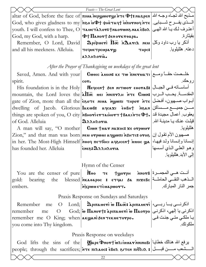|                                                                           | Feasts - The Great Lent                                                                                                                                                         |                                        |
|---------------------------------------------------------------------------|---------------------------------------------------------------------------------------------------------------------------------------------------------------------------------|----------------------------------------|
|                                                                           | altar of God, before the face of <b>TIINA NEPLYWOTLY</b> in the the spen above altar of God, before the face of $\vert$ $\pi$ INA NEPLY in the $\Phi$ t: na spen $\vert$ $\phi$ |                                        |
|                                                                           | المسنوى يفسرح شسبابي.   God, who gives gladness to my   πεο μΦ + φμεταιμ inornoy nτε                                                                                            |                                        |
|                                                                           | youth. I will confess to Thee, O таметадот: tнаотонанак евод   أعترف لك يـا الله الهـى                                                                                          |                                        |
| God, my God, with a harp. $ \Phi \dagger \Pi$ anor $\dagger$ senorkroapa. |                                                                                                                                                                                 | بقيثارة                                |
| Remember, O Lord, David                                                   | $\mathbf{\Omega}$ اَذکر یا رب داود وکل $\mathbf{\Omega}$ neu اَذکر یا رب داود وکل                                                                                               |                                        |
| and all his meekness. Alleluia.                                           | тнрс:<br>течиетреира <i>т</i> у                                                                                                                                                 | دعته هلليلويا.                         |
|                                                                           | αλλΗλονια.                                                                                                                                                                      |                                        |
|                                                                           | After the Prayer of Thanksgiving on weekdays of the great lent                                                                                                                  |                                        |
|                                                                           | Saved, Amen. And with your Cwore LUHN: KE TW METUATI 200                                                                                                                        |                                        |
| spirit.                                                                   | $cor$ .                                                                                                                                                                         | روحك.                                  |
|                                                                           | His foundation is in the Holy   Negcent Sen NITWOY 600YAB: أساساته في الجبال                                                                                                    |                                        |
|                                                                           | mountain, the Lord loves the alla More innin are Cross =   بالمقدسة يحب الرب                                                                                                    |                                        |
|                                                                           | gate of Zion, more than all the <b>eso τε Mus Mywπι τ</b> Ηρον nτε ابواب صدهيون، افضل                                                                                           |                                        |
|                                                                           | dwelling of Jacob. Glorious lаков: ачсах совнт мали فسن جميع مسساكن                                                                                                             |                                        |
|                                                                           | things are spoken of you, O city MBнотієттанотт †ВакінтєФ†. عقوب أعمال مجيدة قد                                                                                                 |                                        |
| of God. Alleluia                                                          | Далнлоты                                                                                                                                                                        | قبِلت عنك يـا مدينــة الله ِ           |
|                                                                           | A man will say, "O mother   Ciwn tuar naxoc: xe orpwur                                                                                                                          | هلليلويا.                              |
|                                                                           | Zion," and that man was born   nευ ονρωυι λημοπι λέμτα ονος   الأم تقول إن                                                                                                      |                                        |
|                                                                           | in her. The Most-High Himself nood $n$ revious adencent issue $\mathbf{w}$                                                                                                      | إنسانا وإنسانا ولد فيها،               |
| has founded her. Alleluia   Enee: DAARHAOTIL                              |                                                                                                                                                                                 | وهو العليي الذي أسسها                  |
|                                                                           |                                                                                                                                                                                 | إلى الأبد هللبلويا                     |
|                                                                           | Hymn of the Censer                                                                                                                                                              |                                        |
|                                                                           | You are the censer of pure <b>Noo</b> $\tau \epsilon$ tyorph $\text{inomial}$ $\epsilon$ $\text{inomial}$                                                                       |                                        |
|                                                                           | gold: bearing the blessed ME ARAOAPOC : εταλι δι πιχεβς المستقلم التفسي الحاملة                                                                                                 |                                        |
| embers.                                                                   | a Trowy Eric Wapor To                                                                                                                                                           |                                        |
| Praxis Response on Sundays and Saturdays                                  |                                                                                                                                                                                 |                                        |
|                                                                           | Remember me O Lord; <b>D</b> piπλμετι ω Πλστε λριπλμετι (اذكرنسي يسا ربسي                                                                                                       |                                        |
| remember<br>me                                                            | $\hbox{O}-\hbox{God};$ اذكرنى يا إلهي، اذكرنى $ \hbox{G}$ тамот $\mathbf{t}$ : أفكرنى يا إلهي، اذكرنى                                                                           |                                        |
| remember me O King; when akyanisen TekneTorpo.                            |                                                                                                                                                                                 | يــا ملكــي متــي جئـت فــى <br>ملكوتك |
| you come into Thy kingdom.                                                |                                                                                                                                                                                 |                                        |
|                                                                           | Praxis Response on weekdays                                                                                                                                                     |                                        |
|                                                                           | God lifts the sins of the Wape Dnort writus rinnnoBI                                                                                                                            |                                        |
|                                                                           | people; through the sacrifices; <i>i</i> nτε πιλλος: εδολ ειτεν πιδλιλ :   مسن قبسل                                                                                             |                                        |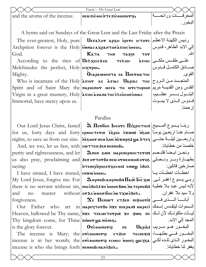|                               | Feasts – The Great Lent         |  |
|-------------------------------|---------------------------------|--|
| and the aroma of the incense. | -   ΝΕΩ ΠΙΣΘΟΙ ΝΤΕ ΠΙΣΘΟΙΝΟΥ (I |  |

A hymn said on Sundays of the Great Lent and the Last Friday after the Praxis

The ever-greatest, Holy, pure | Петалот архн еретс ютотс | الاعظم الكهنة الاعظم Archpriest forever is the  $Holy$  EWNAC AXPANTON AVIOC 0060C. God. **Ката** 

According to the rites of  $U\in \mathbb{R}$ xice $\mathbf{r}$ ek Melchisedec the perfect, Holy rex rpoc. Mighty.

Immortal, have mercy upon us.

 $70$ **NHT NISAT** Τελιος  $0$ саркшөента ек Пнетматос

Who is incarnate of the Holy  $\|$ а́ую ке а̀унас  $\|$   $\|$ дриас  $\|$ тнс $|$   $\leq$   $\|$   $\leq$   $\|$   $\leq$   $\|$ Spirit and of Saint Mary the пароснот нета то итстирюн ريم القديسة مريم Virgin in a great mustery, Holy **атносабляетоселенсопнилс** 

# Parallax

Our Lord Jesus Christ, fasted

And, we too, let us fast, with **contract Sen NennoBi.** purity and righteousness, and let | Элюм гом иаремеринстетин: ونحن ايضاً فانسصم saying:

I have sinned, I have sinned, enxwinnoc. and  $no$ master forgiveness.

Our Father who Thy kingdom come, for Thine πιωον ψα nienes. is the glory forever.

incense is who she brings forth | NENNOBINANEBOX.

 $\mathbf{\hat{R}}$  Пембою Інсото Піхрютос: مبنا يسوع المسيح for us, forty days and forty еринстети едрни ехим: меле ربعين يوماً for us, forty days and forty nights, to save us from our sins. | nesoor neusue nexupes ya n Teq| واربعــين ليلــة حتـــى

us also pray, proclaiming and SEN OTTOTBO NEN OTHEONHIS OTOS (بطهارة وبسر ونسصلي NTENEPITPOCETXECOE: ENWW EBOX

ربے یسوع إغفر لے. My Lord Jesus, forgive me. For | இராலமாகாராலி: Пао Iнс хо | ربے یسوع إغفر لے. there is no servant without sin, лноеволеже мом вок на тернови at there is no servant without sin, лноеволеже without **or Le innon Troc ha TxweBox.** 

 $\chi_{\epsilon}$  Пемют  $\epsilon$ тдем мфнот:  $\frac{1}{\epsilon}$ ابانسا المسدی فسسی art in | Mapeq TorBo λαε πεκραΝ: Mapeci | المسموات ليتقدس إسمك Heaven, hallowed be Thy name,  $\vert$ אוצנ דנג של א אשאס אצב של האשה Heaven, hallowed be Thy name,  $\vert$ אב ה

Orcoomorg  $\pi \epsilon$ The incense is Mary; the orcoomory ETSEN TECNEXIS (البخور في بطنها) incense is in her womb; the orcoomorg scular innoq yagxa |البخور الذي تلده لكي

عليے طقس ملکے | asioc صبادق الكاميل قيدوس القو ي البتسول بسسر عظسيم، قدوس النذي لا يمسوت ار حمنا

إلى الابد الطاهر ، قدوس

البخور ِ

الله

خلصنا من خطابانا صـار خين قائلين: اخطأت اخطأت با ولا سيد بلا غفران المجد إلى الابد. البخـور هـو مـريم، |Uapia:

بغفر لنا خطابانا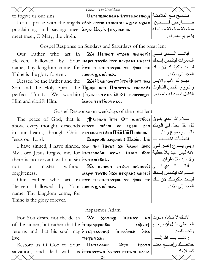| to fogive us our sins.                                          | $\vert$ Uapenswo neu niassesoo enwy $\vert$ الملائك $\vert$ iloshi are neu niassesoo enwy                                                                                                                                       |                               |  |
|-----------------------------------------------------------------|---------------------------------------------------------------------------------------------------------------------------------------------------------------------------------------------------------------------------------|-------------------------------|--|
|                                                                 | Let us praise with the angels enso ensw muoc: xe aziac aziac   :فسائلين:   Let us praise with the angels                                                                                                                        |                               |  |
| proclaiming and saying: meet aziac Uapia Trapoenoc.             |                                                                                                                                                                                                                                 | مستحقة مستحقة مستحقة          |  |
| meet meet, O Mary, the virgin.                                  |                                                                                                                                                                                                                                 | يا مريم العذراء.              |  |
|                                                                 | Gospel Response on Sundays and Saturdays of the great lent                                                                                                                                                                      |                               |  |
|                                                                 | Our Father who art in $\mathbf{X}$ є Пемют єтдем мюрноті: أبانسا المسنوي فسسى                                                                                                                                                   |                               |  |
|                                                                 | Heaven, hallowed by Your   MapeerTorBo Mxe πεκρan: المسموات ليتقدس إسمك                                                                                                                                                         |                               |  |
|                                                                 | name, Thy kingdom come, for <i>n</i> xe τεκμετονρο: xe φωκ πε كلوتك لأن للك                                                                                                                                                     |                               |  |
| Thine is the glory forever.   Triwor wa niènes.                 |                                                                                                                                                                                                                                 |                               |  |
|                                                                 | Blessed be the Father and the $\ \mathbf{x}\ $ \$ مبارك الآب والأبــن Blessed be the Father and the $\ \mathbf{x}\ $                                                                                                            |                               |  |
|                                                                 | Son and the Holy Spirit, the <i>Ilger New Hinnerua</i> cooraB: والمروح القدس الثبالوث                                                                                                                                           |                               |  |
|                                                                 | perfect Trinity. We worship   t трьас стхнк свол: темотюют   رالكامل نسجد له ونمجده.                                                                                                                                            |                               |  |
| Him and glorify Him.   issued Tentivor nac.                     |                                                                                                                                                                                                                                 |                               |  |
|                                                                 | Gospel Response on weekdays of the great lent                                                                                                                                                                                   |                               |  |
|                                                                 |                                                                                                                                                                                                                                 |                               |  |
|                                                                 | The peace of God, that is <b>Jerman NTE Ф1 ОНЕТООС</b> 21                                                                                                                                                                       |                               |  |
|                                                                 | above every thought, descends enorc MBEN: ce espHI SEN above every thought, descends enorc                                                                                                                                      |                               |  |
|                                                                 | in our hearts, through Christ METENSHT: بالمصليح يسوع ربنا. المسيح بيسوع ربنا. المجمعة                                                                                                                                          |                               |  |
| Jesus our Lord.                                                 | اخطــأت اخطــأت يــا  Дıєрнові а́нернові: Пабо́ю І́нс ]                                                                                                                                                                         |                               |  |
|                                                                 | I have sinned, I have sinned, xw NHI EBOA: xe MUON BOK   ربي يسوع إغفر لي. [ I have sinned, I have sinned, xw                                                                                                                   |                               |  |
|                                                                 | My Lord Jesus forgive me, for MATEPNOBI: ονλε νιιοη σοις  الأنه لميس عبد بلا خطية                                                                                                                                               |                               |  |
| there is no servant without sin harxwebox.                      |                                                                                                                                                                                                                                 | ولا سيد بلا غفران ِ           |  |
| nor<br>a                                                        | master without <b>X</b> є пемют етдем міфноті: أبانسا المسدي فسـى                                                                                                                                                               |                               |  |
| forgiveness.                                                    | السموات ليتقدس إسمك Ιαρεςιτονβο λχε πεκρan: μapeci                                                                                                                                                                              |                               |  |
|                                                                 | Our Father who art in <i>n</i> xe τεκμετονρο: xe φωκ πε كليسات ملكوتك لأن للك                                                                                                                                                   |                               |  |
| Heaven, hallowed by Your πιωον ψα niènes.                       |                                                                                                                                                                                                                                 | المجد إلي الابد.              |  |
| name, Thy kingdom come, for                                     |                                                                                                                                                                                                                                 |                               |  |
| Thine is the glory forever.                                     |                                                                                                                                                                                                                                 |                               |  |
| Aspasmos Adam                                                   |                                                                                                                                                                                                                                 |                               |  |
|                                                                 | For You desire not the death $\ \mathbf{x}_{\epsilon} - \mathbf{x}_{o}$ $\mathbf{v}_{o}$ $\mathbf{v}_{o}$ $\mathbf{v}_{o}$ $\mathbf{v}_{o}$ $\mathbf{v}_{o}$ $\mathbf{v}_{o}$                                                   |                               |  |
| of the sinner, but rather that he $\lambda$ interpreque problem |                                                                                                                                                                                                                                 | الخـاطئ مثـل أن يرجـع  м̀фрн+ |  |
|                                                                 |                                                                                                                                                                                                                                 |                               |  |
|                                                                 | Teturns and that his soul may integrace out interiors in the selections of the live.<br>Live live estore us O God to Your Uaraceon Tequence is the serve that his soul memorial and the serve is organizated and deal with us e |                               |  |
|                                                                 |                                                                                                                                                                                                                                 |                               |  |
|                                                                 |                                                                                                                                                                                                                                 |                               |  |

Feasts - The Great Lent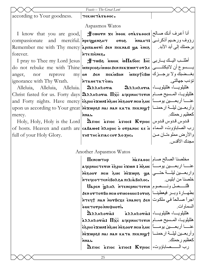#### *Feasts – The Great Lent*   $\arccot\ddot{\text{ang}}$  to Your goodness.  $\arctan\ddot{\text{arg}}$ Aspasmos Watos  $\texttt{I} \; \; \text{know} \; \; \text{that} \; \; \text{you} \; \; \text{are} \; \; \text{good}, \big| \; \; \; \text{#cworm} \; \; \text{xe} \; \; \text{noox} \; \; \text{oràsaeoc:} \big| \text{til} \; \text{GUS} \big|$ compassionate and merciful. *invequenent* oros innaht: Remember me with Thy mercy apinaueri sen neknai:  $\boldsymbol{\mathfrak{g}}$ a ènes forever. `nte pi`ene\. رؤوف ورحيم أذكرنــي|\$тиа́нт برحمتك إلى أبد الأبد.

I pray to Thee my Lord Jesus anger, nor reprove ignorance with Thy Wrath.

Alleluia, Alleluia, Alleluia. mercy.

Holy, Holy, Holy is the Lord full of your Holy Glory.

do not rebuke me with Thine **imepcosiimoi sen πεκαωn τον λε**  $\sharp$ тωв $\bm s$  مستف يساربى $\mathbf{I}$ تة مست $\mathbf{I}$ ه تاس بغــضبك ولا برجـــزك| on ðen πeκ̀ußon м̀πєр†̀cßω `ntametat `emi.

 $\mathrm{Christ~fasted~ for~us.~Forty~ days}|$ هلليلويسا، المسيح صسام and Forty nights. Have mercy **`e`ophi exwn: م**قامة and Forty nights. Have mercy upon us according to Your great |พัexwps: מפֿון אפּ κατα πεκνιφτ ||ترحمنـــا  ${\bf a}$ هلليلويسـا، هلليلويــــا، ${\bf a}$ هتليلويـــا، هلليلويـــا، `nnai.

رب الصاباؤوت، السماء|بنا оf hosts. Heaven and earth are|савашо: плнрнс о̀ отранос ке ̀н  ${\bf \hat{\Omega}}$ sıoc  $~\,$ آم $\,$ g agioc $~\,$  k $\,$ rpıoc  $\,$   $\,$ ندوس قـدوس  $\,$  $|$  3 H  $\,$  thc  $\,$  a siac coy  $\Delta$ o Zhc.

تؤدب جهالتى.

آعظيم رحمتك.

والأرض مملوءتـان مـن مجدك الأقدس.

# Another Aspasmos Watos

 $\Pi$ енс $\omega$ тнр aالربعــــين يومــــــاً عني مسكة مسن عنـــــا اربعـــــين يومـــــاً واربعــــين ليلــــة حتـــــي|مميع مع مع مون مع من مع موه مقدم من من مقدم حت integcotten eBorsa TILiaboroc. مخلصنا الصالح صـام| m̄aʊaoc

فأنسسصل ونسسصوم| Шарєм Улна мотерністечін بطهسارة وبسر فيعطينسا | aen or rorßo neu orue اجراً صـالحاً فـي ملكوت| หันพัดงายึะxе `enaneq 'aen أجراً صـالحاً فـي ملكوت ivou¢innoqvorauo

هلليلويسـا، هلليلويـــا، saraorià: `` هماليلويـــا، هلليلويـــا، а̀аллнлотı̀а:  $\Pi\bar{\rm xc}$  аqеринстетин $|$ ملليلويسا، المسيح صسام عنـــــا أربعـــــين يومـــــاً | эиی سه тоовэ́й эизй зиш де́э́ وأربعــين ليلــة ارحمنـــا| héxwps: nai nan kata πeknigh `nnai.

 ${\bf \hat{\Omega}}$ رب الــــــصاباؤوت، K ${\bf r}$ pioc `agioc:  ${\bf k}$ 

خلصنا من ابليس. السماوات.

آعظيم رحمتك.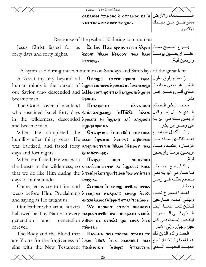*Feasts – The Great Lent*  cabawq> `plhrhc `o ouranoc ke `h الѧѧѧѧѧѧѧѧѧѧѧѧѧѧѧѧѧѧѧѧѧسماء والأرض THE THE A THAC COT  $\Delta$ O ZHC. مملو ءتـــان مــــن مجـــدك الأقدس. Response of the psalm 150 during communion

Jesus Christ fasted for us $\mid$   $\overline{\textbf{a}}$  l் $\overline{\textbf{a}}$  ерлнстетин ѐ $\overline{\textbf{c}}$ рни $\mid$ مسيح صــام forty days and forty nights. عنـــــا اربعـــــين يومـــــاً|عىىغ يوم مسموعة بن من من يومـــــاً  $\cdot$ sqo $\mathbf x$ ən $\vert$ واربعين ليلة.

A hymn said during the communion on Sundays and Saturdays of the great lent

became man.

and became man.

days and fort nights.

When He fasted, He was with  $\vert$  **N** days of our solitude.

and saying as He taught us.

forever.

The Body and the Blood that Picwma nem pi`cnof `ntak> pe الجسد والدم الѧذين لѧك are Yours for the forgiveness of $|\text{in} \text{x}$ w èbo $\text{a}$  `nte nennobi: neu $|$ معها لمغفرة الخطايـا مـع  $\sin$ sins with the New Testament $|$ † $\alpha$ і $\lambda$ әнкн  $\alpha$ мвері $\epsilon$  етактніс $|$ يشد الجديسد المسذي

A Great mystery beyond all Ouni]; `mmucthrion> efca سرٌ عظيم يفوق عقول البشر . هو سعي مخلصنا|Buman minds is the pursuit of $|\overline{\mathfrak{m}}$ wwi enino ${\mathfrak{m}}$ c  $\overline{\mathfrak{m}}$ wwi πε our Savior who descended and $|{\bf \dot{u}}$ Пємсωтнр ${\bf r}$ втачі ач ${\bf g}$ юлгі и ${\bf g}$ нрг $|$ بار إبـن `nrwmi.

The Good Lover of mankind Pimairwmi `n`agaqoc> who sustained Israel forty days $\ket{\Phi}$ ארڤ $\bm{\pi}$ ه میر $\mathbf{\bar{n}}$ مه المعرائيل $\ket{\psi}$ in the wilderness, descended $\vert$ אָמאָה ז $\alpha$  און τη τημαία αφωπι $\vert$ ωπι البريــة awan iquan محب البشر الصالح| sasaoo:

و لمما أكمل التواضـع | When He completed the | Єπαqxωκ ̀ $\,$ мпюєвιὸз мененса humility after thirty years, He $|$ بعــد ثلاثــين ســنة مــن $\,$ م مو $\,$ ه λομον $\,$ ، مه $\,$  من ما $\,$ was baptized, and fasted forty|عتمـدوصــام|بين، إعتمـد وصــام  $\mathbf{sgw}$ wr in e

the beasts in the wilderness, so $|$ єтач̀ерннсттин гитураче: الوحوش این میم الوحوش that we do like Him during the אדור זהרא πεчрн†: אות נשב בא הלאז (hat we do like Him during the SHOREM NIQHPIONS icixia.

Come, let us cry to Him, and  $\vert$  **Luwini intenwy or BHq oros** weep before Him. Proclaiming|พัรตทุนน พล&pay: enww èBo $\mathtt{a}$ |فهرخ نحـوه  $\text{Our Father who art in hexen} \left| \quad \mathbf{\mathbf{\mathfrak{X}}\varepsilon} \right. \left. \quad \text{then } \mathsf{m}\right.$   $\text{or} \mathsf{a} \mathsf{r} \left. \text{and} \right.$   $\text{For} \mathsf{m} \leftarrow \mathsf{a} \left. \text{and} \right.$ hallowed be Thy Name in every|ม&рєчтотво пхє пєкрам: تحمي السسموات | allowed be Thy Name in every generation and generation <mark>niben ke feneà: லூக ene& וل</mark>يتقـدس إسـمك فـي كـل ونبكي أمامـه، صــارخين| .enxw ونبكي أمامـه، صــارخين  $TIPRE<sub>2</sub>$ 

أتى وصار إبن بشر. ار بعـين يومــاً و أر بعـين ليلة. نمصنع مثله فمي زمـن وحدتنا. جيل وجيل. وإلي الابد.

بشر.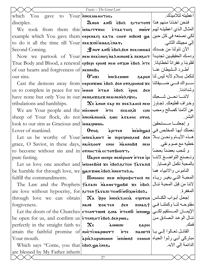|                                                                  | Feasts - The Great Lent                                                                                                              |                            |
|------------------------------------------------------------------|--------------------------------------------------------------------------------------------------------------------------------------|----------------------------|
| which You gave to Your Inneкмаентно.                             |                                                                                                                                      | اعطيته لتلاميذك            |
| disciples.                                                       | فنحن اخذنا منهم هذا Ιτοτοτ: εδολ διτοι                                                                                               |                            |
|                                                                  | We took from them this <i>i</i> лагттос $\frac{1}{2}$ $\frac{1}{2}$ $\frac{1}{2}$ $\frac{1}{2}$ $\frac{1}{2}$ المثال الذي اعطيته لهم |                            |
|                                                                  | example which You gave them еоремаю ката снот мивем: لكى نصنعه في كل حين                                                             |                            |
| to do it all the time till Your <del>nex xini in as conav.</del> |                                                                                                                                      | إلى مجيئك الثاني.          |
| Second Coming.                                                   | الآن تنولنا من جسدك  ქխոот албі є̀βоλбєн πєκсωма: الآن تنولنا من جسدك                                                                |                            |
|                                                                  | Now we partook of Your New πεκενιο λελθικον λεπειρει (الحقيقيين تجديداً                                                              |                            |
|                                                                  | True Body and Blood, a renewal epBepr epon: neu orxw eBox nTe   القلوبنا وغفرانا لخطايانا .   True Body and Blood, a renewal         |                            |
| of our hearts and forgiveness of <b>NENNOBI.</b>                 |                                                                                                                                      | أطــرد الــشيطان عنــا     |
| our sins.                                                        | $\delta$ النكمل بسلام لأنه ليس لنا $\sim$ 8apon النكمل بسلام لأنه ليس                                                                |                            |
|                                                                  | Cast the demons away from еөремхок евол бен отврнин: хе صلى ضعية اتفاء الكه فسي ضعية                                                 |                            |
|                                                                  | us to complete in peace for we innon NTAN EBOX EPOK SEN                                                                              | وشدائدنا                   |
|                                                                  | have none but only You in our neneoxes new nenearly net.                                                                             | لاننسا نحسن شسعبك          |
|                                                                  | tribulations and hardships. $\mathbf{X} \epsilon$ anon $\mathbf{x}$ ар п $\epsilon$ пек $\lambda$ аос: нем تجاوز   наривания в сек   |                            |
|                                                                  | We are Your people and the <b>Miccwor</b> $n = \frac{1}{\pi}$ $\frac{1}{\pi}$ $\frac{1}{\pi}$ $\frac{1}{\pi}$ $\frac{1}{\pi}$        |                            |
|                                                                  | sheep of Your flock, do not innenanousia ewe asaeoc oros                                                                             | البشر ِ                    |
| look to our sins as Gracious and <b>interprettion</b> .          |                                                                                                                                      | و إجعلنسا مسستحقين         |
| Lover of mankind.                                                | $0$ ros apiten neutral independence is $0$ ros                                                                                       |                            |
|                                                                  | Let us be worthy of Your inters wor w πηρεφηροεωι δεν / الأيسام ونحسن بالا                                                           |                            |
|                                                                  | grace, O Savior, in these days, naresoor enor naonoBi: neu                                                                           | خطيه مع صوم نقي.           |
| to become without sin and in <b>отнистіх естотвнотт.</b>         |                                                                                                                                      | و لنحب بعضناً بعضاً        |
|                                                                  | pure fasting.   Uapen Menpe Nenephor NTEN ipi اونسصنع التواضــغ لاننــا  pure fasting.                                               |                            |
|                                                                  | Let us love one another and interesios xe eBoASITEN TATATIS   بالمحبة نكمل الوصايا. [[                                               |                            |
| be humble for through love, we <b>was xox EBOA</b> MNENTOAH.     |                                                                                                                                      | الناموس والانبياء هما      |
| fulfill the commandments.                                        | $\Pi$ иломос мем мітрофн $\tau$ нс $\mathbf{r}$ пе $ $ المحبــة التــي بغيـر ريــاء                                                  |                            |
|                                                                  | The Law and the Prophets +λγαπι Mλθυετωοβι: xe εδολ   النا من قبل المحبة ننال                                                        |                            |
|                                                                  | are love without hypocrisy, for $\arctan \frac{1}{2}$                                                                                | المغفر ة                   |
|                                                                  | through love we can obtain $\alpha$ $\alpha$ фро мисканс $\alpha$ счотни $ \omega$ الكنائس                                           |                            |
| forgiveness.                                                     |                                                                                                                                      |                            |
|                                                                  | الإيمان المستقيم لكسي  Let the doors of the Churches  επιοντωη: 3ma ντεησι immy   مستقيم لكسي                                        |                            |
| be open for us, and confirm us <b>ETENSOTEBOA SENPWK.</b>        |                                                                                                                                      | ننــال الوعـد الـصـادق مـن |
| perfectly in the straight faith to $\mathbf{\Sigma}\epsilon$     | <b>iniwus</b><br>noqas                                                                                                               | فمك                        |
|                                                                  | القائـل تعـالوا إلـي يـا πκειταιής the faithful promise of nheтс̀марωοντ אדר πarw ווقائـل تعـالوا إلـي                               |                            |
| Your mouth.                                                      | مباركي أبي رثوا الحياه ипшола венни مباركي أبي رثوا الحياه                                                                           |                            |
| Which says "Come, you that eBox waenes.                          |                                                                                                                                      | الدائمة إلى الابد.         |
| are blessed by My Father inherit                                 | 27                                                                                                                                   |                            |
|                                                                  |                                                                                                                                      |                            |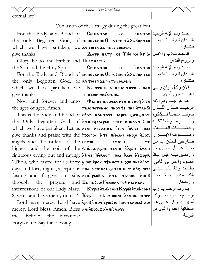eternal life".

#### Conlusion of the Liturgy during the great lent

For the Body and Blood of  $\mathbf C$  we also which we have partaken, we  $\alpha$  arrwerx apic ricomen. give thanks.

Glory be to the Father and *Inerua TI*. the Son and the Holy Spirit.

the only Begotten God, of **атто етхаристноммен.** which we have partaken, we **Kentraken Kestaken**  $\mathbf{K}$ e **Kentraken** Kestaken We ke versionac give thanks.

the ages of ages. Amen.

angels and the orders of the  $\epsilon n \times \omega$ prayers through the

mercy. Lord bless. Amen. Bless мнієвол хомпісног. me. Behold, the metanoia: Forgive me. Say the blessing.

the only Begotten God, of word rent Geor:  $u \in \mathbb{R}$  and  $v \in \mathbb{R}$  and  $v \in \mathbb{R}$ 

 $\Delta$ οξα πατρι κε Τιω κε λσιω  $|$ (المجد للأب والإبـن

COULATOC  $K \in$ For the Body and Blood of **монотенне Осотемет алавонтес** | المسنان تناولنا منهما

MHUA SHUNNUJJ NOT

Now and forever and unto **Φai πε πιονικα κει πιονογ**ήτε ( $\frac{1}{2}$ ) As Now and forever and unto  $\vert$  الوحيد هـذان اللـذان | пиомотемнс мотт: 1 лы пиомотемнс This is the body and blood of евох мантот: иарен уепемот | فانشكره / This is the body and blood of the Only Begotten God, of NTOTY NAPEN SWC NEN MATTEROC LANGE POINT DELITION which we have partaken. Let us nee NTATEL NTE MOICI NEER | EL CHEEL give thanks and praise with the *n*xopoc  $n\tau$ e nieus enogy  $\epsilon$ Box | وصـــفوف الأبــــرار innoc: highest and the coir of the wir aqepnuc revin Espul ison the will be a righteous crying out and saying: *nesoor neu sue nexope [فربعين ليلـة إقبَـل إليـك* ] "Thou, who fasted for us forty **won ерок итинстіл хо ині евол** | المصوم وإغفر لي أثـامي. Thou, who fasted for us days and forty nights, accept our *nex* anoura: 3. TEN MENTOBE NEN and forty nights, accept our *nex* fasting and forgive our sins MENTIPECBIA NTE TAGOIC MNHB and Uapia: cwt is used or or all nan.

intercessions of our Lady Mary. **Krpie Exencon: Krpie Exencon:** بارب ارحم بارب Save us and have mercy on us." |Ктріе стлотнсом: مسلم الرحم يسارك.| [Ктріе стлотнсом: а́мни: с̀мот Iord have mercy. Lord have report cuor eport ic tue anoist xw la all delight

KE EUATOC |الإله الوحيد فلنشكر ه والروح القدس.  $\epsilon$ جسد و دم الإله الوحيد ا فلنشكر ہ دهر الدهور . آمين ـ  $\mathbf{x}$ e صــار خين قـائلين: يــا مـن و ار حمنا ِ المطانية إغفروا لي قل البر كة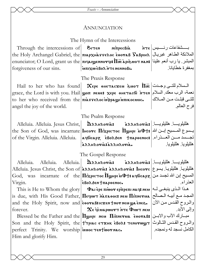# ANNUNCIATION

The Hymn of the Intercessions

بسشفاعات رئسيس | หาє Through the intercessions of  $\mathcal{E}_{\text{ITEN}}$ MITPECBIA the Holy Archangel Gabriel, the πιαρχματτελος εθοναβ  $\texttt{S}$ аβριμλ $\mid$ الملائكة الطاهر غبريال enunciator; O Lord, grant us the прагреннотр: Пос дриблиот нан: المبشر إيا رب أنعم علينا innyweBox NTE NENNOBI. بمغفر ة خطابانا forgiveness of our sins.

# The Praxis Response

Hail to her who has found grace, the Lord is with you. Hail | уоп мене: хере онетасбі итем | السلام | grace, the Lord is with you. Hail to her who received from the πιλεπελος μέρρα φιληκοσμος. angel the joy of the world.

# The Psalm Response

Alleluia. Alleluia. Jesus Christ, of the Virgin. Alleluia. Alleluia.

DAAHAOTIA: the Son of God, was incarnate | lнсотс Піхрістос Поднрі мФт: إيـسوع المسسيح إبـن الله | the Son of God, was aedicapz EBoAden Jnapoenoc: [2] Let aedicapz annnoria: annnoria.

 $\propto$  السلام للتـى وجـدت |  $\overline{\rm{m}}$  тот  $\overline{\rm{m}}$ 

The Gospel Response

Alleluia. Alleluia. Virgin.

This is He to Whom the glory forever.

perfect Trinity. We worship innoc Tentwornac. Him and glorify Him.

هللبلويسا. هللبلويسا. عقمهههههه Alleluia. Maanaoria: Alleluia. Jesus Christ, the Son of|хаандотіз: хаандотіз: Інсотс|كاليلويـا بـسوع | Alleluia. Jesus Christ, the Son of God, was incarnate of the **П** $\mathbf{u}$ **эрнетос Поднри**  $\mathbf{u}$ **Ф†: деристре** المسيح إبن الله تجسد من еволбен тароенос.

هذا اللذي ينبغي لله | Φαι ερε πιωον ερπρεπι nack is due, with His Good Father, *Heewor Masaooc*: new Himnerua | المجد مع أبيه المصالح and the Holy Spirit, now and **E**veral: cxen thor new ya enes.

Χε ερευαρωοντήτε Φιωτηκα Blessed be the Father and the *Ilghp New Hinnerua* cooraB: مبارك الآب والابـن Son and the Holy Spirit, the Trenac ETXHK EBOA: темотющт

هلليلويسا هلليلويسا | aAAHAorias هللبلو بالمطلبلو بال

للتى قبلت من الملاك

فرح العالم

المعذر اء والمروح القدس من الآن و إلى الأبد. الكامل نسجد له و نمجده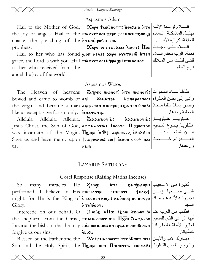# Aspasmos Adam

chaste, the preaching of the NTENIT por PHTHC. prophets.

grace, the Lord is with you. Hail πιλεπελος μφραμματικος μος to her who received from the angel the joy of the world.

Hail to the Mother of God,  $\alpha$ epe tuacnort:  $\pi$ ee  $\alpha$ Hail to the Mother of God,  $\alpha$ epe tuacnort:  $\pi$ ee  $\alpha$ Hail  $\alpha$ the joy of angels. Hail to the nisseroc: xepe tceune: newww | الملائكة المسلام للعفيفة، كرازة الأنبياء.

 $\mathbf X$ ере өнетасхем бмот:  $\overline{\Pi}$ от:  $\left|\overline{\text{Im}}\right|$  ) Hail to her who has found won neues xepe overaco NTEN level ther who has found

للتـى قبلـت مـن المـلاك

فرح العالم

الخطبة وحدها

و اِر حمنا ِ

خطابانا

# Aspasmos Watos

The T like us except, save for sin only. |imaraty.

Alleluia. Alleluia. Allehuia. I us.

Heaven of heavens **D**epeк июрноті ите июрноті: طأطأ سماء السموات bowed and came to womb of aqi εθωμτρα htπapeenoc: وأتى إلى بطن العذراء the virgin and became a man aqeppww intenpht: ya TEN φηοβι Julia silully of the virgin and became a man aqeppww

AAAHAOVIAS AAAHAOVIAS AULLE Jesus Christ, the Son of God, a ARAPAOVIA: IHCOVC HIXPICTOC |المسيح المصليح المستجر بيسوع المسيح الصلابي was incarnate of the Virgin. | Пунри мФт день сволден | سن الله تجسسد مسن Save us and have mercy upon | tπapoenoc: cwt innon oros nai | العسدراء خلسصنا| Save us and have mercy upon NAN.

# **LAZARUS SATURDAY**

Gosel Response (Raising Matins Incense)

كثيرة هي الأعاجيب | Хешш Уеалшфнрі many miracles He So-التسي صسنعها. أؤمسن | †1188 performed, I believe in His nie Taripi innove: might, for He is the King of eraque Txwpis xe nood πε πονρο (الخنه هو ملك NTEMWOT. المجدر Glory. Intercede on our behalf, O  $\mathcal{J}$  wве  $\inf \overline{\mathcal{A}}$  ове эрни ѐхим: w  $|u|$   $\mapsto$   $\inf$ 

the shepherd from the Christ, πιμανιετών ήτε Πάς: λαγαρος |ابها الراعي الذي للمسيح Lazarus the bishop, that he may **THE THE ATEL ATELAR ARANGER ARA** forgive us our sins.

Blessed be the Father and the  $\alpha$   $\alpha$ e dieuspwort inte  $\Phi$ nen neu Blessed be the Father and the Son and the Holy Spirit, the *Ilghp New Hinnerua* cooraB: والمروح القدس الشالوث

 $\epsilon$ Bo $\lambda$ .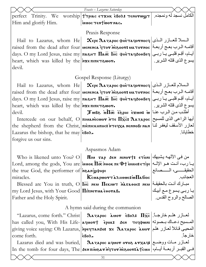|                                                                                                       | Feasts - Lazarus Saturday                                                                                                                                                                                            |                                                             |
|-------------------------------------------------------------------------------------------------------|----------------------------------------------------------------------------------------------------------------------------------------------------------------------------------------------------------------------|-------------------------------------------------------------|
|                                                                                                       | perfect Trinity. We worship   Trinic ETXHK EBOR: TENOYWWT                                                                                                                                                            | الكامل نسجد له ونمجده ِ                                     |
| Him and glorify Him.                                                                                  | iunoc TENTWOT NAC.                                                                                                                                                                                                   |                                                             |
|                                                                                                       | Praxis Response                                                                                                                                                                                                      |                                                             |
|                                                                                                       | Hail to Lazarus, whom He $\alpha$ epe $\lambda$ azapoc whetaqovnocq المسلا للعبازر المذي                                                                                                                             |                                                             |
|                                                                                                       | raised from the dead after four <b>uenenca grov nesoov: ua tovnoc</b> (تبعج أوبعة                                                                                                                                    |                                                             |
|                                                                                                       | days. O my Lord Jesus, raise my пазнт Паос lнс фнетачдоовеч ربى  days. O my Lord Jesus, raise my пазнт Паос lн                                                                                                       |                                                             |
|                                                                                                       |                                                                                                                                                                                                                      | يسوع الذي قتله الشرير .                                     |
| heart, which was killed by the $n \times \epsilon \pi n \pi \epsilon \tau \delta \omega \sigma \cdot$ |                                                                                                                                                                                                                      |                                                             |
| devil.                                                                                                |                                                                                                                                                                                                                      |                                                             |
|                                                                                                       | Gospel Response (Liturgy)                                                                                                                                                                                            |                                                             |
|                                                                                                       |                                                                                                                                                                                                                      |                                                             |
|                                                                                                       | raised from the dead after four <b>uenenca grov nesoov: ua tovnoc</b> (تبعج أوبعة                                                                                                                                    |                                                             |
|                                                                                                       | days. O my Lord Jesus, raise my <b>пазнт Пао lно</b> фнетачдоовеч [بالم، أقِم قلبـي يـا ربـي                                                                                                                         |                                                             |
| heart, which was killed by the $n \times \epsilon \pi n \pi \epsilon \tau \delta \omega \sigma \cdot$ |                                                                                                                                                                                                                      | يسو ع الذي قتله الشرير .                                    |
| devil.                                                                                                |                                                                                                                                                                                                                      |                                                             |
|                                                                                                       | Intercede on our behalf, $O \pi$ וֹגַא וֹנוֹ $\pi$ בּ $\pi$ בּה $\pi$ רא ז $\pi$ וּ היא השוחן                                                                                                                        |                                                             |
|                                                                                                       | the shepherd from the Christ, лиепископос: אודבּקאָז איז the shepherd from the Christ, שלוز الأسقف ليغفر لذا                                                                                                         |                                                             |
| Lazarus the bishop, that he may $\epsilon$ Bo $\lambda$ .                                             |                                                                                                                                                                                                                      | خطايانا                                                     |
| forgive us our sins.                                                                                  |                                                                                                                                                                                                                      |                                                             |
|                                                                                                       | Aspasmos Adam                                                                                                                                                                                                        |                                                             |
|                                                                                                       | Who is likened unto You? O   Min $\bar{x}$ ap sen ninort: $\epsilon$ roni   استهاك الآلهة يشبهك                                                                                                                      |                                                             |
|                                                                                                       | يارب، أنت هو الإله  Lord, among the gods, You are innor ilo Nook πε Φt innit ετίρι                                                                                                                                   |                                                             |
| the true God, the performer of neangular                                                              |                                                                                                                                                                                                                      |                                                             |
| miracles.                                                                                             | $\kappa$ cuapwort annower w $\Pi$ abioc                                                                                                                                                                              | الحقيقــــــــى، الـــــــصــانـع <br>الـعجائب <sub>.</sub> |
|                                                                                                       | Blessed are You in truth, O IFC NEM MEKIWT MATAOOC NEM عبارك أنت بالحقيقة                                                                                                                                            |                                                             |
| my Lord Jesus, with Your Good <i>Iinnerua</i> cooraB.                                                 |                                                                                                                                                                                                                      |                                                             |
| Father and the Holy Spirit.                                                                           |                                                                                                                                                                                                                      |                                                             |
|                                                                                                       |                                                                                                                                                                                                                      |                                                             |
| A hymn said during the communion                                                                      |                                                                                                                                                                                                                      |                                                             |
|                                                                                                       | لعسازر هلم خارجـاً. [Txc] Lazarus, come forth." Christ <b>محمد العصار من العربية (L</b> azarus, come forth." Christ<br>Mas called you, With His Life- <b>aquort   èpok:</b> бел   теqфионн   بالمسسيح دعــاك بــصونه |                                                             |
|                                                                                                       |                                                                                                                                                                                                                      |                                                             |

giving voice saying: Oh Lazarus, come forth. npeqtanðo**: x**e Aazapoc àuo**r** `ebol. Lazarus died and was buried,| Aazapoc aquov ovos avxaq:|وضع إ

فمي القبــر أربعــة أيــام،| In the tomb for four days, The|தலாம்பூகாம்புராம்தலார்ச்சலா

المحيى قائلاً لعازر هلم

خارجا.ً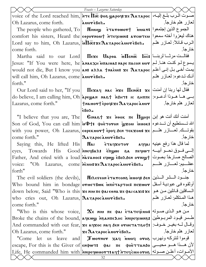|                                                                                                                                                                                                                          | Feasts - Lazarus Saturday                                                                                                                                                                                                                                                                                                                                                                                              |                                   |
|--------------------------------------------------------------------------------------------------------------------------------------------------------------------------------------------------------------------------|------------------------------------------------------------------------------------------------------------------------------------------------------------------------------------------------------------------------------------------------------------------------------------------------------------------------------------------------------------------------------------------------------------------------|-----------------------------------|
|                                                                                                                                                                                                                          | voice of the Lord reached him, NTE IIO too wapoes xe Aazapoc                                                                                                                                                                                                                                                                                                                                                           | صىوت الىرب بلغ إليه،              |
| Oh Lazarus, come forth.                                                                                                                                                                                                  | auoreBox.                                                                                                                                                                                                                                                                                                                                                                                                              | لعازر هلم خارجاً.                 |
|                                                                                                                                                                                                                          | The people who gathered, To     Пинш   статошот   سلجموع الذين إجتمعوا                                                                                                                                                                                                                                                                                                                                                 |                                   |
|                                                                                                                                                                                                                          | comfort his sisters, Heard the eopornout NTEquenis arcwreu                                                                                                                                                                                                                                                                                                                                                             | هناك ليعزوا أخته سمعوا            |
| Lord say to him, Oh Lazarus, $\overline{\mathbf{u}}$ $\overline{\mathbf{u}}$ $\overline{\mathbf{w}}$ : $\mathbf{x} \in \mathbf{A}$ $\mathbf{x}$ $\mathbf{x}$ poc $\overline{\mathbf{x}}$ and $\mathbf{x} \in \mathbf{A}$ |                                                                                                                                                                                                                                                                                                                                                                                                                        | الىرب قـائلاً: لعـازر هلـم        |
| come forth.                                                                                                                                                                                                              |                                                                                                                                                                                                                                                                                                                                                                                                                        | خارجاً.                           |
|                                                                                                                                                                                                                          | Martha said to our Lord <b>IIexe Uapea in Ince Ince</b> $\text{Lie}$                                                                                                                                                                                                                                                                                                                                                   |                                   |
|                                                                                                                                                                                                                          | Jesus: "If You were here, he anakxh inalua: nape nacon nor   إيسوع لمو كنت هنا. لم                                                                                                                                                                                                                                                                                                                                     |                                   |
|                                                                                                                                                                                                                          | would not die, But I know you an: aλλa tnaèun: xe $\Lambda$ azapoc علم العام العب من المعام العام العام ا                                                                                                                                                                                                                                                                                                              |                                   |
| will call him, Oh Lazarus, come aworeBox.                                                                                                                                                                                |                                                                                                                                                                                                                                                                                                                                                                                                                        | أنك تدعوه لعازر هلم               |
| forth."                                                                                                                                                                                                                  |                                                                                                                                                                                                                                                                                                                                                                                                                        | خار جاً ِ                         |
|                                                                                                                                                                                                                          | Our Lord said to her, "If you   $\Pi$ exaq nac $\tilde{\eta}$ xe $\Pi$ enot: xe  فقال لمها ربنا إن أمنت                                                                                                                                                                                                                                                                                                                |                                   |
|                                                                                                                                                                                                                          | بسى هــا هــوذا أدعــوه:  do believe, I am calling him, Oh ̀aрєшам маєт матт: 10 внппє                                                                                                                                                                                                                                                                                                                                 |                                   |
| Lazarus, come forth."                                                                                                                                                                                                    | $ \! \operatorname{\mathsf{t}}\{\mathsf{na}.$ لعازر هلم خارجاً. $ \! \operatorname{\mathsf{t}}\{\mathsf{a}\} \mathsf{a} \mathsf{a} \mathsf{a} \mathsf{a} \mathsf{a} \mathsf{a} \mathsf{a} \mathsf{a} \mathsf{a} \mathsf{a} \mathsf{a} \mathsf{a} \mathsf{a} \mathsf{a} \mathsf{a} \mathsf{a} \mathsf{a} \mathsf{a} \mathsf{a} \mathsf{a} \mathsf{a} \mathsf{a} \mathsf{a} \mathsf{a} \mathsf{a} \mathsf{a} \mathsf{a}$ |                                   |
|                                                                                                                                                                                                                          | $\epsilon$ Bo $\lambda$ .                                                                                                                                                                                                                                                                                                                                                                                              |                                   |
|                                                                                                                                                                                                                          | "I believe that you are, The   Силает хе ноок пе Пфири اتَّ الله أنك أنت هو إبن                                                                                                                                                                                                                                                                                                                                        |                                   |
|                                                                                                                                                                                                                          | الله تسستطيع أن تسدعوه :Son of God, You can call him ய Ф†: фнетотом јухом имок                                                                                                                                                                                                                                                                                                                                         |                                   |
|                                                                                                                                                                                                                          | with you power, Oh Lazarus, eopekwort epoq sen Tekxou: بقونسك لعسازر هلسم                                                                                                                                                                                                                                                                                                                                              |                                   |
| come forth."                                                                                                                                                                                                             | $ \lambda$ azapocanovebo $\lambda$ .                                                                                                                                                                                                                                                                                                                                                                                   | خارجاً.                           |
|                                                                                                                                                                                                                          | Saying this, He lifted His   Mar ETaqxoTor aqqar  الما قال هذا رفع عينيه<br>eyes, Towards His Good <b>  nneqBaλ: ὲπωωι δα πεqιω</b> τ   المسي فسوق نحسو أبيسه                                                                                                                                                                                                                                                          |                                   |
|                                                                                                                                                                                                                          | Father, And cried with a loud navasoo: Eqwy EBoAsen ornigh  بصالح صارخاً بصوت                                                                                                                                                                                                                                                                                                                                          |                                   |
| voice:                                                                                                                                                                                                                   | "Oh Lazarus, come ricunt xe Aazapoc auor eBon.                                                                                                                                                                                                                                                                                                                                                                         | عظــــــيم: لعـــــــازر هلـــــم |
| forth"                                                                                                                                                                                                                   |                                                                                                                                                                                                                                                                                                                                                                                                                        | خار جاً.                          |
|                                                                                                                                                                                                                          | The evil soldiers (the devils), MIRETEON ETATIONS MUOY SEN   مجنسود المسنس المسنين                                                                                                                                                                                                                                                                                                                                     |                                   |
|                                                                                                                                                                                                                          | Who bound him in bondage orwerBwk iniraproc: πεχωον www. أوثقوه في عبودية أسفل                                                                                                                                                                                                                                                                                                                                         |                                   |
|                                                                                                                                                                                                                          | down below, Said "Who is this   xe NIM TE ΦριεθΝΑ xe Φριταχι: xe   محد down below, Said "Who is this                                                                                                                                                                                                                                                                                                                   |                                   |
| who cries out, Oh Lazarus, $\alpha$ azapoc auor eßo $\lambda$ .                                                                                                                                                          |                                                                                                                                                                                                                                                                                                                                                                                                                        | هذا المتكلم: لعـازر هلـم          |
| come forth."                                                                                                                                                                                                             |                                                                                                                                                                                                                                                                                                                                                                                                                        | خارجاً.                           |
|                                                                                                                                                                                                                          | "Who is this whose voice, $\ \mathbf{x}_{\epsilon}\ $ ми п $\epsilon$ фат ѐтатечѐсин: من هو الذي صوته                                                                                                                                                                                                                                                                                                                  |                                   |
|                                                                                                                                                                                                                          | Broke the chains of the bound, ачкюю малтедно миречеств: علسر قيود المربوطين                                                                                                                                                                                                                                                                                                                                           |                                   |
|                                                                                                                                                                                                                          | وقبال لسه بغيـر خـوف: And commanded with out fear, xe aqxoc мaq sen orueтат8o†:                                                                                                                                                                                                                                                                                                                                        |                                   |
| Oh Lazarus, come forth."                                                                                                                                                                                                 | χελαταροσάμον έβολ.                                                                                                                                                                                                                                                                                                                                                                                                    | لعازر هلم خارجاً.                 |
|                                                                                                                                                                                                                          | "Come let us leave and   Jwornor xaq imoq oros  فوموا لنتركه ونهرب                                                                                                                                                                                                                                                                                                                                                     |                                   |
|                                                                                                                                                                                                                          | escape, For this is the Giver of en wor: var ne wher anso   رفت هدف اهلو محيسى                                                                                                                                                                                                                                                                                                                                         |                                   |
|                                                                                                                                                                                                                          | الأمـوات، أعلـن صـوته  Life, He commanded him with אموات، أعلـن صـوته ا                                                                                                                                                                                                                                                                                                                                                |                                   |
|                                                                                                                                                                                                                          | 32                                                                                                                                                                                                                                                                                                                                                                                                                     |                                   |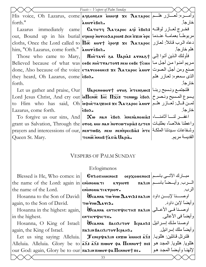|                                            | Feasts - Vespers of Palm Sunday                                                                                  |                       |
|--------------------------------------------|------------------------------------------------------------------------------------------------------------------|-----------------------|
|                                            | His voice, Oh Lazarus, come ageoneen imog: xe $\lambda$ azapoc عصار العسار السره: لعسار السم                     |                       |
| forth."                                    | auoreBox.                                                                                                        | خار جاً ِ             |
|                                            | Lazarus immediately came <b>Catoty Cately</b> Cane agi eBox: فخرج لعبازر لوقتيه                                  |                       |
|                                            | out, Bound up in his burial єqинр мотсодарюм: бем пхим оре مربوطاً بعمامة عندما                                  |                       |
|                                            | cloths, Once the Lord called to $\Pi\bar{\varpi}$ uovt epoc xe $\Lambda$ azapoc المرب قائلاً: لعازر              |                       |
| him, "Oh Lazarus, come forth."   auoreBon. |                                                                                                                  | هلم خار جاً ِ         |
|                                            | Those who came to Mary, Muerari 3a Uapia: arnast [صوا إلى المعام 15                                              |                       |
|                                            | مريم أمنوا من أجل ما   Believed because of what was   EOBE NHETTAITOT: NEM EOBE TOMH                             |                       |
|                                            | done, Also because of the voice <b>e Aaravcoouec: xe Aazapoc auov</b>  صنع ومن أجل الصوت                         |                       |
| they heard, Oh Lazarus, come eBox.         |                                                                                                                  | الذي سمعوه: لعازر هلم |
| forth.                                     |                                                                                                                  | خار جاً ِ             |
|                                            | Let us gather and praise, Our <b>Uapenewort oros intenswe:</b> فلنجتمع ونسبح ربنا                                |                       |
|                                            | Lord Jesus Christ, And cry out <b>in Tenge Inc ITzc:</b> $\tau$ enwy $\epsilon$ Bo $\lambda$ جسوع المسيح ونصرخ   |                       |
|                                            | to Him who has said, Oh upHetaqxoc: xe $\lambda$ azapoc auor ملغان: لعبازر هليم                                  |                       |
| Lazarus, come forth.                       | $\epsilon$ Bo $\lambda$ .                                                                                        | خار جاً ِ             |
|                                            | To forgive us our sins, And $\vert$ Xw NAM $\epsilon$ Bok Menanomia: اغفر $\vert$ i                              |                       |
|                                            | grant us Salvation, Through the oros ион ман мотситнры : واعطنا خلاصاً، بطلبات   grant us Salvation, Through the |                       |
|                                            | prayers and intercessions of our,   NENTWB8 NEM NENTPECBIAS ITTE   غريدتنا الملكة                                |                       |
| Queen St. Mary.                            | TENOC NNHB Tasia Uapia.                                                                                          | القديسة مريم.         |
|                                            |                                                                                                                  |                       |

# VESPERS OF PALM SUNDAY

# Evlogimenos

|                                                                                                                                                                                                                                                                                                                                                                                             | Blessed is He, Who comes: in $\vert$ <b>Cr</b> routings of pxonenoc: $\vert$                                                                                                                                         |       |
|---------------------------------------------------------------------------------------------------------------------------------------------------------------------------------------------------------------------------------------------------------------------------------------------------------------------------------------------------------------------------------------------|----------------------------------------------------------------------------------------------------------------------------------------------------------------------------------------------------------------------|-------|
|                                                                                                                                                                                                                                                                                                                                                                                             | $ \!\ln\!$ the name of the Lord: again in $ \! $ є́но́номатт ктрют:     па $n$ ін $ \! $ السرب وأيــضاً باســم                                                                                                       |       |
| the name of the Lord. $\vert$ $\epsilon$ $\sim$ $\vert$ $\epsilon$ $\sim$ $\epsilon$ $\sim$ $\epsilon$ $\sim$ $\epsilon$ $\sim$ $\epsilon$ $\sim$ $\epsilon$ $\sim$ $\epsilon$ $\sim$ $\epsilon$ $\sim$ $\epsilon$ $\sim$ $\epsilon$ $\sim$ $\epsilon$ $\sim$ $\epsilon$ $\sim$ $\epsilon$ $\sim$ $\epsilon$ $\sim$ $\epsilon$ $\sim$ $\epsilon$ $\sim$ $\epsilon$ $\sim$ $\epsilon$ $\sim$ |                                                                                                                                                                                                                      | الرب. |
|                                                                                                                                                                                                                                                                                                                                                                                             | Hosanna to the Son of David: <b>Weanna των Δενιλ: πaλιn</b>   پوستا لإبسن داود   Hosanna to the Son of David:   <b>Weanna των Δενιλ:</b> πaλιn                                                                       |       |
| $ $ again, to the Son of David. $ \tau \omega \dot{\gamma} \omega \Delta \alpha \gamma \gamma \Delta \cdot$                                                                                                                                                                                                                                                                                 |                                                                                                                                                                                                                      |       |
|                                                                                                                                                                                                                                                                                                                                                                                             |                                                                                                                                                                                                                      |       |
| in the highest.                                                                                                                                                                                                                                                                                                                                                                             | ентістфістіс.                                                                                                                                                                                                        |       |
|                                                                                                                                                                                                                                                                                                                                                                                             | Hosanna, O King of Israel:  <b>Weanna Bacı<math>\Delta</math>nov lepah<math>\Delta</math>: اوصـنـا ملـك إسـرائيل</b>                                                                                                 |       |
|                                                                                                                                                                                                                                                                                                                                                                                             | again, the King of Israel.               паливасıлıтот $\,$ lсранл.                             дділ,                                                                                                                |       |
|                                                                                                                                                                                                                                                                                                                                                                                             | Let us sing saying: Alleluia.   கொழைக்கா வையை : الخَمْتُونْلْ فَائْلِينْ: هْلُلُويْا إِيْهَةَ Let us sing saying: Alleluia.                                                                                          |       |
|                                                                                                                                                                                                                                                                                                                                                                                             | Alleluia. Alleluia. Glory be to $ \bar{\mathbf{z}}\bar{\mathbf{x}}\mathbf{s}$ א $\bar{\mathbf{z}}\bar{\mathbf{x}}\mathbf{s}$ миот фа $\mathbf{R}$ емнот $\dagger$ пе $\mathbf{s}$ ماللويا ِ هللويا ِ هللويا المحد هو |       |
|                                                                                                                                                                                                                                                                                                                                                                                             | $ $ our God: again, Glory be to our $ $ πaλιnπιωον φa ${\bf \Pi}$ εnnoν ${\bf \tau}$ πε $\bullet$ ما عا $ $ لاهنا وأيضاً المجد هو $ $                                                                                |       |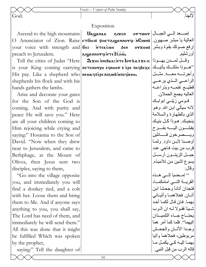God.

#### Exposition

Ascend to the high mountains O Anunciator of Zion. Raise | стбос: фнетаруеннота и Сион: | ريا مبشر صهيون your voice with strength and **fici**preach to Jerusalem.

Tell the cities of Judas "Here is your King coming carrying <del>петемотро ечинот: е́ре печвехе</del> الملكك يأتيك ) His pay. Like a shepherd who neuaq: ερεπιεωβ υπερμοσ. shepherds his flock and with his hands gathers the lambs.

Arise and decorate your gates for the Son of the God is coming. And with purity and peace He will save you." Here are all your children coming to Him rejoicing while crying and saying:" Hosanna to the Son of David. "Now when they drew near to Jerusalem, and came to Bethphage, at the Mount of Olives, then Jesus sent two disciples, saying to them,

"Go into the village opposite" you, and immediately you will find a donkey tied, and a colt with her. Loose them and bring them to Me. And if anyone says anything to you, you shall say, The Lord has need of them, and immediately he will send them." All this was done that it might be fulfilled Which was spoken by the prophet,

saying:" Tell the daughter of

Uawenak eixen **NTEKCUH** беи  $\frac{1}{2}$  .which repronness to  $\frac{1}{2}$ 

RXOC NNIBAKI NTE LOTAA : XE IC | 13 0 2 2 2 0 2 10 11 2 2 0 2 4 1

لالهنا إصبحد إلى الجبال | ortwor إرفع صوتك بقوة وبشر | 0rx01: أورشليم وأجرتسه معسه مثسل الراعــي الــذي يرعــي قطيــع غنمــه وبذراعــه العاليه يجمع الحملان قــومي زبّنــي ابوابــك لانه سیأتی ابن الله و هو الذي بالطهارة والسلامة ينجيك هوذا كل بنيك يقبلسون اليسه بفسرح ويسممرخون قسسائلين أوصنا لابن داود ولما قرب من بيت فاجي عند جبـــل الزيتـــون أرســـل يسوع اثنين من تلاميذه<sub>.</sub> و قال· " إمسضيا إلى هـذه القريسة التسى امامكما، فتجدان أتانـاً وجحشا ابن أتــان فحلاهمــا وأتيــانـي بهمـا فان قـال لكمـا أحد شيئاً فقولا له ان الرب بحتساج جساء التلميدان اليهما''. فلما كما أمر هما وجبدا الأتسان والجحش مربوطين، فحلاهما وأتيا بهما اليه كى يكمل ما قاله الرب من قبل النبي.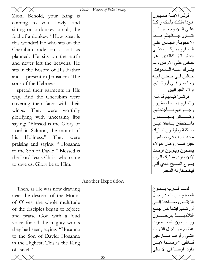*Feasts – Vespers of Palm Sunday*  Zion, Behold, your King is coming to you, lowly, and sitting on a donkey, a colt, the foal of a donkey. "How great is this wonder! He who sits on the Cherubim rode on a colt as planned. He sits on the earth and never left the heavens. He sits in the Bosom of His Father and is present in Jerusalem. The sons of the Hebrews

spread their garments in His way. And the Cherubim were covering their faces with their wings. They were worthily glorifying with unceasing lips saying: "Blessed is the Glory of Lord in Salmon, the mount of his Holiness." They were praising and saying: " Hosanna to the Son of David." Blessed is the Lord Jesus Christ who came to save us. Glory be to Him.

Another Exposition

Then, as He was now drawing near the descent of the Mount of Olives, the whole multitude of the disciples began to rejoice and praise God with a loud voice for all the mighty works they had seen, saying: "Hosanna to the Son of David: Hosanna in the Highest, This is the King of Israel."

| $\times$ $\times$ $\times$<br>قولــو الإبنــة صـــهيون<br>هوذا ملكك يأتيك راكباً<br>علــي اتــان وجحـش ابــن<br>اتـــــــان فيــــــالـعِظم هـــــذه<br>الاعجوبة الجالس علي<br>الــشاروبيم ركــب علــي<br>جحش اتان كالتدبير . هو<br>جـالس علـي الارض ولـم<br>يتــرك عنـــه الــسموات.<br>جـــالس فــي حــضن ابيـــه<br>وحاضىر فىي أورشليم.<br>اولاد العبرانيين<br>فرشــوا ثيــابـهم قدامُــه.<br>والشاروبيم معأ يسترون |
|------------------------------------------------------------------------------------------------------------------------------------------------------------------------------------------------------------------------------------------------------------------------------------------------------------------------------------------------------------------------------------------------------------------------|
| وجسوههم بسأجنحتهم                                                                                                                                                                                                                                                                                                                                                                                                      |
| وكـــــــانوا يمجـــــــدون                                                                                                                                                                                                                                                                                                                                                                                            |
| باســتحقاق بــشفاة غيــر                                                                                                                                                                                                                                                                                                                                                                                               |
| سـاكتة ويقولـون تبـارك                                                                                                                                                                                                                                                                                                                                                                                                 |
| مجد الرب في صلمون                                                                                                                                                                                                                                                                                                                                                                                                      |
| جبل قدسه وكان هؤلاء                                                                                                                                                                                                                                                                                                                                                                                                    |
| بسبحون ويقولون أوصنا                                                                                                                                                                                                                                                                                                                                                                                                   |
| لابن داود. مبارك الرب                                                                                                                                                                                                                                                                                                                                                                                                  |
| يسوع المسيح الذي أتي                                                                                                                                                                                                                                                                                                                                                                                                   |
| ليخلصنا له المجد.                                                                                                                                                                                                                                                                                                                                                                                                      |
|                                                                                                                                                                                                                                                                                                                                                                                                                        |
|                                                                                                                                                                                                                                                                                                                                                                                                                        |
| لمسا قسرب يسسوع                                                                                                                                                                                                                                                                                                                                                                                                        |
| المسيح من منحدر جبل                                                                                                                                                                                                                                                                                                                                                                                                    |
| الزيتــون صــــاعدأ إلـــي                                                                                                                                                                                                                                                                                                                                                                                             |
| أورشليم ابتدأ كل جمع                                                                                                                                                                                                                                                                                                                                                                                                   |
| التلاميـــــــــــــــــــــــــــون                                                                                                                                                                                                                                                                                                                                                                                   |
| ويسسبحون الله بسصوت                                                                                                                                                                                                                                                                                                                                                                                                    |
| عظـيم مـن اجـل القـوات                                                                                                                                                                                                                                                                                                                                                                                                 |
| التسي رأوهـا صــارخين                                                                                                                                                                                                                                                                                                                                                                                                  |
| قـــائلين ''اوصــــنا لابـــن                                                                                                                                                                                                                                                                                                                                                                                          |
| داود <sub>.</sub> اوصنا في الاعالي                                                                                                                                                                                                                                                                                                                                                                                     |
|                                                                                                                                                                                                                                                                                                                                                                                                                        |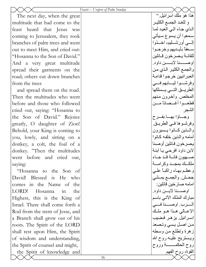| Feasts – Vespers of Palm Sunday |  |  |
|---------------------------------|--|--|
|                                 |  |  |
|                                 |  |  |

The next day, when the great multitude that had come to the feast heard that Jesus was coming to Jerusalem, they took branches of palm trees and went out to meet Him, and cried out: "Hosanna to the Son of David." And a very great multitude spread their garments on the road; others cut down branches from the trees

and spread them on the road. Then the multitudes who went before and those who followed cried out, saying: "Hosanna to the Son of David." Rejoice greatly, O daughter of Zion! Behold, your King is coming to you, lowly, and sitting on a donkey, a colt, the foal of a donkey. "Then the multitudes went before and cried out, saying:

"Hosanna to the Son of David! Blessed is He who comes in the Name of the LORD! Hosanna in the Highest, this is the King of Israel. There shall come forth a Rod from the stem of Jesse, and a Branch shall grow out of his roots. The Spirit of the LORD shall rest upon Him, the Spirit of wisdom and understanding, the Spirit of counsel and might, the Spirit of knowledge and

هذا هو ملك اسرائيل." و للغد الجمع الكثير الذي جاء الي العيد لما سمعوا أن يسوع سيأتي إلسي أورشليم، اخمذوا سمغاً بأيـديهم وخرجـوا للقائــة يـصرخون قــائلين اوصــــنا لابــــن داود. والجمع الكثير الذي من العبر انيين خرجوا قدامة وفرشسوا ثيسابهم فسمي الطريسق التسي يسلكها المخلص وأخرون منهم قطعهوا أغسصاناً مسن الشجر وجـاؤا بهـا بفـرح وفرشوها فمي الطريق. والمـذين كـانوا يــسيرون أمامه والذين خلفه كانوا يصرخون قائلين أوصنا لابن داود افرحي يـا ابنــة صهيون فانسة قـد جـاء ملكك بمجـد وكر امــة وعظم بهاء راكباً علمي جحش والجمع يمشي امامه صارخين قائلين: اوصسنا لايسن داود. مبارك الملك الآتي باسم السرب. اوصسنا فسي الاعــالي هـذا هـو ملـك اسرائيل. يزهر قضيب من اصل يسي وتصعد زهرة وتطلع من وسطه ويستريح عليـه روح الله روح الحكمـــــة وروح القوة، روح الفهم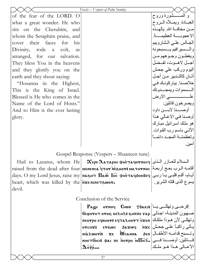|                                                                                                 | Feasts – Vespers of Palm Sunday                                                                               |                                   |
|-------------------------------------------------------------------------------------------------|---------------------------------------------------------------------------------------------------------------|-----------------------------------|
| of the fear of the LORD. O                                                                      |                                                                                                               | و المـــــشورة وروح               |
| what a great wonder. He who                                                                     |                                                                                                               | العبــادة ويمــلأه الــروح        |
| sits on the Cherubim, and                                                                       |                                                                                                               | مـــن مخافـــة الله ـ بـالـهـــذه |
| whom the Seraphim praise, and                                                                   |                                                                                                               | الاعجويسية العظيمسية              |
| cover their faces for<br>his                                                                    |                                                                                                               | الجالس علىي الشاروبيم             |
| Divinity, rode a colt, as                                                                       |                                                                                                               | والسسيرافيم يسسبحونه              |
| arranged, for our salvation.                                                                    |                                                                                                               | ويغطـون وجـوههم مـن               |
| They bless You in the heavens                                                                   |                                                                                                               | أجسل لاهسوت، تفسضل                |
| and they glorify you on the                                                                     |                                                                                                               | اليوم وركب علىي جحش               |
| earth and they shout saying:                                                                    |                                                                                                               | أتــان كالتــدبير  مــن أجــل     |
| "Hosanna in the Highest,                                                                        |                                                                                                               | خلاصـنا ِ بباركونـك فـي           |
| This is the King of Israel.                                                                     |                                                                                                               | السسموات ويمجسدونك                |
| Blessed is He who comes in the                                                                  |                                                                                                               |                                   |
| Name of the Lord of Hosts."                                                                     |                                                                                                               | ويصرخون قائلين:                   |
| And to Him is the ever lasting                                                                  |                                                                                                               | أوصســنا لابــــن داود            |
| glory.                                                                                          |                                                                                                               | أوصنا في الاعالي هذا              |
|                                                                                                 |                                                                                                               | هو ملك اسرائيل مبارك              |
|                                                                                                 |                                                                                                               | الأتــي بـاسـم رب القـوات.        |
|                                                                                                 |                                                                                                               | ولعظمتية المجيد دائمياً           |
|                                                                                                 |                                                                                                               | امين                              |
|                                                                                                 |                                                                                                               |                                   |
|                                                                                                 | Gospel Response (Vespers – Shaaneen tune)                                                                     |                                   |
| Hail to Lazarus, whom He                                                                        | $\propto \mathbf{X}$ ере $\mathbf{X}$ а $\mathbf{Z}$ арос фнетачотносч $ \mathcal{L} $ الـسلام للعــازر الـذي |                                   |
|                                                                                                 | raised from the dead after four <b>MENERGE TOT MESOOTS MATOTNOC</b>                                           |                                   |
| days. О my Lord Jesus, raise my лазнт Пао lнс фнетачдоовеч ربى [фауs. О my Lord Jesus, raise my |                                                                                                               |                                   |

heart, which was killed by the  $\lambda$ xe  $\pi$ devil.

#### Conclusion of the Service

 ${\bf Pa}$ إفرحـــى وتهللـــى يـــا $\vert$  Bakı: †bakı: إفرحــــى وتهللـــى صــهيون المدينـة، اجـذلى | бе1ротот ото8 өєλнλ: знппє тар وتهللـى لأن هـوذا ملكـك| пеотро ечинот: ечта $\alpha$ нотт ѐ $\bf x$ ен مو يأتى راكباً على جحشٍ| orchx: erswc axwq ixe  $n$ ia $\lambda$ wo $\dot{\mathbf{r}}$ i:  $\mathbf{x}$ e  $\mathbf{W}$ canna nhetбoci: фаi пe потро  $\overline{\textbf{m}}$ го $\overline{\lambda_\bullet}$ مُسَائلين: أوصمـــنا فـــــى  $\Delta$ 0 $\bar{z}$ a...

وتـسبح قدامـه الأطفـال | ئ الأعسالى هـذا هـو ملـك

يسوع الذى قتله الشرير.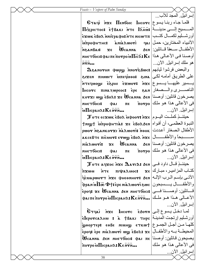${\bf g}$ etaqi `n ${\bf x}$ e  $\,\,\Pi$ enboic  $\,\,\Pi$ alaco ${\bf v}$ c ليسوع المـــــسيح إلــــــى مدينـــــة| Піхрістос: ѐ†Вакі м̀тє Пани́з  $\mathbf{\hat{s}}$ أور شـــليم لكمـــال كتـــب $\mid$ π $\mathbf{\hat{r}}$ вхωк е̂во $\mathbf{\hat{x}}$  ми $\mathbf{\hat{r}}$ яв $\mathbf{\hat{r}}$  ате місω $\mathbf{\hat{r}}$ ivowAana : inpooptivi `n\anbai> je ~Wcanna 'en nheтбосi: اوصنا فـی الأعـالی هـذا $\mathbf{K}$ e أوصـنا فـی الأعـالی هـذا  $n_{\text{N}}$ 

والبعض فرشوا ثيابهم|:Bwc\$والبعض فرشوا ثيابهم \ijen pimwit `mpef`mqo> \ina على الطريѧق أمامѧه لكѧى يـــــسير عليهـــــا يـــــسوع|ع ${\bf x}$ й خ ${\bf x}$ о ${\bf y}$  ، يمسوع|ي الناصســـرى والــــصغار | Jucorc πιnazwpeoc: èpe an korxi ww tBo2: xe Wcanna sen $\mid$ يصرخون قائلين: أوصنا  $n$ нетбосі: Фаі пе  $\mathbf{\dot{m}}$ Пісран $\lambda$ : Ке л $\bar{\mathbf{v}}$ м...

 ${\bf \mathcal T}$ отє єс ${\bf x}$ шк є̀вол ̀ифоот: מ ${\bf x}$ є $\mid$ ليــوم ${\bf x}$ النبوة العظمى، أن أفواه|атрофнтіа: хє є̀волає́н أن أفواه rwor Irankorxi harwori: الأطفال الصغار أعددت akcebte pi`cmou> euw] `ebol `nje سѧѧѧѧѧѧѧѧѧѧѧѧبحاً والأطفѧѧѧѧѧѧѧѧѧѧѧѧال nià $\lambda$ woyì:  $\mathbf{x}$ e  $\mathbf{W}$ canna  $n$ нетбосі: Фаі пе  $\mathbf{M}$ IIICPAH $\lambda$ : Ke NTN...

 ${\bf \mathcal T}$ отє аq ${\bf x}$ ос ̀n ${\bf x}$ є  ${\bf \Omega}$ аті ${\bf \Omega}$  зєм $\big\vert$ отє аq ${\bf x}$ ос ̀n ${\bf x}$ є  ${\bf \Omega}$ `pjwm `nte piyalmoc> je الآتسى بإسم الـرب الإلـه| јс̀иарωотт `nхє фнєемнот: ق  $\phi$ والأطفـــــال يــــــسبحون $|$ ه و $\mathbf{a}$ ة وخالية هموه epoq: xe Wcanna бen nheтбoci: قــائلين: أوصــــنا فــــى الأعــالى هـذا هـو ملـك $\bar{\mathbf{r}}$ ة «φαιπὲπογρὸν $\mathbf{\Pi}$ ιсран $\lambda$ : Κε $\bar{\mathbf{r}}$ ν،..  $\mathbf{r}$ 

لما دخل يـسوع إلـى|G¬dai inxe Incorc وَج أورشليم إرتجت المدينـة|е $\bf{k}$ ваки тнрс أورشليم إرتجت المدينـة كلهـا مـن أجـل الجمـوع|सुुुुुुुुुुुुुुая - eəße ˈиииழ ˈєткω epod: ebe nia2wori ww ebo2: xe |المحيطـة بــه والأطفــال ~Wcanna 'en nhetsoci> vai pe يѧصيحون قѧائلين: أوصѧنا  $\overline{\text{noropo}}$  is  $\Pi$ Icpah $\lambda$ :  $K \epsilon \overline{\text{nrm}}$ ...

إسرائيل. المجد للآب... الأنبياء المختارين، حمل | 181 الأطفــال ســعفاً قــائلين: | gen هو ملك إسرائيل. الآن... فى الأعالى هذا هو ملك $\mathfrak{so}$ 0 $\mathfrak{so}$ إسرائيل. الآن... يصرخون قائلين: أوصѧنا فى الأعالى هذا هو ملك|πoγpo إسرائيل. الآن... کتـاب المزاميـر ، مبـارك| ع<del>ـ</del> إسرائيل. الآن...

فى الأعالى هذا هو ملك

إسرائيل. الآن...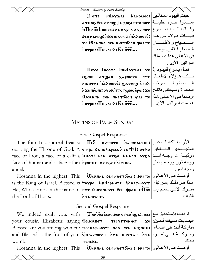| Feasts – Matins of Palm Sunday                                          |                         |
|-------------------------------------------------------------------------|-------------------------|
| ل الجهود المخالفين Σοτε nilorΔai in arawocs}                            |                         |
| إمتلأوا غيـرة عظيمـة πεχωον (λωτιας δενονηματλιχος,τεχωον               |                         |
| وقسالوا للسرب يسسوع  ileno lhcorc: xe uaporxapwor                       |                         |
| فليسكت هؤلاء من هذا :5en naɪww̥s nxe nɪκoΥxɪ naλwoΥi                    |                         |
| xe WCanna Ben nhe Toocis φai πε   المستصياح والأطفال                    |                         |
| $\overline{\text{new}}$ $\overline{\text{new}}$ $\overline{\text{new}}$ | المصغار قبائلين: أوصننا |
|                                                                         | في الأعالى هذا هو ملك   |
|                                                                         | إسرائيل الآن            |
| $\Pi$ exe lucorc innulor $\Delta$ ai xe فقال يسوع لليهود إذ             |                         |
| سكت هـؤلاء الأطفــال xapwor:    inxe الأطفــال<br>$\epsilon$ ഗുധ $\pi$  |                         |
| MIKOTXI MARWOTI: WATWW 6BOA 2011                                        |                         |

هو ملك إسرائيل. الآن...

ووجه نسر.

القوات.

nikotzi `n`a $\lambda$ wot'i: WatwW `e<code>Bo $\lambda$ </code> الحجارة وسبحتنى قائلة:|ع ${\bf x}$  novg ovos intougus copes is  ${\bf x}$ أوصنا في الأعالى هذا|πε ισωτι φαι πε بمونا في الأعالى هذا  $|\tilde{\boldsymbol{\pi}}$ ovpo in $\boldsymbol{\Pi}$ icpah $\boldsymbol{\Lambda}$ : Ke n $\bar{\boldsymbol{\pi}}$ n...

# MATINS OF PALM SUNDAY

# First Gospel Response

The four Incorporeal Beasts: Pid/ `nzwoun `n`acwmatoc> الأربعة الكائنѧات غيѧر carrying the Throne of God: A  $|$ ετવaι δa πιεaρωa אד $\epsilon$  Φ†: o $\bm r$ وم الحساملين face of Lion, a face of a calf: a **juuovi neu ov&o juuaci: ov&o** أسد الله. وجــه أســد face of human and a face of an *n***pwmnemoveo**  $n\lambda$  $\lambda$ angel. ووجه ثور ووجه إنسان

Hosanna in the highest. This is the King of Israel. Blessed is $|{\bf{\hat n}}$ orpo  $|{\bf{\hat m}}$ ו ${\bf{n}}$ مذا هـو ملـك إسـرائيل.  $\rm He,$  Who comes in the name of $|$ м $\rm x$ є фнє $\rm e$ мнот: бем ̀фрам  $\rm \dot{\rm u}\overline{\rm I}$ ത مبـارك الآتــی باسـم رب the Lord of Hosts.  $\mathbf W$ салиа бен ннетбосі : фаі пе $\big\vert$ . الأعـالى. `nte nijom.

# Second Gospel Response

 $\mathrm{We} \;\;$  indeed  $\;\mathrm{exalt}\;$  you:  $\;\mathrm{with} \; \mid \;\;$ لا سنحقاق مـع  $\;$ معه ههه ههه ههه ههه ههه your cousin Elizabeth: saying **C**aicaBe<del>y</del> Tecrssenhc: xe مباركة أنت في النساء.| $\,$ عبواركة أنت في النساء.| $\,$ موه موه 'пе $\,$ атоп $\,$ дел 'пео 'дел 'пол $\,$ уош  $\,$ атоп $\,$ уош  $\,$ and Blessed is the fruit of your $|$ વેcuapwor $\bm\tau$  ဲnxe  $\hat{\bm n}$ क्या केन्न्ह $|$  केन्न् $\bm\epsilon$  केन्द womb. teneji.  $\mathbf{x}$ أليصابات نسيبتك قـائلين:  $\epsilon$ بطنك. Hosanna in the highest. This |  $\,$  Wcанна бен ннетбосі : фаі пе . الأعـالى .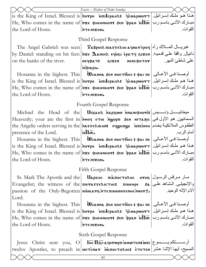|                                                                                                                                                           | Feasts - Matins of Palm Sunday                                                                                     |                  |
|-----------------------------------------------------------------------------------------------------------------------------------------------------------|--------------------------------------------------------------------------------------------------------------------|------------------|
| is the King of Israel. Blessed is <b>inorpo</b> is unilcpant: فمذا هـو ملك إسـرائيل.                                                                      |                                                                                                                    |                  |
| He, Who comes in the name of $ \text{inx}\epsilon\>$ фнеемнот: бем $\text{inx}\bar{\text{in}}$ $\text{in}\bar{\text{in}}$ м $\text{in}\bar{\text{in}}$ м  |                                                                                                                    |                  |
| the Lord of Hosts.                                                                                                                                        | .uoxin JTn                                                                                                         | القوات.          |
|                                                                                                                                                           | Third Gospel Response                                                                                              |                  |
|                                                                                                                                                           |                                                                                                                    |                  |
|                                                                                                                                                           | The Angel Gabriel: was seen   Sаврия піаттелосачнатероч منبريسال المسلاك رآه                                       |                  |
| ل دانيال واقفاً على قدميـه [التعريم: by Daniel: standing on his feet: أنيال واقفاً على قدميـه [العرم                                                      |                                                                                                                    |                  |
| on the banks of the river.                                                                                                                                | песфат: гласн поторы                                                                                               | على شاطئ النهر ِ |
|                                                                                                                                                           | uiprapo.                                                                                                           |                  |
| Hosanna in the highest. This                                                                                                                              | أوصــنا فــي الأعــالي.   Ѿсалиа бел инєтбосі : фаі пє                                                             |                  |
| is the King of Israel. Blessed is   потро иписрана: تهذا هو ملك إسرائيل.   is the King of Israel. Blessed is                                              |                                                                                                                    |                  |
| He, Who comes in the name of $ \text{size} \>$ фнеемнот: бем фрам $\text{inf}$ $\overline{\text{inc}} \mid \text{un} \>$ м $\text{Var} \mid \text{un} \>$ |                                                                                                                    |                  |
| the Lord of Hosts.                                                                                                                                        | MTENIXOU.                                                                                                          | القوات.          |
|                                                                                                                                                           | Fourth Gospel Response                                                                                             |                  |
|                                                                                                                                                           |                                                                                                                    |                  |
| Heavenly; your are the first in <b>Nood ετοι Ngopπ SEN NITAZIC</b>  والسمائيين هو الأول في                                                                |                                                                                                                    |                  |
| the Angelic orders serving in the <i>NATTE AIKON:</i> εqyengy interioo   الطقوس الملائكية يخدم                                                            |                                                                                                                    |                  |
| presence of the Lord.                                                                                                                                     | $\cdot \sinh x$                                                                                                    | أمام الرب.       |
|                                                                                                                                                           | Hosanna in the highest. This <b>Weanna бел инетбосі : фа</b> і пе $ \psi $ الأعــالي [Hosanna in the highest. This |                  |
| is the King of Israel. Blessed is $ \tilde{\pi}$ orpo  باسرائيل. اسرائيل: is the King of Israel. Blessed is $ \tilde{\pi}$ orpo  باسرائيل.                |                                                                                                                    |                  |
| He, Who comes in the name of <b>Nxe</b> фнеемнот: бем фрам $\inf$ $\overline{a}$ $\mapsto$ الأتــى باسـم رب                                               |                                                                                                                    |                  |
| the Lord of Hosts.                                                                                                                                        | MTENIXOU.                                                                                                          | القوات.          |
|                                                                                                                                                           | <b>Fifth Gospel Response</b>                                                                                       |                  |
|                                                                                                                                                           | St. Mark The Apostle and the Uapkoc πιλπος τολος ονος اسار سرقس الرسول                                             |                  |
| والإنجيلي الشاهد على Evangelist; the witness of the <i>nierasse</i> AICTHC: писере هم                                                                     |                                                                                                                    |                  |
| passion of the Only-Begotten <b>  нізкате нте пионотенно нот+.</b>   Мари 1945                                                                            |                                                                                                                    |                  |
| Lord.                                                                                                                                                     |                                                                                                                    |                  |
|                                                                                                                                                           | Hosanna in the highest. This   $\dot{\textbf{W}}$ салиа бем инстбоси : фан пе   اوصـنا فـي الأعـالي.               |                  |
| is the King of Israel. Blessed is   потро иписрана: Jенаршотт   المسرائيل.                                                                                |                                                                                                                    |                  |
| He, Who comes in the name of <b>אצе фнеемнот: бем фрам м<math>\Pi</math>с</b> (بالأتــى باسـم رب                                                          |                                                                                                                    |                  |
| the Lord of Hosts.                                                                                                                                        | MTENIZOU.                                                                                                          | القوات.          |
|                                                                                                                                                           | Sixth Gospel Response                                                                                              |                  |
| Christ sent you, O<br>Jesus                                                                                                                               |                                                                                                                    |                  |

سسيح، أيها الإثنـا عشر | мет̀снат тостолос: ѐтетен

twelve Apostles, to preach in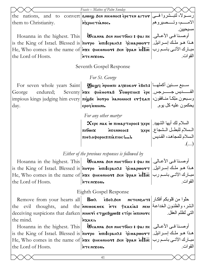|                              | Feasts - Matins of Palm Sunday                                                                                                                            |                          |
|------------------------------|-----------------------------------------------------------------------------------------------------------------------------------------------------------|--------------------------|
|                              | the nations, and to convert simple sen meenoc: epe ten aitor and to convert simple sen                                                                    |                          |
| them to Christianity.        | MXPHCTIANOC.                                                                                                                                              | الامـــــم، وتــــصيروهم |
|                              |                                                                                                                                                           | مسيحيين.                 |
| Hosanna in the highest. This | أوصــنـا فــي الأعــالـي.   Ѿсалиа бел инєтбосі : фаї пє                                                                                                  |                          |
|                              | is the King of Israel. Blessed is   потро иписрана: تهذا هو ملك إسرائيل.   is the King of Israel. Blessed is                                              |                          |
|                              | He, Who comes in the name of $ \text{inx}\epsilon\>$ фнеемнот: бем фрам $\text{in}\,\overline{\text{in}\,\overline{\text{in}}}$ مبارك الآتـى باسـم رب     |                          |
| the Lord of Hosts.           | MTENIXOU.                                                                                                                                                 | القوات.                  |
|                              | Seventh Gospel Response                                                                                                                                   |                          |
|                              | For St. George                                                                                                                                            |                          |
|                              | For seven whole years Saint <b>Waw</b> q <b>Nowm aq</b> xokor εδολ: سبع سـنين أكملهـا                                                                     |                          |
| endured;<br>George           |                                                                                                                                                           |                          |
|                              | وسبعون ملكاً منافقون،  impious kings judging him every <b>πιωβε λονρο λελουος: εν t διπ</b>                                                               |                          |
| day.                         | еростамни.                                                                                                                                                | يحكمون عليه كل يوم       |
|                              | For any other martyr                                                                                                                                      |                          |
|                              | $\chi_{\text{epe}}$ пак ω пилартнрос: $\chi_{\text{epe}}$ $ $ السلام لك أيها الشهيد.                                                                      |                          |
|                              | MYENNEOCS XEPE   MELLED JULLED<br>πιδωιχ                                                                                                                  |                          |
|                              | πιθλοφορος: πιλτιος ().                                                                                                                                   | السلام للمجاهد، القديس   |
|                              |                                                                                                                                                           | $\ldots$                 |
|                              | Either of the previous responses is followed by                                                                                                           |                          |
|                              | Hosanna in the highest. This   $\,$ Ucанна бен ннєтбосі : фаі пє   أوصـنا فـي الأعـالي.                                                                   |                          |
|                              | is the King of Israel. Blessed is   потро иписрана: تحذا هـو ملـك إسـرائيل.   is the King of Israel. Blessed is                                           |                          |
|                              | He, Who comes in the name of <b>Nxe</b> фнеоннот: бен фран $\inf$ $\bar{m}$ (بالاتی باسم رب                                                               |                          |
| the Lord of Hosts.           | MTENIZOU.                                                                                                                                                 | القوات.                  |
|                              | Eighth Gospel Response                                                                                                                                    |                          |
|                              | Remove from your hearts all  Вwa EBoaden метемант: حذوا من قلوبكم أفكار                                                                                   |                          |
|                              | the evil thoughts, and the MINIOKUEK MTE TKAKIA: NEU ELLETION OF THE THE                                                                                  |                          |
|                              |                                                                                                                                                           |                          |
| the mind.                    | nxakı.                                                                                                                                                    |                          |
|                              | Hosanna in the highest. This   $\dot{\textbf{W}}$ санна бен ннетбосі : фаі пе   اوصـنـا فــى الأعــالى.                                                   |                          |
|                              | is the King of Israel. Blessed is   потро иписрана: تحذا هـو ملـك إسـرائيل.   is the King of Israel. Blessed is                                           |                          |
|                              | He, Who comes in the name of $ \text{size} \>$ фнеемнот: бем фрам $\text{inf}$ $\overline{\text{inc}} \mid \text{un} \>$ м $\text{Var} \mid \text{un} \>$ |                          |
| the Lord of Hosts.           | ·WOXIN JTN                                                                                                                                                | القوات.                  |
|                              | 41                                                                                                                                                        |                          |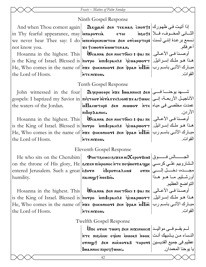# Ninth Gospel Response

je ;cwoun `mmwten an.

 $\text{And when } \text{Though} \quad \text{Again} \left| \quad \text{R}$ Kשָב ما الله معهورك | $\text{the } \mathbf{r}$  tekua bort معهورك | $\text{the } \mathbf{r}$ in Thy fearful appearance,  $\max$  intraporcia etoi indot: we never hear Thee say: I do $|\overline{\mathbf{\dot{u}}}$ πε<code>nepe</code>ncw $\overline{\mathbf{\dot{v}}}$ ем о $\overline{\mathbf{\dot{v}}}$ сертєр: $|\overline{\mathbf{\dot{v}}}$ سمع برعدة إنني لـست not know you.

Hosanna in the highest. This | Wсанна бен ннєтбосі : фаі πє | اوصدنا فـي الأعـالي. is the King of Israel. Blessed is $|{\bf{\`{in}oryo}\>$   $\bf{\`{in}lll}$ аршотт $|$ مذا هـو ملـك إسـرائيل.  $\rm He,$  Who comes in the name of $|$ м $\rm x$ є фнє $\rm e$ мнот: бем ̀фрам  $\rm \dot{\rm u}\overline{\rm I}$ ത مبـارك الآتــی باسـم رب the Lord of Hosts.  $\mathbf{u}$ oxin J $\mathbf{r}$ n

Tenth Gospel Response

piIordanhc.

John witnessed in the four **| మి** $\alpha$ **ериеоре `n** $\alpha$ **е lwannhc: الله فسى الله المعد يوحنســا فســى**  ${\rm gospels:~I~baptized~my~Savor~in}$  וلأناجيـل الأربعــة، إنــى the waters of the Jordan.

Hosanna in the highest. This | Wсанна бен ннєтбосі : фаі πє | اوصدنا فـي الأعـالي. is the King of Israel. Blessed is $|{\bf{\hat m}}$ orpo  $|{\bf{\hat m}}$ ו ${\bf{n}}$ مة ا ${\bf{\hat n}}$ هذا هـو ملـك إسـرائيل.  $\rm He,$  Who comes in the name of $|$ й $\rm x$ є фнє $\rm e$ инот $\rm s$  аєм `фрам  $\rm \dot{\rm u}\overline{\rm H}$ مبارك الآتــی باسـم رب the Lord of Hosts.

 $\ln$ te nixou.

# Eleventh Gospel Response

 ${\rm He\ who\ sits\ on\ the\ Cherubim} \parallel \ \Phi$ нєт ${\rm se}$ иси ${\rm ex}$ ками $\bm{\chi}$ ерот ${\rm B}$ из ${\rm t}$ е ماس on the throne of His glory, He $|$ arxen πι $\mathbf{\hat{p}}$ ροnoc א $\mathbf{\hat{r}}$ те πεφωο $\mathbf{\hat{r}}$ а الـشاروبيم علـي كرسـي entered Jerusalem. Such a great|اقیم هجسده، دخسل إلسـي humility. nainigt noeBio.

the Lord of Hosts.

Hosanna in the highest. This | Wсанна бен ннєтбосі : фаі πє | اوصدنا فـي الأعـالي. is the King of Israel. Blessed is $|{\bf{\hat m}}$ orpo  $|{\bf{\hat m}}$ ו ${\bf{n}}$ مة ا ${\bf{\hat n}}$ هذا هـو ملـك إسـرائيل.  $\rm He,$  Who comes in the name of $|$ й $\rm x$ є фнє $\rm e$ инот $\rm s$  аєм `фрам  $\rm \dot{\rm u}\overline{\rm H}$ مبارك الآتــی باسـم رب `nte nijom.

Twelfth Gospel Response

 ${\bf \dot{U}}$ م يقــم فــى مواليــد | عربي المنابع السلام المعربية مستقاس معربية المعربية المعربية معربية معربية الم `nte ni\i`omi ef`oni `mmok> `nqok النѧѧساء مѧѧن يѧѧشبهك أنѧѧت ornı $\bm{y}$ t aen nh̀e $_{\bm{\theta}}$ отав тнрот $\bm{s}$  القديسين  $\bm{\epsilon}$  $|{\bf l}$ wannhc  ${\bf n}$ ipeq ${\bf t}$ wuc.

42

أعرفكم. القوات.

الثساني المخسوف، فسلا | و†‱

 $\mathbf{\overline{u}}$ عمدت مخلصی فی میـاه $\mathbf{r}$  iv $\mathbf{\Pi_{\mathbf{x}}}$ ه  $\mathbf{\overline{x}}$ ه $\mathbf{\Pi_{\mathbf{x}}}$ الأردن. القوات.

أورشـليم مـا هـو هـذا

التواضع العظيم.

يا يوحنا المعمدان.

القوات.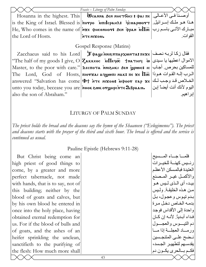|                          | Feasts – Liturgy of Palm Sunday                                                                                                                                            |         |  |
|--------------------------|----------------------------------------------------------------------------------------------------------------------------------------------------------------------------|---------|--|
|                          | Hosanna in the highest. This   Wсанна бен ннетбосі : фаі пе   اوصنا في الأعـالي.                                                                                           |         |  |
|                          | $\vert$ is the King of Israel. Blessed is $\vert$ novpo  אבׂו אـو ملـك إسـرائيل. [is the King of Israel. Blessed is $\vert$                                                |         |  |
|                          | $ \text{He, Who comes in the name of } \text{\textsf{nxe}}$ фрал $\text{when}\overline{\text{m}}$ ем дринци $ \text{He, Who comes in the name of } \text{\textsf{nxe}} $ о |         |  |
| the Lord of Hosts.       | MTENIZOU.                                                                                                                                                                  | القو ات |  |
| Gospel Response (Matins) |                                                                                                                                                                            |         |  |
|                          | Zacchaeus said to his Lord <i>J</i> way inner apxwn Ta: πεχε نفقال زكا لربه نصف                                                                                            |         |  |

"The half of my goods I give, О $|{\bf Z}$ аккєос  $\;$ м $\bf H$ еq $\overline{\bf \varpi}\;$  тиа $\,$ тніч  $\;$  ها $\,$ Master, to the poor with care."|<code>Аєсπот</code>а ̀мнънкı зем `ழрwic: ic أجاب|انا ا  $\text{The\quad$ Ind,  $\text{God of }$  Hosts, $\vert$ πιον $\textbf{x}$ а аq $\textbf{y}$ оли нак $\textbf{s}$  пє  $\textbf{x}$ є  $\overline{\textbf{In}}$   $\textbf{\textit{m}}$  المرب إلـه القـوات هـوذا

answered "Salvation has come $|\mathbf{\Phi} \bm{\mathrm{+}}$  א $\mathbf{\hat{r}}$ פא $\mathbf{\hat{n}}$ א ז $\mathbf{\hat{n}}$ א ו $\mathbf{\hat{p}}$ 

unto you today, becease you are **hook &wk orghpinte DBpaau.** 

#### LITURGY OF PALM SUNDAY

*The priest holds the bread and the deacons say the hymn of the Shaaneen ("Evlogimenos"). The priest and deacons starts with the prayer of the third and sixth hour. The bread is offered and the service is continued as usual.* 

#### Pauline Epistle (Hebrews 9:11-28)

But Christ being come an high priest of good things to come, by a greater and more perfect tabernacle, not made with hands, that is to say, not of this building; neither by the blood of goats and calves, but by his own blood he entered in once into the holy place, having obtained eternal redemption for us. For if the blood of bulls and of goats, and the ashes of an heifer sprinkling the unclean, sanctifieth to the purifying of the flesh: How much more shall

also the son of Abraham."

فلمسا جساء المسسيح رئيس كهنة للخيرات العتيدة فبالمسكن الأعظم والأكمـل غيـر المـصنع بيد، أى الـذى لـيس هـو من هذه الخليقة. وليس بدم تيوس وعجول، بل بدمه الخاص دخل مرة و احدة إلى الأقداس فوجد فداء أبدياً. لأنـه إن كـان دم التيسوس والعجسول ورمساد العجلسة إذا مسا نـضح علـى المتنجـسين يقدسهم لتطهير الجسد، فكـم بــالحرى يكــون دم

اليوم لأنك أنت أيضاً إبن

إبراهيم.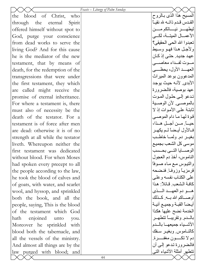|                                    | Feasts – Liturgy of Palm Sunday |                                 |
|------------------------------------|---------------------------------|---------------------------------|
| blood of Christ,<br>the<br>who     |                                 | المسيح هذا الذي بـالروح         |
| through the eternal Spirit         |                                 | القدس قدم ذاتــه لله نقيــاً    |
| offered himself without spot to    |                                 |                                 |
| God, purge your conscience         |                                 | الأعمـــال الميتـــة، لكـــي    |
| from dead works to serve the       |                                 | تعبدوا الله الحي الحقيقي؟       |
| living God? And for this cause     |                                 | ولأجل هذا فهو وسبط              |
| he is the mediator of the new      |                                 | عهد جديد. حتى إذ كـان           |
| testament, that by means of        |                                 | مسوت لفسداء معاصسي              |
| death, for the redemption of the   |                                 | العهسد الأول، يحظــــي          |
| transgressions that were under     |                                 | المدعوون بوعد المبراث           |
| the first testament, they which    |                                 | الأبدي. لأنـه حيث يوجد          |
| are called might receive the       |                                 | عهد بوصية، فالضرورة             |
| promise of eternal inheritance.    |                                 | تدعو إلى حلول الموت             |
| For where a testament is, there    |                                 | بالموصبي لأن الوصبية            |
| must also of necessity be the      |                                 | ثابتـة علـى الأمـوات إذ لا      |
| death of the testator. For a       |                                 | قوة لها ما دام الموصىي          |
| testament is of force after men    |                                 | حيــــاً. مــــن أجـــل هـــذا، |
| are dead: otherwise it is of no    |                                 | فـالأول أيـضاً لـم يكهـر        |
| strength at all while the testator |                                 | بغيـر دم ولمـا خاطـب            |
| liveth. Whereupon neither the      |                                 | موسى كل الشعب بجميع             |
| first testament was dedicated      |                                 | الوصسايا التسي بحسب             |
| without blood. For when Moses      |                                 | الناموس، أخذ دم العجول          |
| had spoken every precept to all    |                                 | والتيوس مع ماء صوفاً            |
| the people according to the law,   |                                 | قرمزيأ وزوفا فنضحه              |
| he took the blood of calves and    |                                 | على الكناب نفسه وعلى            |
| of goats, with water, and scarlet  |                                 | كافة الشعب قائلاً: هذا          |
| wool, and hyssop, and sprinkled    |                                 | هسو دم العهسد السذي             |
| both the book, and all the         |                                 | أوصـــاكم الله بـــه كــذلك     |
| people, saying, This is the blood  |                                 | أيضاً القبـة وجميـع أنيـة       |
| of the testament which God         |                                 | الخدمة نضح عليها هكذا           |
| enjoined unto<br>hath<br>you.      |                                 | بالمدم وتقريبسا تتطهير          |
| Moreover he sprinkled with         |                                 | الأشــياء جميعهــا بالــدم      |
| blood both the tabernacle, and     |                                 | كالنــاموس وبغيـر سـفك          |
| all the vessels of the ministry.   |                                 | دم لا تكــــون مغفـــــرة.      |
| And almost all things are by the   |                                 | فالضرورة تدعو إلىي أن           |
| law purged with blood; and         |                                 | تتطهر أمثلة الأشباء التبي       |
|                                    | 44                              |                                 |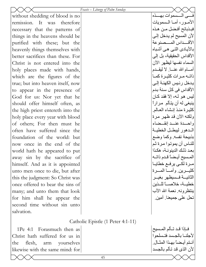|                                   | Feasts - Liturgy of Palm Sunday   |                                                |
|-----------------------------------|-----------------------------------|------------------------------------------------|
| without shedding of blood is no   |                                   |                                                |
| therefore<br>It was<br>remission. |                                   | الأمــور ، أمــا الــسمويات                    |
| necessary that the patterns of    |                                   | فبـذبائح أفـضل مـن هـذه                        |
| things in the heavens should be   |                                   | لأن المسيح لم يدخل إلى                         |
| purified with these; but the      |                                   | الأقسداس المسسصنوعة                            |
| heavenly things themselves with   |                                   | بالأيـادي التـي هـي أشباه                      |
| better sacrifices than these. For |                                   | الأقداس الحقيقية، بل إلى                       |
| Christ is not entered into the    |                                   | السماء نفسها ليظهر الآن                        |
| holy places made with hands,      |                                   | أمـــام الله عنـــا لا ليقــدم                 |
| which are the figures of the      |                                   | ذاتــه مــرات كثيــرة كمــا                    |
| true; but into heaven itself, now |                                   | يدخل ر ئيس الكهنــة إلــي                      |
| to appear in the presence of      |                                   | الأقداس في كل سنة بدم                          |
| God for us: Nor yet that he       |                                   | ليس هو لـه، إلا فقد كـان                       |
| should offer himself often, as    |                                   | ينبغي له أن يتألم ًمراراً                      |
| the high priest entereth into the |                                   | كثيرة منذ إنشاء العالم                         |
| holy place every year with blood  |                                   | ولكنه الآن قد ظهر مرة                          |
| of others; For then must he       |                                   | واحسدة عنسد إنقسضاء                            |
| often have suffered since the     |                                   | السدهور ليبطـل الخطيــة                        |
| foundation of the world: but      |                                   | بذبيحة نفسه وكما وضع                           |
| now once in the end of the        |                                   | للناس أن يموتوا مرة ثم                         |
| world hath he appeared to put     |                                   | بعد ذلك الدينونــة، هكـذا                      |
| away sin by the sacrifice of      |                                   | المسيح أيـضاً قـدم ذاتــه                      |
| himself. And as it is appointed   |                                   | مرة لكىي يرفع خطايا                            |
| unto men once to die, but after   |                                   | كثيـــرين وأمــــا المــــرة                   |
| this the judgment: So Christ was  |                                   | الثانيــة فـسيظهر بغيــر                       |
| once offered to bear the sins of  |                                   | خطيــة، خلاصــــًا للــذين                     |
| many; and unto them that look     |                                   | ينتظرونه نعمة الله الأب<br>تحل على جميعنا أمين |
| for him shall he appear the       |                                   |                                                |
| second time without sin unto      |                                   |                                                |
| salvation.                        |                                   |                                                |
|                                   | Catholic Epistle (1 Peter 4:1-11) |                                                |

1Pe 4:1 Forasmuch then as Christ hath suffered for us in the flesh, arm yourselves likewise with the same mind: for

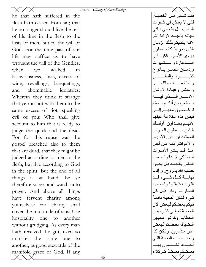|                                   | Feasts - Liturgy of Palm Sunday |                                      |
|-----------------------------------|---------------------------------|--------------------------------------|
| he that hath suffered in the      |                                 | فقـد شــفي مــن الخطيــة.            |
| flesh hath ceased from sin; that  |                                 | لکي لا يعيش في شهوات                 |
| he no longer should live the rest |                                 | النــاس، بـل يقـضـى بــاقى           |
| of his time in the flesh to the   |                                 | حياتـه بالجسد لإرادة الله.           |
| lusts of men, but to the will of  |                                 | لأنــه يكفـيكم ذلـك الز مــان        |
| God. For the time past of our     |                                 | الذي عبر إذ كنتم تعملون              |
| life may suffice us to have       |                                 | بهوى الأمم سـالكين فـي               |
| wrought the will of the Gentiles, |                                 | السسدعارة والمسشهوات                 |
| walked<br>when<br>in<br>we        |                                 | وإدمان الخمس بسأنواع                 |
| lasciviousness, lusts, excess of  |                                 | كثيـــــــــــرة والبطـــــــــــــر |
| wine, revellings, banquetings,    |                                 | والمنادمسسات واللهسسو                |
| abominable idolatries:<br>and     |                                 | والمدنس وعبيادة الأوثيان             |
| Wherein they think it strange     |                                 |                                      |
| that ye run not with them to the  |                                 | يسستغربون أنكسم لسستم                |
| same excess of riot, speaking     |                                 | تركــضون معهــم إلـــي               |
| evil of you: Who shall give       |                                 | فيض هذه الخلاعة عينها                |
| account to him that is ready to   |                                 | لأنهــم يجــدفون. أولئــك            |
| judge the quick and the dead.     |                                 | المذين سيعطون الجواب                 |
| For for this cause was the        |                                 | للمستعد أن يدين الأحياء              |
| gospel preached also to them      |                                 | و الأمو ات فإنـه مـن أجل             |
| that are dead, that they might be |                                 | هـذا قـد بـشر الأمــوات              |
| judged according to men in the    |                                 | أیضاً کی لا یدانوا حسب               |
| flesh, but live according to God  |                                 | النــاس بـالجـسد بـل يحيـوا          |
| in the spirit. But the end of all |                                 | حسب الله بالروح و إنمـا              |
| things is at hand: be ye          |                                 | نهايسة كسل شسىء قسد                  |
| therefore sober, and watch unto   |                                 | اقتربت فتعقلوا واصحوا                |
| prayer. And above all things      |                                 | للصلوات ولكن قبل كل                  |
| have fervent charity among        |                                 | شيء لتكن المحبة دائمة                |
| yourselves: for charity shall     |                                 | فيكم بعضكم لبعض لأن                  |
| cover the multitude of sins. Use  |                                 | المحبـة تغطـي كثـرة مـن              |
| hospitality one to another        |                                 | الخطايا وكونوا محبين                 |
| without grudging. As every man    |                                 | الضيافة بعضكم لبعض                   |
| hath received the gift, even so   |                                 | غير متذمرين وليكن كل                 |
| minister the<br>same<br>one<br>to |                                 | واحد بحسب النعمة التبي               |
| another, as good stewards of the  |                                 | أخـذها تخـمون بهـا                   |
| manifold grace of God. If any     |                                 | بعضكم بعضاً كـوكلاء                  |
|                                   | 46                              |                                      |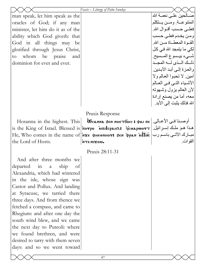|                                    | Feasts - Liturgy of Palm Sunday                                                                           |                             |
|------------------------------------|-----------------------------------------------------------------------------------------------------------|-----------------------------|
| man speak, let him speak as the    |                                                                                                           | صــالحين علــي نـعمــة الله |
| oracles of God; if any man         |                                                                                                           | المتنوعــة ومــن يــتكلم    |
| minister, let him do it as of the  |                                                                                                           | فعلــي حــسب أقــو ال الله. |
| ability which God giveth: that     |                                                                                                           | ومن يخدم فعلي حسب           |
| God in all things may be           |                                                                                                           | القبوة المعطساة مسن الله    |
| glorified through Jesus Christ,    |                                                                                                           | لکی ما بتمجد الله فی کل     |
| whom be praise and<br>to           |                                                                                                           | شَّـــيء بيــسوع المــسيح.  |
| dominion for ever and ever.        |                                                                                                           | ذليك المبذى لميه المجيد     |
|                                    |                                                                                                           | والعزة إلىي أبد الأبدين.    |
|                                    |                                                                                                           | أمين لا تحبوا العالم ولا    |
|                                    |                                                                                                           | الأشباء التي في العالم      |
|                                    |                                                                                                           | لأن العالم بزول وشهوته      |
|                                    |                                                                                                           | معه، أما من يصنع إرادة      |
|                                    |                                                                                                           | الله فذلك يثبت إلى الأبد ِ  |
|                                    | Praxis Response                                                                                           |                             |
|                                    | Hosanna in the highest. This   Wсанна бен инетбоси : фан пе   رضنا في الأعـالي.                           |                             |
|                                    | is the King of Israel. Blessed is $ \tilde{\pi}$ orpo <i>i</i> omicpant: فو ملك إسرائيل.                  |                             |
|                                    | He, Who comes in the name of <b>pxe</b> фнеемнот: бем фрам $\overline{\text{M}\pi}$ $\rightarrow$ باسم رب |                             |
|                                    |                                                                                                           |                             |
|                                    |                                                                                                           |                             |
| the Lord of Hosts.                 | MTENIXOU.                                                                                                 | القوات.                     |
|                                    | Praxis 28:11-31                                                                                           |                             |
| And after three months we          |                                                                                                           |                             |
| departed<br>in<br>ship<br>a<br>-of |                                                                                                           |                             |
| Alexandria, which had wintered     |                                                                                                           |                             |
| in the isle, whose sign was        |                                                                                                           |                             |
| Castor and Pollux. And landing     |                                                                                                           |                             |
| at Syracuse, we tarried there      |                                                                                                           |                             |
| three days. And from thence we     |                                                                                                           |                             |
| fetched a compass, and came to     |                                                                                                           |                             |
| Rhegium: and after one day the     |                                                                                                           |                             |
| south wind blew, and we came       |                                                                                                           |                             |
| the next day to Puteoli: where     |                                                                                                           |                             |
| we found brethren, and were        |                                                                                                           |                             |
| desired to tarry with them seven   |                                                                                                           |                             |
| days: and so we went toward        |                                                                                                           |                             |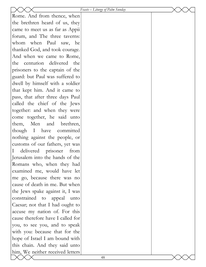|                                     | Feasts – Liturgy of Palm Sunday |  |
|-------------------------------------|---------------------------------|--|
| Rome. And from thence, when         |                                 |  |
| the brethren heard of us, they      |                                 |  |
| came to meet us as far as Appii     |                                 |  |
| forum, and The three taverns:       |                                 |  |
| whom when Paul saw, he              |                                 |  |
| thanked God, and took courage.      |                                 |  |
| And when we came to Rome,           |                                 |  |
| centurion delivered the<br>the      |                                 |  |
| prisoners to the captain of the     |                                 |  |
| guard: but Paul was suffered to     |                                 |  |
| dwell by himself with a soldier     |                                 |  |
| that kept him. And it came to       |                                 |  |
| pass, that after three days Paul    |                                 |  |
| called the chief of the Jews        |                                 |  |
| together: and when they were        |                                 |  |
| come together, he said unto         |                                 |  |
| them, Men and brethren,             |                                 |  |
| though I have committed             |                                 |  |
| nothing against the people, or      |                                 |  |
| customs of our fathers, yet was     |                                 |  |
| delivered prisoner from<br>$\bf{l}$ |                                 |  |
| Jerusalem into the hands of the     |                                 |  |
| Romans who, when they had           |                                 |  |
| examined me, would have let         |                                 |  |
| me go, because there was no         |                                 |  |
| cause of death in me. But when      |                                 |  |
| the Jews spake against it, I was    |                                 |  |
| constrained to appeal unto          |                                 |  |
| Caesar; not that I had ought to     |                                 |  |
| accuse my nation of. For this       |                                 |  |
| cause therefore have I called for   |                                 |  |
| you, to see you, and to speak       |                                 |  |
| with you: because that for the      |                                 |  |
| hope of Israel I am bound with      |                                 |  |
| this chain. And they said unto      |                                 |  |
| him, We neither received letters    |                                 |  |
|                                     | 48                              |  |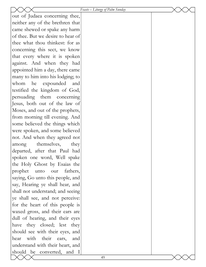|                                   | Feasts - Liturgy of Palm Sunday |  |
|-----------------------------------|---------------------------------|--|
| out of Judaea concerning thee,    |                                 |  |
| neither any of the brethren that  |                                 |  |
| came shewed or spake any harm     |                                 |  |
| of thee. But we desire to hear of |                                 |  |
| thee what thou thinkest: for as   |                                 |  |
| concerning this sect, we know     |                                 |  |
| that every where it is spoken     |                                 |  |
| against. And when they had        |                                 |  |
| appointed him a day, there came   |                                 |  |
| many to him into his lodging; to  |                                 |  |
| expounded<br>whom<br>he<br>and    |                                 |  |
| testified the kingdom of God,     |                                 |  |
| persuading them concerning        |                                 |  |
| Jesus, both out of the law of     |                                 |  |
| Moses, and out of the prophets,   |                                 |  |
| from morning till evening. And    |                                 |  |
| some believed the things which    |                                 |  |
| were spoken, and some believed    |                                 |  |
| not. And when they agreed not     |                                 |  |
| themselves,<br>they<br>among      |                                 |  |
| departed, after that Paul had     |                                 |  |
| spoken one word, Well spake       |                                 |  |
| the Holy Ghost by Esaias the      |                                 |  |
| prophet unto our<br>fathers,      |                                 |  |
| saying, Go unto this people, and  |                                 |  |
| say, Hearing ye shall hear, and   |                                 |  |
| shall not understand; and seeing  |                                 |  |
| ye shall see, and not perceive:   |                                 |  |
| for the heart of this people is   |                                 |  |
| waxed gross, and their ears are   |                                 |  |
| dull of hearing, and their eyes   |                                 |  |
| have they closed; lest they       |                                 |  |
| should see with their eyes, and   |                                 |  |
| with their ears,<br>hear<br>and   |                                 |  |
| understand with their heart, and  |                                 |  |
| should be converted, and I        |                                 |  |
|                                   | 49                              |  |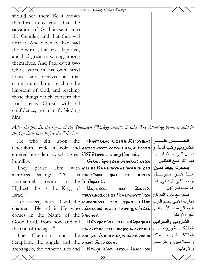|                                                                                                   | Feasts - Liturgy of Palm Sunday                                       |                           |
|---------------------------------------------------------------------------------------------------|-----------------------------------------------------------------------|---------------------------|
| should heal them. Be it known                                                                     |                                                                       |                           |
| therefore unto you, that the                                                                      |                                                                       |                           |
| salvation of God is sent unto                                                                     |                                                                       |                           |
| the Gentiles, and that they will                                                                  |                                                                       |                           |
| hear it. And when he had said                                                                     |                                                                       |                           |
|                                                                                                   |                                                                       |                           |
| these words, the Jews departed,                                                                   |                                                                       |                           |
| and had great reasoning among<br>themselves. And Paul dwelt two                                   |                                                                       |                           |
|                                                                                                   |                                                                       |                           |
| whole years in his own hired                                                                      |                                                                       |                           |
| house, and received all that                                                                      |                                                                       |                           |
| came in unto him, preaching the                                                                   |                                                                       |                           |
| kingdom of God, and teaching                                                                      |                                                                       |                           |
| those things which concern the                                                                    |                                                                       |                           |
| Lord Jesus Christ, with all                                                                       |                                                                       |                           |
| confidence, no man forbidding                                                                     |                                                                       |                           |
| him.                                                                                              |                                                                       |                           |
| After the praxis, the hymn of the Shaaneen ("Evlogimenos") is said. The following hymn is said in |                                                                       |                           |
| the Cymbals tune before the Triagion                                                              |                                                                       |                           |
| He<br>who                                                                                         | $\text{sits}$ upon the PHETSENCI SIXEN NIXEPOTBIN: $\frac{1}{2}$      |                           |
| Cherubim, rode a colt and ачталнотт сотешь ачуе с ботн   الشاروبيم ركب أنانـًا، و                 |                                                                       |                           |
| entered Jerusalem. O what great elanisorne nainigt noeBio.                                        |                                                                       | دخـل إلــي أورشــليم يــا |
| humility.                                                                                         | $\textbf{G}$ e ewc epoq sen ornescis arxe   المذا التواضع العظيم.     |                           |
|                                                                                                   | They praise Him with  φaι πε εμμαπονικι ως λεπ  :يسبحونه بتيقظ قائلين |                           |
| alertness saving: "This is <b>NHETOOCIS</b> das πε πογρο <sup> </sup> المصبو عمانونيسل            |                                                                       |                           |

Emmanuel, Hosanna in the interpart. Highest, this is the King of Uapenzoc Israel."

Let us say with David the фнеомнот: бем фрам  $\inf$ и $\overline{\text{inc}}$  مبارك الآتى بإسم الرب chanter, "Blessed is He who πιλενισος ισχεη τηση ψιλ τριλέ (المصالح منذ الآن وإلى comes in the Name of the **NAMICHOT.** the end of the ages."

Good Lord, from now and till MIXEporBin Nen MCEparbin: الشاروبيم والسيرافيم، niasseroc neu niapxhasseroc: الملائكـــة ورؤســـاء

The Cherubim and Seraphim, the angels and the **NIMET** forc NIXOM. archangels, the principalities and  $|\mathbf{F}$ rwy  $\epsilon$ Bo $\lambda$   $\epsilon$ rxw innoc  $\mathbf{x}\epsilon$ 

أوصنا في الأعالي هذا | هو ملك إسرائيل ِ  $\vert$ ه المع داود المرتل: | علام السوتان السرتل السلام السلام السلام السلام السلام السلام السلام السلام السلام ا آخر الأزمنة. the nic Tpa Tia neu niezorcia nieponoc | الملائكة، والعسساكر والسلاطين، والكراسي والأرباب.

 $\bm{\Lambda}$ arı $\bm{\lambda}$ 

NEW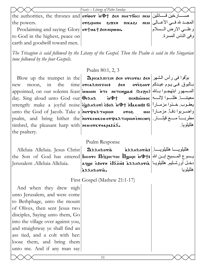|                                                                                                | Feasts – Liturgy of Palm Sunday                                         |                         |
|------------------------------------------------------------------------------------------------|-------------------------------------------------------------------------|-------------------------|
| che authorities, the thrones and orwor in�t sen ннетбосі нем صــــارخين قـــــائلين   صـــــار |                                                                         |                         |
| the powers.                                                                                    | المجــد شافــي الأعـــالى  мәлрнин    нахем    пикази    нем الأعـــالى |                         |
| Proclaiming and saying: Glory or tuat Sen nipwun.                                              |                                                                         | وعلـــي الارض الـــسلام |
| to God in the highest, peace on                                                                |                                                                         | وفي الناس المسر ة.      |
| earth and goodwill toward men.                                                                 |                                                                         |                         |

The Trisagion is said followed by the Litany of the Gospel. Then the Psalm is said in the Singarian tune followed by the four Gospels.

#### Psalm  $80:1, 2, 3$

بـالبوق ِ فـي يـوم عيـدكم|0re300r

معيننــــــا هللـــــوا لإلــــــه| пемво̀ноос

واضربوا دفأ مزماراً ارور

هللللو يا

هللنلو يا

Blow up the trumpet in the **| Ωpicaλπizin δεn ovcovai δεn | ابو**َقوا في رأس الشهر the time **orcaλπιστος:** new moon.  $in$ appointed, on our solemn feast iuunini NTE NETENQUAI (REZIC) المصسهور ابتهجـوا بـالله | appointed, on our solemn feast day. Sing aloud unto God our  $\theta \in \mathbb{R}$ يعقـوب خـذوا مزمــاراً|Strength: make a joyful noise|الابيمقـوب خـذوا مزمــاراً|strength: make a joyful noise unto the God of Jacob. Take a norwanness psalm, and bring hither the **NOTKEUKEU OT PATHPION ENECWY** timbrel, the pleasant harp with  $n$ **ex ork respaints**. the psaltery.

#### Psalm Response

Alleluia Alleluia. Jesus Christ Ierusalem .Alleluia Alleluia.

هللبلويسا هللبلويسا | غة AAHAorias  $\mathfrak{D}_{\lambda\lambda\mu\lambda\sigma\mathbf{r}\mathbf{r}\mathbf{a}}$ the Son of God has entered Incore Πιχριστος Πωμρι in +: إيسوع المسيح إبـن الله | the Son of God has entered دخل أورشليم هلليلويـا | aqye esorn elanis saanoria arrhoria.

бен

5070

 $\mathbf{t}$ 

First Gospel (Mathew 21:1-17)

And when they drew nigh unto Jerusalem, and were come to Bethphage, unto the mount of Olives, then sent Jesus two disciples, Saying unto them, Go into the village over against you, and straightway ye shall find an ass tied, and a colt with her: loose them, and bring them unto me. And if any man say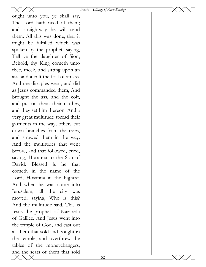|                                     | Feasts – Liturgy of Palm Sunday |  |
|-------------------------------------|---------------------------------|--|
| ought unto you, ye shall say,       |                                 |  |
| The Lord hath need of them;         |                                 |  |
| and straightway he will send        |                                 |  |
| them. All this was done, that it    |                                 |  |
| might be fulfilled which was        |                                 |  |
| spoken by the prophet, saying,      |                                 |  |
| Tell ye the daughter of Sion,       |                                 |  |
| Behold, thy King cometh unto        |                                 |  |
| thee, meek, and sitting upon an     |                                 |  |
| ass, and a colt the foal of an ass. |                                 |  |
| And the disciples went, and did     |                                 |  |
| as Jesus commanded them, And        |                                 |  |
| brought the ass, and the colt,      |                                 |  |
| and put on them their clothes,      |                                 |  |
| and they set him thereon. And a     |                                 |  |
| very great multitude spread their   |                                 |  |
| garments in the way; others cut     |                                 |  |
| down branches from the trees,       |                                 |  |
| and strawed them in the way.        |                                 |  |
| And the multitudes that went        |                                 |  |
| before, and that followed, cried,   |                                 |  |
| saying, Hosanna to the Son of       |                                 |  |
| David:<br>Blessed is<br>he<br>that  |                                 |  |
| cometh in the name of the           |                                 |  |
| Lord; Hosanna in the highest.       |                                 |  |
| And when he was come into           |                                 |  |
| Jerusalem, all the city<br>was      |                                 |  |
| moved, saying, Who is this?         |                                 |  |
| And the multitude said, This is     |                                 |  |
| Jesus the prophet of Nazareth       |                                 |  |
| of Galilee. And Jesus went into     |                                 |  |
| the temple of God, and cast out     |                                 |  |
| all them that sold and bought in    |                                 |  |
| the temple, and overthrew the       |                                 |  |
| tables of the moneychangers,        |                                 |  |
| and the seats of them that sold     |                                 |  |
|                                     | 52                              |  |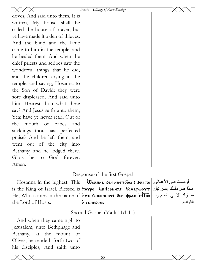|                                   | Feasts – Liturgy of Palm Sunday                                                                                                                           |          |
|-----------------------------------|-----------------------------------------------------------------------------------------------------------------------------------------------------------|----------|
| doves, And said unto them, It is  |                                                                                                                                                           |          |
| written, My house shall be        |                                                                                                                                                           |          |
| called the house of prayer; but   |                                                                                                                                                           |          |
| ye have made it a den of thieves. |                                                                                                                                                           |          |
| And the blind and the lame        |                                                                                                                                                           |          |
| came to him in the temple; and    |                                                                                                                                                           |          |
| he healed them. And when the      |                                                                                                                                                           |          |
| chief priests and scribes saw the |                                                                                                                                                           |          |
| wonderful things that he did,     |                                                                                                                                                           |          |
| and the children crying in the    |                                                                                                                                                           |          |
| temple, and saying, Hosanna to    |                                                                                                                                                           |          |
| the Son of David; they were       |                                                                                                                                                           |          |
| sore displeased, And said unto    |                                                                                                                                                           |          |
| him, Hearest thou what these      |                                                                                                                                                           |          |
| say? And Jesus saith unto them,   |                                                                                                                                                           |          |
| Yea; have ye never read, Out of   |                                                                                                                                                           |          |
| mouth of babes<br>the<br>and      |                                                                                                                                                           |          |
| sucklings thou hast perfected     |                                                                                                                                                           |          |
| praise? And he left them, and     |                                                                                                                                                           |          |
| went out of the city into         |                                                                                                                                                           |          |
| Bethany; and he lodged there.     |                                                                                                                                                           |          |
| Glory be to God forever.          |                                                                                                                                                           |          |
| Amen.                             |                                                                                                                                                           |          |
|                                   | Response of the first Gospel                                                                                                                              |          |
|                                   | Ноsanna in the highest. This   <i>W</i> санна бен ннетбоси : фан пе   رصنا في الأعـالي.                                                                   |          |
|                                   | is the King of Israel. Blessed is <i>i</i> norpo иписрана: تو ملك إسرائيل. العروضات العدو ملك السرائيل.                                                   |          |
|                                   | He, Who comes in the name of $ \text{size} \>$ фнеемнот: бем фрам $\text{inf}$ $\overline{\text{inc}} \mid \text{un} \>$ м $\text{Var} \mid \text{un} \>$ |          |
| the Lord of Hosts.                | ·woxin ITH                                                                                                                                                | القوات ِ |
|                                   |                                                                                                                                                           |          |
|                                   | Second Gospel (Mark 11:1-11)                                                                                                                              |          |
| And when they came nigh to        |                                                                                                                                                           |          |
| Jerusalem, unto Bethphage and     |                                                                                                                                                           |          |
| Bethany, at the mount<br>of       |                                                                                                                                                           |          |
| Olives, he sendeth forth two of   |                                                                                                                                                           |          |
| his disciples, And saith unto     |                                                                                                                                                           |          |
|                                   | 53                                                                                                                                                        |          |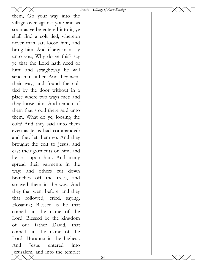|                                   | Feasts - Liturgy of Palm Sunday |  |
|-----------------------------------|---------------------------------|--|
| them, Go your way into the        |                                 |  |
| village over against you: and as  |                                 |  |
| soon as ye be entered into it, ye |                                 |  |
| shall find a colt tied, whereon   |                                 |  |
| never man sat; loose him, and     |                                 |  |
| bring him. And if any man say     |                                 |  |
| unto you, Why do ye this? say     |                                 |  |
| ye that the Lord hath need of     |                                 |  |
| him; and straightway he will      |                                 |  |
| send him hither. And they went    |                                 |  |
| their way, and found the colt     |                                 |  |
| tied by the door without in a     |                                 |  |
| place where two ways met; and     |                                 |  |
| they loose him. And certain of    |                                 |  |
| them that stood there said unto   |                                 |  |
| them, What do ye, loosing the     |                                 |  |
| colt? And they said unto them     |                                 |  |
| even as Jesus had commanded:      |                                 |  |
| and they let them go. And they    |                                 |  |
| brought the colt to Jesus, and    |                                 |  |
| cast their garments on him; and   |                                 |  |
| he sat upon him. And many         |                                 |  |
| spread their garments in the      |                                 |  |
| way: and others cut down          |                                 |  |
| branches off the trees, and       |                                 |  |
| strawed them in the way. And      |                                 |  |
| they that went before, and they   |                                 |  |
| that followed, cried, saying,     |                                 |  |
| Hosanna; Blessed is he that       |                                 |  |
| cometh in the name of the         |                                 |  |
| Lord: Blessed be the kingdom      |                                 |  |
| of our father David, that         |                                 |  |
| cometh in the name of the         |                                 |  |
| Lord: Hosanna in the highest.     |                                 |  |
| entered<br>And<br>Jesus<br>into   |                                 |  |
| Jerusalem, and into the temple:   |                                 |  |
|                                   | 54                              |  |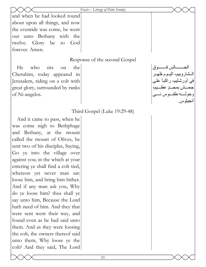#### *Feasts – Liturgy of Palm Sunday*

and when he had looked round about upon all things, and now the eventide was come, he went out unto Bethany with the twelve. Glory be to God forever. Amen.

#### Response of the second Gospel

He who sits on the Cherubim, today appeared in Jerusalem, riding on a colt with great glory, surrounded by ranks of Ni-angelos.

الجـــــــالس فــــــــوق المشاروبيم، اليموم ظهـر فى أورشليم، راكباً علمي حش بمجب عظيم، وحولــه طقــوس نـــى آنجيلوس.

# Third Gospel (Luke 19:29-48)

And it came to pass, when he was come nigh to Bethphage and Bethany, at the mount called the mount of Olives, he sent two of his disciples, Saying, Go ye into the village over against you; in the which at your entering ye shall find a colt tied, whereon yet never man sat: loose him, and bring him hither. And if any man ask you, Why do ye loose him? thus shall ye say unto him, Because the Lord hath need of him. And they that were sent went their way, and found even as he had said unto them. And as they were loosing the colt, the owners thereof said unto them, Why loose ye the colt? And they said, The Lord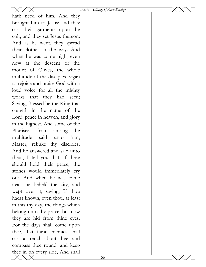|                                   | Feasts – Liturgy of Palm Sunday |  |
|-----------------------------------|---------------------------------|--|
| hath need of him. And they        |                                 |  |
| brought him to Jesus: and they    |                                 |  |
| cast their garments upon the      |                                 |  |
| colt, and they set Jesus thereon. |                                 |  |
| And as he went, they spread       |                                 |  |
| their clothes in the way. And     |                                 |  |
| when he was come nigh, even       |                                 |  |
| now at the descent of the         |                                 |  |
| mount of Olives, the whole        |                                 |  |
| multitude of the disciples began  |                                 |  |
| to rejoice and praise God with a  |                                 |  |
| loud voice for all the mighty     |                                 |  |
| works that they had seen;         |                                 |  |
| Saying, Blessed be the King that  |                                 |  |
| cometh in the name of the         |                                 |  |
| Lord: peace in heaven, and glory  |                                 |  |
| in the highest. And some of the   |                                 |  |
| Pharisees from<br>among<br>the    |                                 |  |
| multitude<br>said<br>unto<br>him, |                                 |  |
| Master, rebuke thy disciples.     |                                 |  |
| And he answered and said unto     |                                 |  |
| them, I tell you that, if these   |                                 |  |
| should hold their peace, the      |                                 |  |
| stones would immediately cry      |                                 |  |
| out. And when he was come         |                                 |  |
| near, he beheld the city, and     |                                 |  |
| wept over it, saying, If thou     |                                 |  |
| hadst known, even thou, at least  |                                 |  |
| in this thy day, the things which |                                 |  |
| belong unto thy peace! but now    |                                 |  |
| they are hid from thine eyes.     |                                 |  |
| For the days shall come upon      |                                 |  |
| thee, that thine enemies shall    |                                 |  |
| cast a trench about thee, and     |                                 |  |
| compass thee round, and keep      |                                 |  |
| thee in on every side, And shall  |                                 |  |
|                                   | 56                              |  |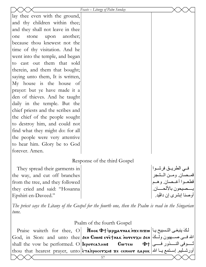|                                   | Feasts - Liturgy of Palm Sunday                                                                                                                  |                       |
|-----------------------------------|--------------------------------------------------------------------------------------------------------------------------------------------------|-----------------------|
| lay thee even with the ground,    |                                                                                                                                                  |                       |
| and thy children within thee;     |                                                                                                                                                  |                       |
| and they shall not leave in thee  |                                                                                                                                                  |                       |
| another;<br>upon<br>stone<br>one  |                                                                                                                                                  |                       |
| because thou knewest not the      |                                                                                                                                                  |                       |
| time of thy visitation. And he    |                                                                                                                                                  |                       |
| went into the temple, and began   |                                                                                                                                                  |                       |
| to cast out them that sold        |                                                                                                                                                  |                       |
| therein, and them that bought;    |                                                                                                                                                  |                       |
| saying unto them, It is written,  |                                                                                                                                                  |                       |
| My house is the house of          |                                                                                                                                                  |                       |
| prayer: but ye have made it a     |                                                                                                                                                  |                       |
| den of thieves. And he taught     |                                                                                                                                                  |                       |
| daily in the temple. But the      |                                                                                                                                                  |                       |
| chief priests and the scribes and |                                                                                                                                                  |                       |
| the chief of the people sought    |                                                                                                                                                  |                       |
| to destroy him, and could not     |                                                                                                                                                  |                       |
| find what they might do: for all  |                                                                                                                                                  |                       |
| the people were very attentive    |                                                                                                                                                  |                       |
| to hear him. Glory be to God      |                                                                                                                                                  |                       |
| forever. Amen.                    |                                                                                                                                                  |                       |
|                                   | Response of the third Gospel                                                                                                                     |                       |
| They spread their garments in     |                                                                                                                                                  | فــي الطريــق فرشــوا |
| the way, and cut off branches     |                                                                                                                                                  | قمـصان ومـن الـشجر    |
| from the tree, and they followed  |                                                                                                                                                  | قطعـوا أغـصان وهـم    |
| they cried and said: "Hosanna"    |                                                                                                                                                  | يسصيحون بالألحسان.    |
| Epshiri en-Daveed."               |                                                                                                                                                  | أوصنا إبشري إن داڤيد. |
|                                   | The priest says the Litany of the Gospel for the fourth one, then the Psalm is read in the Singarian                                             |                       |
| tune.                             |                                                                                                                                                  |                       |
|                                   | Psalm of the fourth Gospel                                                                                                                       |                       |
|                                   | Praise waiteth for thee, O <b>N</b> <sup>o</sup> Nook Φτ <i>depy ATARA N</i> 2E $\pi$ 20 Praise waiteth for thee, O Nook Φτ depy ATARA N2E $\pi$ |                       |
|                                   | God, in Sion: and unto thee SEN CIWN: ETETNAK NOTETXH SEN EL SOOL, in Sion: and unto thee SEN CIWN: ETETNAK NO                                   |                       |
|                                   | shall the vow be performed. O leporca ) - المسلمة shall the vow be performed. O leporca $\mathbf{a}$ ни: $\mathbf{b}$                            |                       |
|                                   | thou that hearest prayer, unto $\epsilon$ <del>e vaipocerxus</del> xe семнот зарок $ \phi $ in the leaders                                       |                       |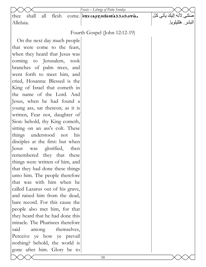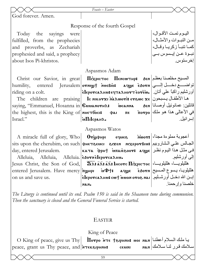|                                                | Feasts - Easter                                                                                                       |                                                      |
|------------------------------------------------|-----------------------------------------------------------------------------------------------------------------------|------------------------------------------------------|
| God forever. Amen.                             |                                                                                                                       |                                                      |
|                                                | Response of the fourth Gospel                                                                                         |                                                      |
|                                                |                                                                                                                       |                                                      |
| Today the sayings were                         |                                                                                                                       | البــوم تمــت الأقــوال،<br>مـن النبـوات والأمثــال، |
| fulfilled, from the prophecies                 |                                                                                                                       |                                                      |
| and proverbs, as Zechariah                     |                                                                                                                       | كما تنبأ زكريا وقال،                                 |
| prophesied and said, a prophecy                |                                                                                                                       | نبــوة عــن إيــسوس بـــى                            |
| about Isos Pi-khristos.                        |                                                                                                                       | إخرستوس.                                             |
|                                                | Aspasmos Adam                                                                                                         |                                                      |
|                                                | Christ our Savior, in great <b>Πιλριστος Πεηςωτηρ:</b> $\delta$ εη  المسيح مخلصنا بعظم                                |                                                      |
|                                                | indeglity, entered Jerusalem ovnigh neeBio: aqge e30vn تواضــــع دخـــــل إلـــــي                                    |                                                      |
| riding on a colt.                              | أورشليم راكباً علي أتانٍ.   ѐlєротса лни: єqта лнотт єотѐω.   غ                                                       |                                                      |
|                                                | The children are praising le NIKOTXI MARWOTI: eTSWC XE ULLER ALL                                                      |                                                      |
|                                                |                                                                                                                       |                                                      |
|                                                | the highest, this is the King of MHETOOCI: + The Trorpo (عي الأعالي هذا هو ملك                                        |                                                      |
| Israel."                                       | $ \mathbf{\dot{u}}\mathbf{\Pi}$ і $\mathbf{L}$ гран $\mathbf{\Lambda}_{\bullet}$                                      | إسرائيل.                                             |
|                                                | Aspasmos Watos                                                                                                        |                                                      |
|                                                | A miracle full of glory, Who   Отуфнри сешее моот: أعجوبة مملوءة مجداً، A miracle full of glory, Who                  |                                                      |
|                                                | sits upon the cherubim, on such (PHETSENCI 81XEN MIXEPOYBINI ) الجالس علي الشاروبيم                                   |                                                      |
| day, entered Jerusalem.                        | ката Фрн† мпаю́воот: аqழ $\epsilon$  فی مثل هذا الیوم نظر                                                             |                                                      |
| Alleluia, Alleluia, Alleluia. esorneleporcanu. |                                                                                                                       | إلىي أورشليم                                         |
|                                                | Jesus Christ, the Son of God, $ \;\; \overline{\bf 2\!\!\!2}$ هالليلويــــا، هالليلويــــا، هالليلويـــا، هالليلوي    |                                                      |
|                                                | entered Jerusalem. Have mercy $ \pi$ الملليلويـا، يـسوع المـسيح المـصيح المـصيح المـسيم entered Jerusalem. Have mercy |                                                      |
| on us and save us.                             |                                                                                                                       |                                                      |
|                                                | إبــن الله دخــل أورشــليم.   isporca2Hus cwt<br>خلصنا وإرحمنا.<br>NAN.                                               |                                                      |
|                                                |                                                                                                                       |                                                      |

*The Liturgy is continued until its end. Psalm 150 is said in the Shaaneen tune during communion. Then the sanctuary is closed and the General Funeral Service is started.* 

# EASTER

# King of Peace

O King of peace, give us Thy  $peace, grant us$  Thy peace, and  $\lambda$ тек $\epsilon$ ирнин: семиги нан  $\textbf{I}$ lorpo אד $\epsilon$  †جا ملك السلام أعطنـا سلامك قرر لنا سلامك | หลห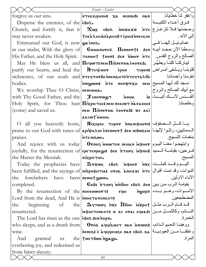|                                                                                                   | Feasts - Easter                                                                                                                                                              |                                  |
|---------------------------------------------------------------------------------------------------|------------------------------------------------------------------------------------------------------------------------------------------------------------------------------|----------------------------------|
| forgive us our sins.                                                                              | واغفر لذا خطايانا.          птекарнин:   ха   меннови   нан                                                                                                                  |                                  |
| Disperse the enemies, of the $\epsilon$ Bo $\lambda$ .                                            |                                                                                                                                                                              | فيرق أعبداء الكنيسة              |
|                                                                                                   | Church, and fortify it, that it $\infty$ wp $\epsilon$ Bos $\infty$ $\frac{1}{\epsilon}$ $\frac{1}{\epsilon}$ $\frac{1}{\epsilon}$ $\frac{1}{\epsilon}$ $\frac{1}{\epsilon}$ |                                  |
|                                                                                                   |                                                                                                                                                                              |                                  |
| Emmanuel our God, is now $\omega$ enee.                                                           |                                                                                                                                                                              | عمانوئيــل إلـهنـــا فـــى       |
|                                                                                                   | in our midst, With the glory of   CuuanorHA   Пеннот†: 5en  الآن بمجد أبيسه ا                                                                                                |                                  |
|                                                                                                   | الصالح والروح القدس . His Father, and the Holy Spirit.   теминт тиот: бем поот ите                                                                                           |                                  |
|                                                                                                   | May He bless us all, and <b>ITequot: neu Himerua eooraB.</b> البباركنـا كلنـا ويطهِّر                                                                                        |                                  |
|                                                                                                   | purify our hearts, and heal the <b>N</b> Teycuor <b>Epon</b> THPEN: قلوبنا ويستفى أمـراض                                                                                     |                                  |
|                                                                                                   | sicknesses, of our souls and <b>i</b> re and the resorged interest in terms and $\alpha$                                                                                     |                                  |
| bodies.                                                                                           | نسجد لك أيها المسيح  мелфтхнале дел) на вифухн                                                                                                                               |                                  |
| We worship Thee O Christ, NERCWAL.                                                                |                                                                                                                                                                              | مع أبيك الصالح والروح            |
|                                                                                                   | with Thy Good Father, and the   Tenorwy T MINOK   $\omega$  القسدس لأنسك أنيست                                                                                               |                                  |
|                                                                                                   | Holy Spirit, for Thou hast Πιχριστος κεν πεκιωτ hasaoos                                                                                                                      | وخلصتنا                          |
| (come) and saved us.                                                                              | neu Πiπnevua èoovaß: xe aki                                                                                                                                                  |                                  |
|                                                                                                   | akcwt uuon.                                                                                                                                                                  |                                  |
|                                                                                                   | O all you heavenly hosts, <b>Mixopoc тнрот мелифнот:</b> يساكسل المسمعفوف                                                                                                    |                                  |
|                                                                                                   | praise to our God with tunes of api value of api den mort sen mBwsen   موpraise to our God with tunes of   api valuer                                                        |                                  |
| praises.                                                                                          | <b>JUDE NISWC.</b>                                                                                                                                                           | بنغمات التسبيح                   |
|                                                                                                   | And rejoice with us today <b>Ornog MUNTEN NEUAN MOOT</b>                                                                                                                     |                                  |
|                                                                                                   | joyfully, for the resurrection of epe renpage: 3en $\pi$ yonq $\hat{u}$ and $\hat{u}$                                                                                        |                                  |
| the Master the Messiah.                                                                           | ліхрістос.                                                                                                                                                                   | المسيح                           |
|                                                                                                   |                                                                                                                                                                              |                                  |
|                                                                                                   | been fulfilled, and the sayings of мітрофнтіл: отов хнісахі йтє   ناننبوات، وقد تمت اقوال                                                                                    |                                  |
| forefathers have been   NENIOT WWIT.<br>the                                                       |                                                                                                                                                                              | الأباء الاولين                   |
| completed.                                                                                        | $\textbf{6-66}$ بقيامة الرب من بين  $\textbf{6-60}$ $\textbf{6-60}$ بقيامة الرب من بين                                                                                       |                                  |
| By the resurrection of the $n\text{Hence}$                                                        | ropa                                                                                                                                                                         | الأمـــوات، و هـــو بـــدء πgopπ |
| Lord from the dead, And He is <b>NOT ATENATER ATE</b>                                             |                                                                                                                                                                              | المضطجعين                        |
| the                                                                                               | $\text{begining}$ of the $\text{degree}$ $\text{degree}$ $\text{H}$ <sub>6</sub> $\text{loop}$ $\text{H}$ $\text{H}$ $\text{H}$ $\text{H}$ $\text{H}$                        |                                  |
| resurrected.                                                                                      | النسائم، وكالثمسل مسن дфнєтємкот: нє кє отаі єраді                                                                                                                           |                                  |
| The Lord has risen as the one $\epsilon$ Bo $\lambda$ $\delta \epsilon \vec{n}$ $\pi \mu \vec{p}$ |                                                                                                                                                                              | الخمر ة                          |
|                                                                                                   | who sleeps, and as a drunk from   Oros aqeps wot nan innons   المغيم الدائم،                                                                                                 |                                  |
| wine.                                                                                             | وعتقنا مسن العبوديسة   лемез: ѐ хчерремае мам евол ва                                                                                                                        |                                  |
| granted us the twe Thorn negage.<br>And                                                           |                                                                                                                                                                              | المر ة.                          |
| everlasting joy, and redeemed us                                                                  |                                                                                                                                                                              |                                  |
| from bitter slavery.                                                                              |                                                                                                                                                                              |                                  |
|                                                                                                   | 60                                                                                                                                                                           |                                  |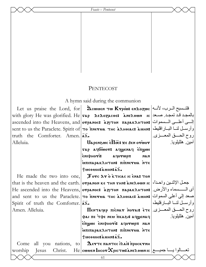Feasts - Pentecost

# **PENTECOST**

A hymn said during the communion

truth the Comforter. Amen.  $\bar{a}$ . Alleluia.

He made the two into one, Spirit of truth the Comforter.  $\bar{a}$ . Amen. Alleluia.

**Jesus** 

Christ.

Come

worship

with glory He was glorified. He sap AEAOZACOE: ANEAOWN IC 2021 ascended into the Heavens, and | отранос: дытон паракантон: إلمس المسموات | аscended into the Heavens, and Sent to us the Paraclete. Spirit of To METUA THE ARHORCE ARHINE (الباراقليط، عدد Sent to us the Paraclete. Spirit of

> Uapenswe elloc: xe sen orwor vap actions acquently engines tivou¢ins **α** corwpπ **NAN** MITTAPAKAHTON: TIITHETUA NTE  $\tau_{\text{M}}$

Tore  $2r$  o k ticac ic ena: TON that is the heaven and the earth. | отранон ке тни тни: مجعل الإثنين واحداً، | shat is the heaven and the earth Не ascended into the Heavens, отранос: дитон паракантон: أى المسسماء والأرض. and sent to us the Paraclete. **To пнетил тнс х**лногас: مصعد إلى أعلى السموات and sent to us the Paraclete. **To пнетил тнс х** 

 $\Pi$  (روح الحسق المعسري).  $\mathbf{r}$ етатачер піснат нотан е́те PANTE TOE NEW TIKASIS AYWENAY επωωι επιφμονί: λοντωρπ κακ MITTAPAKAHTON: THINGYMA NTE Tueouhitauhnta $\bar{x}$ .

 $\mathbf \Lambda$ етте памтес і $\lambda$ аі: просктин all you nations, to  $\operatorname{He}|$ cwuen Incor Xpictus ane $\lambda$ own ic  $|$  حميد He $|$ cwuen Incor Xpictus ane $\lambda$ own ic

وأرسـل لنــا البــار قليط،

آمين هللبلو پا

روح الحسق المعسزي

آمين هللبلوبا